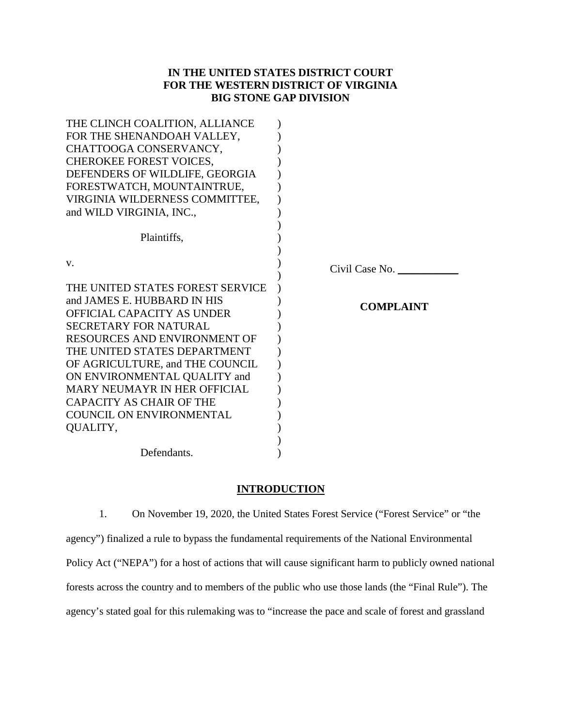# **IN THE UNITED STATES DISTRICT COURT FOR THE WESTERN DISTRICT OF VIRGINIA BIG STONE GAP DIVISION**

| THE CLINCH COALITION, ALLIANCE      |                  |  |
|-------------------------------------|------------------|--|
| FOR THE SHENANDOAH VALLEY,          |                  |  |
| CHATTOOGA CONSERVANCY,              |                  |  |
| <b>CHEROKEE FOREST VOICES,</b>      |                  |  |
| DEFENDERS OF WILDLIFE, GEORGIA      |                  |  |
| FORESTWATCH, MOUNTAINTRUE,          |                  |  |
| VIRGINIA WILDERNESS COMMITTEE,      |                  |  |
| and WILD VIRGINIA, INC.,            |                  |  |
|                                     |                  |  |
| Plaintiffs,                         |                  |  |
|                                     |                  |  |
| V.                                  | Civil Case No.   |  |
|                                     |                  |  |
| THE UNITED STATES FOREST SERVICE    |                  |  |
| and JAMES E. HUBBARD IN HIS         | <b>COMPLAINT</b> |  |
| <b>OFFICIAL CAPACITY AS UNDER</b>   |                  |  |
| <b>SECRETARY FOR NATURAL</b>        |                  |  |
| RESOURCES AND ENVIRONMENT OF        |                  |  |
| THE UNITED STATES DEPARTMENT        |                  |  |
| OF AGRICULTURE, and THE COUNCIL     |                  |  |
| ON ENVIRONMENTAL QUALITY and        |                  |  |
| <b>MARY NEUMAYR IN HER OFFICIAL</b> |                  |  |
| <b>CAPACITY AS CHAIR OF THE</b>     |                  |  |
| <b>COUNCIL ON ENVIRONMENTAL</b>     |                  |  |
|                                     |                  |  |
| QUALITY,                            |                  |  |
|                                     |                  |  |

## **INTRODUCTION**

1. On November 19, 2020, the United States Forest Service ("Forest Service" or "the agency") finalized a rule to bypass the fundamental requirements of the National Environmental Policy Act ("NEPA") for a host of actions that will cause significant harm to publicly owned national forests across the country and to members of the public who use those lands (the "Final Rule"). The agency's stated goal for this rulemaking was to "increase the pace and scale of forest and grassland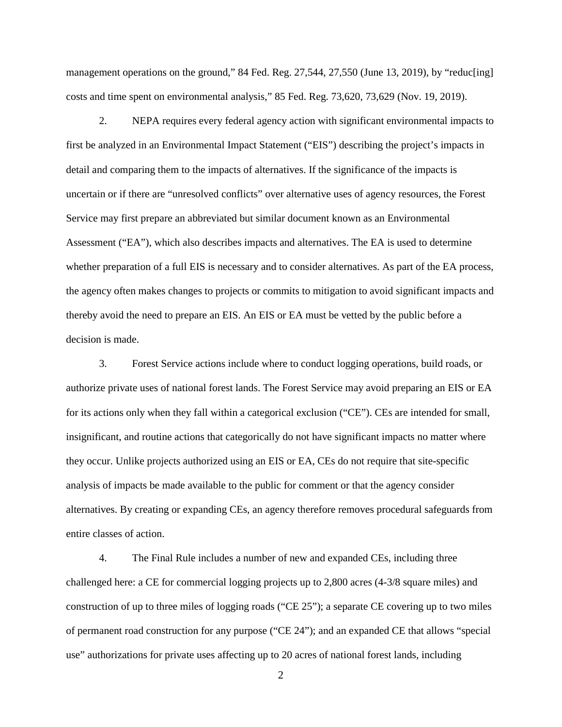management operations on the ground," 84 Fed. Reg. 27,544, 27,550 (June 13, 2019), by "reduc[ing] costs and time spent on environmental analysis," 85 Fed. Reg. 73,620, 73,629 (Nov. 19, 2019).

2. NEPA requires every federal agency action with significant environmental impacts to first be analyzed in an Environmental Impact Statement ("EIS") describing the project's impacts in detail and comparing them to the impacts of alternatives. If the significance of the impacts is uncertain or if there are "unresolved conflicts" over alternative uses of agency resources, the Forest Service may first prepare an abbreviated but similar document known as an Environmental Assessment ("EA"), which also describes impacts and alternatives. The EA is used to determine whether preparation of a full EIS is necessary and to consider alternatives. As part of the EA process, the agency often makes changes to projects or commits to mitigation to avoid significant impacts and thereby avoid the need to prepare an EIS. An EIS or EA must be vetted by the public before a decision is made.

3. Forest Service actions include where to conduct logging operations, build roads, or authorize private uses of national forest lands. The Forest Service may avoid preparing an EIS or EA for its actions only when they fall within a categorical exclusion ("CE"). CEs are intended for small, insignificant, and routine actions that categorically do not have significant impacts no matter where they occur. Unlike projects authorized using an EIS or EA, CEs do not require that site-specific analysis of impacts be made available to the public for comment or that the agency consider alternatives. By creating or expanding CEs, an agency therefore removes procedural safeguards from entire classes of action.

4. The Final Rule includes a number of new and expanded CEs, including three challenged here: a CE for commercial logging projects up to 2,800 acres (4-3/8 square miles) and construction of up to three miles of logging roads ("CE 25"); a separate CE covering up to two miles of permanent road construction for any purpose ("CE 24"); and an expanded CE that allows "special use" authorizations for private uses affecting up to 20 acres of national forest lands, including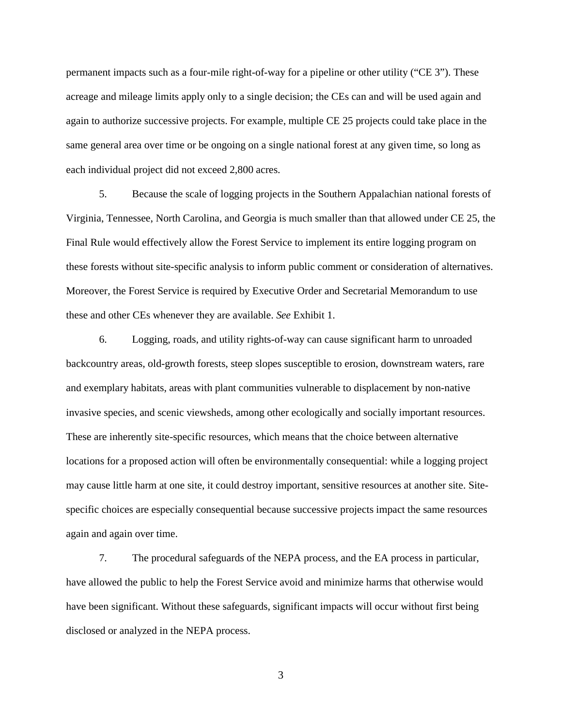permanent impacts such as a four-mile right-of-way for a pipeline or other utility ("CE 3"). These acreage and mileage limits apply only to a single decision; the CEs can and will be used again and again to authorize successive projects. For example, multiple CE 25 projects could take place in the same general area over time or be ongoing on a single national forest at any given time, so long as each individual project did not exceed 2,800 acres.

5. Because the scale of logging projects in the Southern Appalachian national forests of Virginia, Tennessee, North Carolina, and Georgia is much smaller than that allowed under CE 25, the Final Rule would effectively allow the Forest Service to implement its entire logging program on these forests without site-specific analysis to inform public comment or consideration of alternatives. Moreover, the Forest Service is required by Executive Order and Secretarial Memorandum to use these and other CEs whenever they are available. *See* Exhibit 1.

6. Logging, roads, and utility rights-of-way can cause significant harm to unroaded backcountry areas, old-growth forests, steep slopes susceptible to erosion, downstream waters, rare and exemplary habitats, areas with plant communities vulnerable to displacement by non-native invasive species, and scenic viewsheds, among other ecologically and socially important resources. These are inherently site-specific resources, which means that the choice between alternative locations for a proposed action will often be environmentally consequential: while a logging project may cause little harm at one site, it could destroy important, sensitive resources at another site. Sitespecific choices are especially consequential because successive projects impact the same resources again and again over time.

7. The procedural safeguards of the NEPA process, and the EA process in particular, have allowed the public to help the Forest Service avoid and minimize harms that otherwise would have been significant. Without these safeguards, significant impacts will occur without first being disclosed or analyzed in the NEPA process.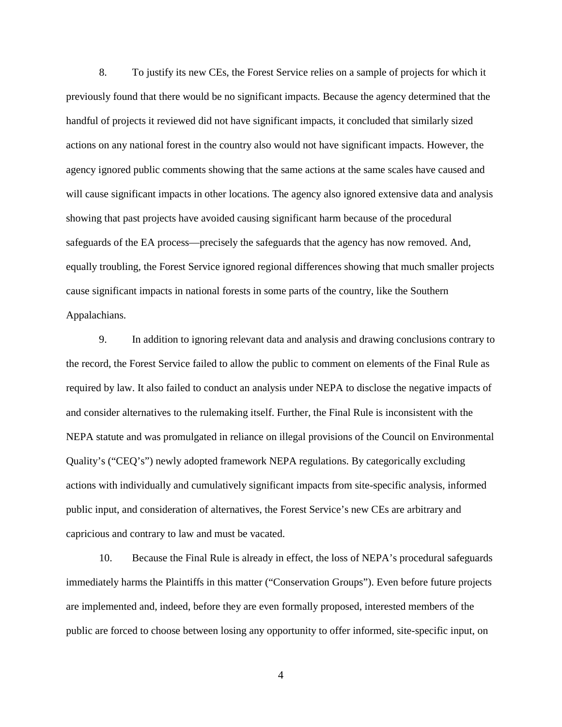8. To justify its new CEs, the Forest Service relies on a sample of projects for which it previously found that there would be no significant impacts. Because the agency determined that the handful of projects it reviewed did not have significant impacts, it concluded that similarly sized actions on any national forest in the country also would not have significant impacts. However, the agency ignored public comments showing that the same actions at the same scales have caused and will cause significant impacts in other locations. The agency also ignored extensive data and analysis showing that past projects have avoided causing significant harm because of the procedural safeguards of the EA process—precisely the safeguards that the agency has now removed. And, equally troubling, the Forest Service ignored regional differences showing that much smaller projects cause significant impacts in national forests in some parts of the country, like the Southern Appalachians.

9. In addition to ignoring relevant data and analysis and drawing conclusions contrary to the record, the Forest Service failed to allow the public to comment on elements of the Final Rule as required by law. It also failed to conduct an analysis under NEPA to disclose the negative impacts of and consider alternatives to the rulemaking itself. Further, the Final Rule is inconsistent with the NEPA statute and was promulgated in reliance on illegal provisions of the Council on Environmental Quality's ("CEQ's") newly adopted framework NEPA regulations. By categorically excluding actions with individually and cumulatively significant impacts from site-specific analysis, informed public input, and consideration of alternatives, the Forest Service's new CEs are arbitrary and capricious and contrary to law and must be vacated.

10. Because the Final Rule is already in effect, the loss of NEPA's procedural safeguards immediately harms the Plaintiffs in this matter ("Conservation Groups"). Even before future projects are implemented and, indeed, before they are even formally proposed, interested members of the public are forced to choose between losing any opportunity to offer informed, site-specific input, on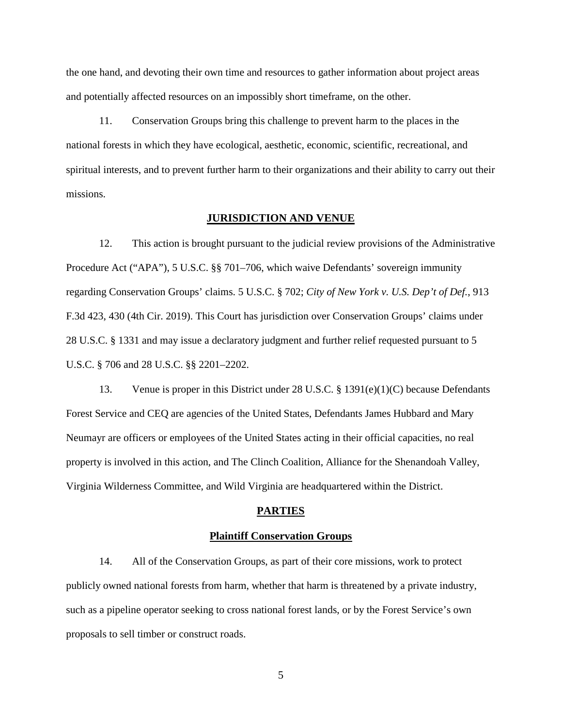the one hand, and devoting their own time and resources to gather information about project areas and potentially affected resources on an impossibly short timeframe, on the other.

11. Conservation Groups bring this challenge to prevent harm to the places in the national forests in which they have ecological, aesthetic, economic, scientific, recreational, and spiritual interests, and to prevent further harm to their organizations and their ability to carry out their missions.

#### **JURISDICTION AND VENUE**

12. This action is brought pursuant to the judicial review provisions of the Administrative Procedure Act ("APA"), 5 U.S.C. §§ 701–706, which waive Defendants' sovereign immunity regarding Conservation Groups' claims. 5 U.S.C. § 702; *City of New York v. U.S. Dep't of Def.*, 913 F.3d 423, 430 (4th Cir. 2019). This Court has jurisdiction over Conservation Groups' claims under 28 U.S.C. § 1331 and may issue a declaratory judgment and further relief requested pursuant to 5 U.S.C. § 706 and 28 U.S.C. §§ 2201–2202.

13. Venue is proper in this District under 28 U.S.C. § 1391(e)(1)(C) because Defendants Forest Service and CEQ are agencies of the United States, Defendants James Hubbard and Mary Neumayr are officers or employees of the United States acting in their official capacities, no real property is involved in this action, and The Clinch Coalition, Alliance for the Shenandoah Valley, Virginia Wilderness Committee, and Wild Virginia are headquartered within the District.

#### **PARTIES**

#### **Plaintiff Conservation Groups**

14. All of the Conservation Groups, as part of their core missions, work to protect publicly owned national forests from harm, whether that harm is threatened by a private industry, such as a pipeline operator seeking to cross national forest lands, or by the Forest Service's own proposals to sell timber or construct roads.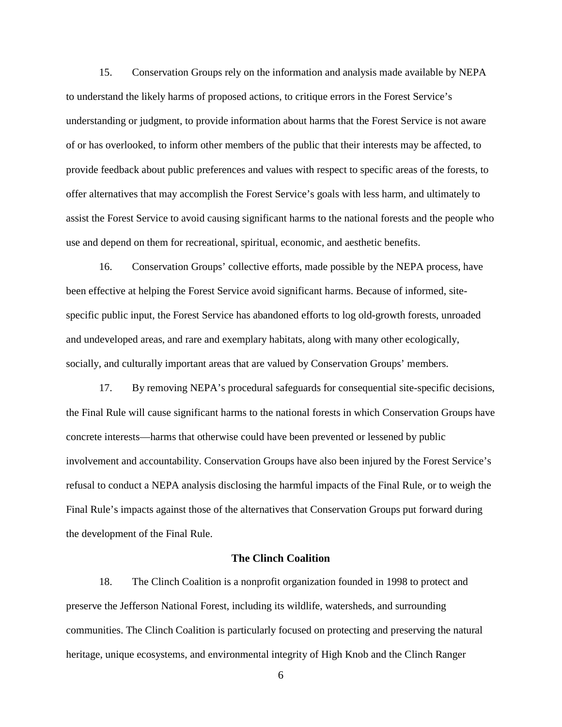15. Conservation Groups rely on the information and analysis made available by NEPA to understand the likely harms of proposed actions, to critique errors in the Forest Service's understanding or judgment, to provide information about harms that the Forest Service is not aware of or has overlooked, to inform other members of the public that their interests may be affected, to provide feedback about public preferences and values with respect to specific areas of the forests, to offer alternatives that may accomplish the Forest Service's goals with less harm, and ultimately to assist the Forest Service to avoid causing significant harms to the national forests and the people who use and depend on them for recreational, spiritual, economic, and aesthetic benefits.

16. Conservation Groups' collective efforts, made possible by the NEPA process, have been effective at helping the Forest Service avoid significant harms. Because of informed, sitespecific public input, the Forest Service has abandoned efforts to log old-growth forests, unroaded and undeveloped areas, and rare and exemplary habitats, along with many other ecologically, socially, and culturally important areas that are valued by Conservation Groups' members.

17. By removing NEPA's procedural safeguards for consequential site-specific decisions, the Final Rule will cause significant harms to the national forests in which Conservation Groups have concrete interests—harms that otherwise could have been prevented or lessened by public involvement and accountability. Conservation Groups have also been injured by the Forest Service's refusal to conduct a NEPA analysis disclosing the harmful impacts of the Final Rule, or to weigh the Final Rule's impacts against those of the alternatives that Conservation Groups put forward during the development of the Final Rule.

## **The Clinch Coalition**

18. The Clinch Coalition is a nonprofit organization founded in 1998 to protect and preserve the Jefferson National Forest, including its wildlife, watersheds, and surrounding communities. The Clinch Coalition is particularly focused on protecting and preserving the natural heritage, unique ecosystems, and environmental integrity of High Knob and the Clinch Ranger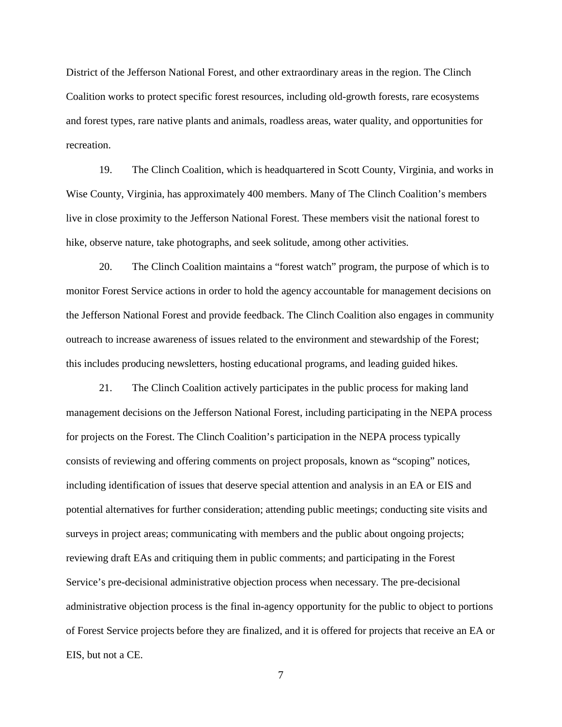District of the Jefferson National Forest, and other extraordinary areas in the region. The Clinch Coalition works to protect specific forest resources, including old-growth forests, rare ecosystems and forest types, rare native plants and animals, roadless areas, water quality, and opportunities for recreation.

19. The Clinch Coalition, which is headquartered in Scott County, Virginia, and works in Wise County, Virginia, has approximately 400 members. Many of The Clinch Coalition's members live in close proximity to the Jefferson National Forest. These members visit the national forest to hike, observe nature, take photographs, and seek solitude, among other activities.

20. The Clinch Coalition maintains a "forest watch" program, the purpose of which is to monitor Forest Service actions in order to hold the agency accountable for management decisions on the Jefferson National Forest and provide feedback. The Clinch Coalition also engages in community outreach to increase awareness of issues related to the environment and stewardship of the Forest; this includes producing newsletters, hosting educational programs, and leading guided hikes.

21. The Clinch Coalition actively participates in the public process for making land management decisions on the Jefferson National Forest, including participating in the NEPA process for projects on the Forest. The Clinch Coalition's participation in the NEPA process typically consists of reviewing and offering comments on project proposals, known as "scoping" notices, including identification of issues that deserve special attention and analysis in an EA or EIS and potential alternatives for further consideration; attending public meetings; conducting site visits and surveys in project areas; communicating with members and the public about ongoing projects; reviewing draft EAs and critiquing them in public comments; and participating in the Forest Service's pre-decisional administrative objection process when necessary. The pre-decisional administrative objection process is the final in-agency opportunity for the public to object to portions of Forest Service projects before they are finalized, and it is offered for projects that receive an EA or EIS, but not a CE.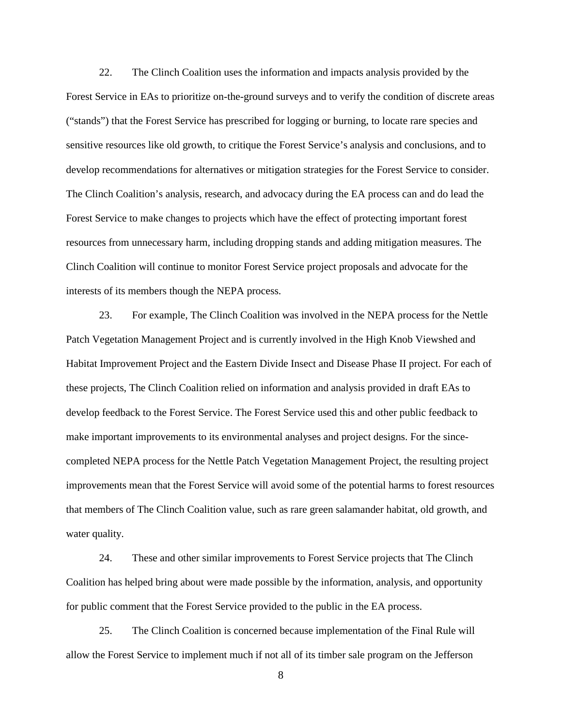22. The Clinch Coalition uses the information and impacts analysis provided by the Forest Service in EAs to prioritize on-the-ground surveys and to verify the condition of discrete areas ("stands") that the Forest Service has prescribed for logging or burning, to locate rare species and sensitive resources like old growth, to critique the Forest Service's analysis and conclusions, and to develop recommendations for alternatives or mitigation strategies for the Forest Service to consider. The Clinch Coalition's analysis, research, and advocacy during the EA process can and do lead the Forest Service to make changes to projects which have the effect of protecting important forest resources from unnecessary harm, including dropping stands and adding mitigation measures. The Clinch Coalition will continue to monitor Forest Service project proposals and advocate for the interests of its members though the NEPA process.

23. For example, The Clinch Coalition was involved in the NEPA process for the Nettle Patch Vegetation Management Project and is currently involved in the High Knob Viewshed and Habitat Improvement Project and the Eastern Divide Insect and Disease Phase II project. For each of these projects, The Clinch Coalition relied on information and analysis provided in draft EAs to develop feedback to the Forest Service. The Forest Service used this and other public feedback to make important improvements to its environmental analyses and project designs. For the sincecompleted NEPA process for the Nettle Patch Vegetation Management Project, the resulting project improvements mean that the Forest Service will avoid some of the potential harms to forest resources that members of The Clinch Coalition value, such as rare green salamander habitat, old growth, and water quality.

24. These and other similar improvements to Forest Service projects that The Clinch Coalition has helped bring about were made possible by the information, analysis, and opportunity for public comment that the Forest Service provided to the public in the EA process.

25. The Clinch Coalition is concerned because implementation of the Final Rule will allow the Forest Service to implement much if not all of its timber sale program on the Jefferson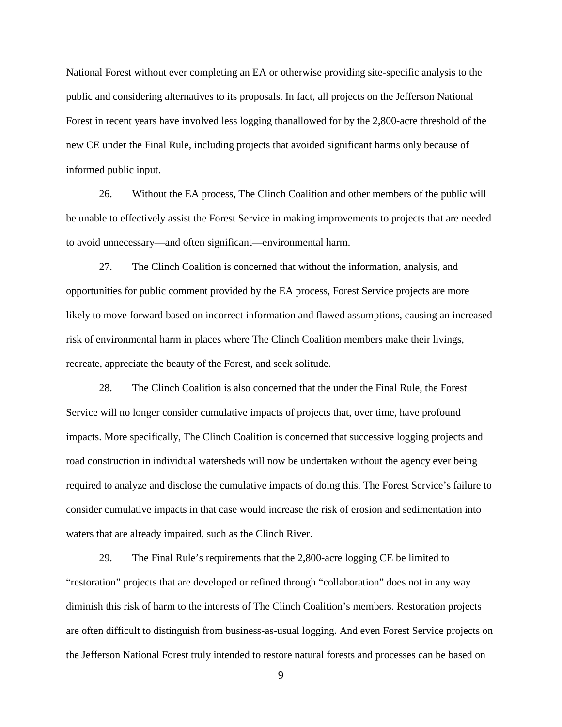National Forest without ever completing an EA or otherwise providing site-specific analysis to the public and considering alternatives to its proposals. In fact, all projects on the Jefferson National Forest in recent years have involved less logging thanallowed for by the 2,800-acre threshold of the new CE under the Final Rule, including projects that avoided significant harms only because of informed public input.

26. Without the EA process, The Clinch Coalition and other members of the public will be unable to effectively assist the Forest Service in making improvements to projects that are needed to avoid unnecessary—and often significant—environmental harm.

27. The Clinch Coalition is concerned that without the information, analysis, and opportunities for public comment provided by the EA process, Forest Service projects are more likely to move forward based on incorrect information and flawed assumptions, causing an increased risk of environmental harm in places where The Clinch Coalition members make their livings, recreate, appreciate the beauty of the Forest, and seek solitude.

28. The Clinch Coalition is also concerned that the under the Final Rule, the Forest Service will no longer consider cumulative impacts of projects that, over time, have profound impacts. More specifically, The Clinch Coalition is concerned that successive logging projects and road construction in individual watersheds will now be undertaken without the agency ever being required to analyze and disclose the cumulative impacts of doing this. The Forest Service's failure to consider cumulative impacts in that case would increase the risk of erosion and sedimentation into waters that are already impaired, such as the Clinch River.

29. The Final Rule's requirements that the 2,800-acre logging CE be limited to "restoration" projects that are developed or refined through "collaboration" does not in any way diminish this risk of harm to the interests of The Clinch Coalition's members. Restoration projects are often difficult to distinguish from business-as-usual logging. And even Forest Service projects on the Jefferson National Forest truly intended to restore natural forests and processes can be based on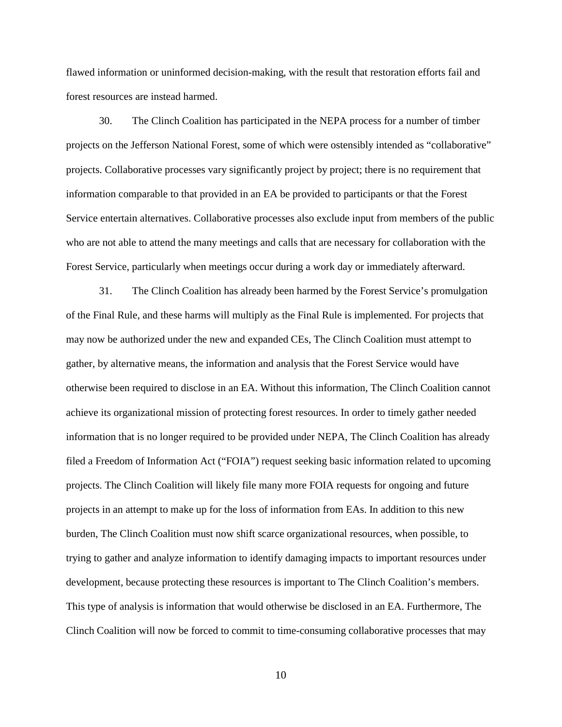flawed information or uninformed decision-making, with the result that restoration efforts fail and forest resources are instead harmed.

30. The Clinch Coalition has participated in the NEPA process for a number of timber projects on the Jefferson National Forest, some of which were ostensibly intended as "collaborative" projects. Collaborative processes vary significantly project by project; there is no requirement that information comparable to that provided in an EA be provided to participants or that the Forest Service entertain alternatives. Collaborative processes also exclude input from members of the public who are not able to attend the many meetings and calls that are necessary for collaboration with the Forest Service, particularly when meetings occur during a work day or immediately afterward.

31. The Clinch Coalition has already been harmed by the Forest Service's promulgation of the Final Rule, and these harms will multiply as the Final Rule is implemented. For projects that may now be authorized under the new and expanded CEs, The Clinch Coalition must attempt to gather, by alternative means, the information and analysis that the Forest Service would have otherwise been required to disclose in an EA. Without this information, The Clinch Coalition cannot achieve its organizational mission of protecting forest resources. In order to timely gather needed information that is no longer required to be provided under NEPA, The Clinch Coalition has already filed a Freedom of Information Act ("FOIA") request seeking basic information related to upcoming projects. The Clinch Coalition will likely file many more FOIA requests for ongoing and future projects in an attempt to make up for the loss of information from EAs. In addition to this new burden, The Clinch Coalition must now shift scarce organizational resources, when possible, to trying to gather and analyze information to identify damaging impacts to important resources under development, because protecting these resources is important to The Clinch Coalition's members. This type of analysis is information that would otherwise be disclosed in an EA. Furthermore, The Clinch Coalition will now be forced to commit to time-consuming collaborative processes that may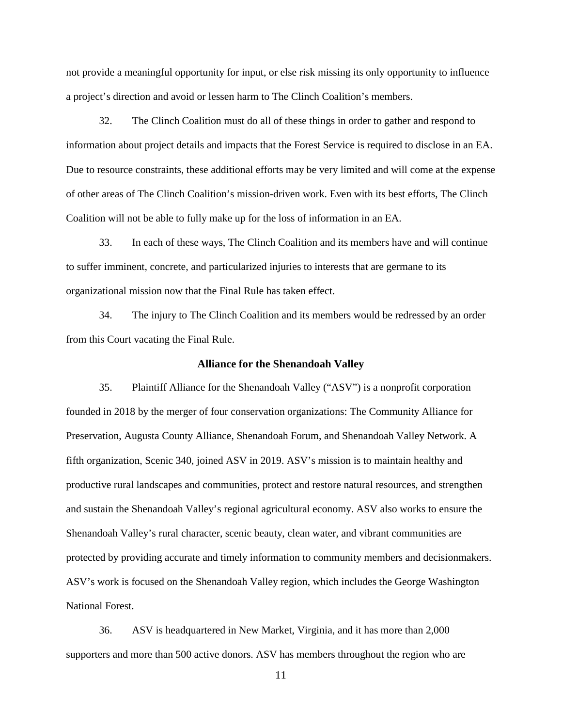not provide a meaningful opportunity for input, or else risk missing its only opportunity to influence a project's direction and avoid or lessen harm to The Clinch Coalition's members.

32. The Clinch Coalition must do all of these things in order to gather and respond to information about project details and impacts that the Forest Service is required to disclose in an EA. Due to resource constraints, these additional efforts may be very limited and will come at the expense of other areas of The Clinch Coalition's mission-driven work. Even with its best efforts, The Clinch Coalition will not be able to fully make up for the loss of information in an EA.

33. In each of these ways, The Clinch Coalition and its members have and will continue to suffer imminent, concrete, and particularized injuries to interests that are germane to its organizational mission now that the Final Rule has taken effect.

34. The injury to The Clinch Coalition and its members would be redressed by an order from this Court vacating the Final Rule.

#### **Alliance for the Shenandoah Valley**

35. Plaintiff Alliance for the Shenandoah Valley ("ASV") is a nonprofit corporation founded in 2018 by the merger of four conservation organizations: The Community Alliance for Preservation, Augusta County Alliance, Shenandoah Forum, and Shenandoah Valley Network. A fifth organization, Scenic 340, joined ASV in 2019. ASV's mission is to maintain healthy and productive rural landscapes and communities, protect and restore natural resources, and strengthen and sustain the Shenandoah Valley's regional agricultural economy. ASV also works to ensure the Shenandoah Valley's rural character, scenic beauty, clean water, and vibrant communities are protected by providing accurate and timely information to community members and decisionmakers. ASV's work is focused on the Shenandoah Valley region, which includes the George Washington National Forest.

36. ASV is headquartered in New Market, Virginia, and it has more than 2,000 supporters and more than 500 active donors. ASV has members throughout the region who are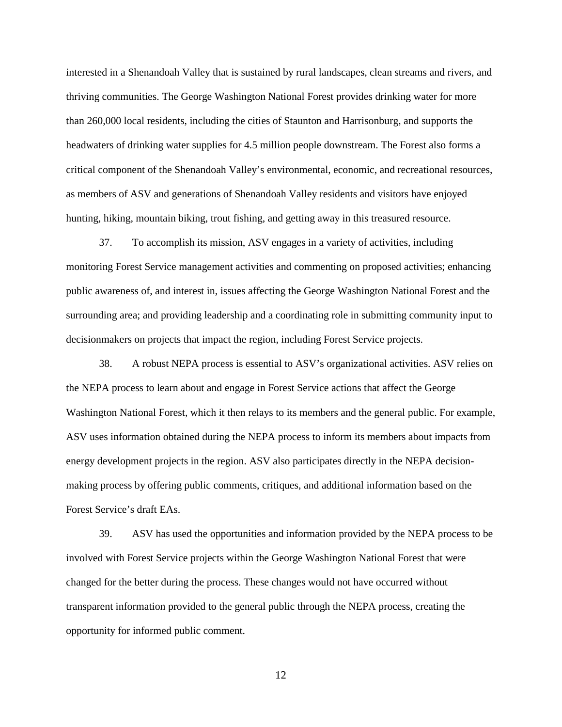interested in a Shenandoah Valley that is sustained by rural landscapes, clean streams and rivers, and thriving communities. The George Washington National Forest provides drinking water for more than 260,000 local residents, including the cities of Staunton and Harrisonburg, and supports the headwaters of drinking water supplies for 4.5 million people downstream. The Forest also forms a critical component of the Shenandoah Valley's environmental, economic, and recreational resources, as members of ASV and generations of Shenandoah Valley residents and visitors have enjoyed hunting, hiking, mountain biking, trout fishing, and getting away in this treasured resource.

37. To accomplish its mission, ASV engages in a variety of activities, including monitoring Forest Service management activities and commenting on proposed activities; enhancing public awareness of, and interest in, issues affecting the George Washington National Forest and the surrounding area; and providing leadership and a coordinating role in submitting community input to decisionmakers on projects that impact the region, including Forest Service projects.

38. A robust NEPA process is essential to ASV's organizational activities. ASV relies on the NEPA process to learn about and engage in Forest Service actions that affect the George Washington National Forest, which it then relays to its members and the general public. For example, ASV uses information obtained during the NEPA process to inform its members about impacts from energy development projects in the region. ASV also participates directly in the NEPA decisionmaking process by offering public comments, critiques, and additional information based on the Forest Service's draft EAs.

39. ASV has used the opportunities and information provided by the NEPA process to be involved with Forest Service projects within the George Washington National Forest that were changed for the better during the process. These changes would not have occurred without transparent information provided to the general public through the NEPA process, creating the opportunity for informed public comment.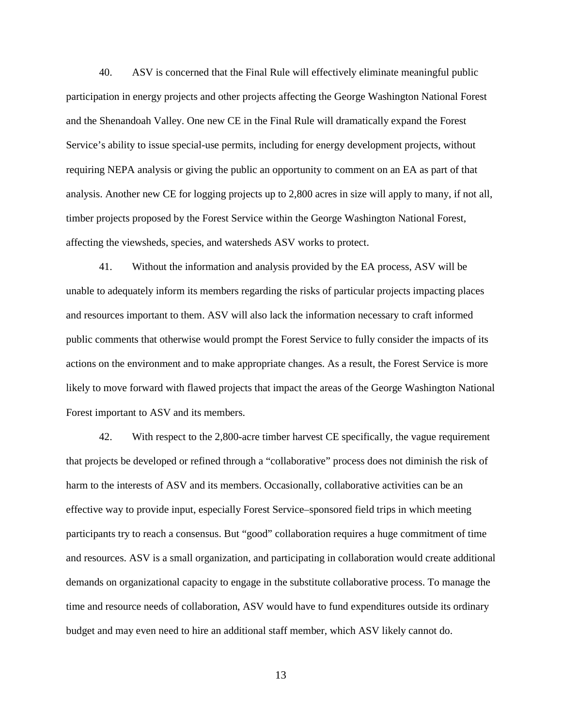40. ASV is concerned that the Final Rule will effectively eliminate meaningful public participation in energy projects and other projects affecting the George Washington National Forest and the Shenandoah Valley. One new CE in the Final Rule will dramatically expand the Forest Service's ability to issue special-use permits, including for energy development projects, without requiring NEPA analysis or giving the public an opportunity to comment on an EA as part of that analysis. Another new CE for logging projects up to 2,800 acres in size will apply to many, if not all, timber projects proposed by the Forest Service within the George Washington National Forest, affecting the viewsheds, species, and watersheds ASV works to protect.

41. Without the information and analysis provided by the EA process, ASV will be unable to adequately inform its members regarding the risks of particular projects impacting places and resources important to them. ASV will also lack the information necessary to craft informed public comments that otherwise would prompt the Forest Service to fully consider the impacts of its actions on the environment and to make appropriate changes. As a result, the Forest Service is more likely to move forward with flawed projects that impact the areas of the George Washington National Forest important to ASV and its members.

42. With respect to the 2,800-acre timber harvest CE specifically, the vague requirement that projects be developed or refined through a "collaborative" process does not diminish the risk of harm to the interests of ASV and its members. Occasionally, collaborative activities can be an effective way to provide input, especially Forest Service–sponsored field trips in which meeting participants try to reach a consensus. But "good" collaboration requires a huge commitment of time and resources. ASV is a small organization, and participating in collaboration would create additional demands on organizational capacity to engage in the substitute collaborative process. To manage the time and resource needs of collaboration, ASV would have to fund expenditures outside its ordinary budget and may even need to hire an additional staff member, which ASV likely cannot do.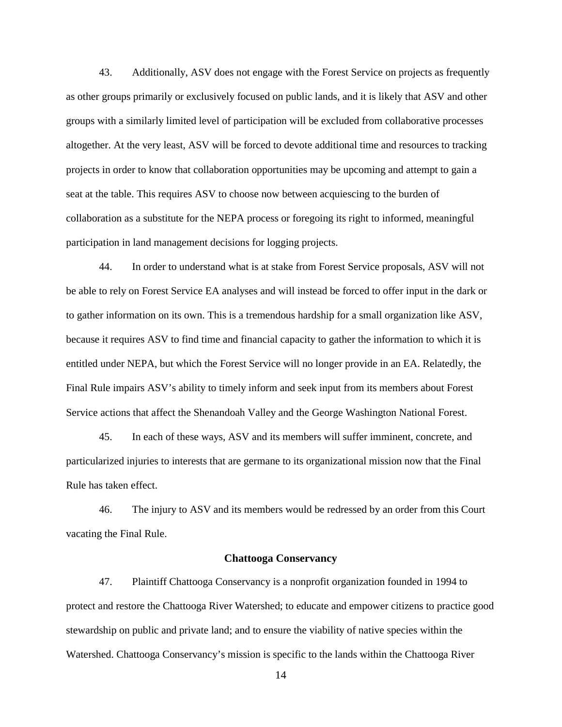43. Additionally, ASV does not engage with the Forest Service on projects as frequently as other groups primarily or exclusively focused on public lands, and it is likely that ASV and other groups with a similarly limited level of participation will be excluded from collaborative processes altogether. At the very least, ASV will be forced to devote additional time and resources to tracking projects in order to know that collaboration opportunities may be upcoming and attempt to gain a seat at the table. This requires ASV to choose now between acquiescing to the burden of collaboration as a substitute for the NEPA process or foregoing its right to informed, meaningful participation in land management decisions for logging projects.

44. In order to understand what is at stake from Forest Service proposals, ASV will not be able to rely on Forest Service EA analyses and will instead be forced to offer input in the dark or to gather information on its own. This is a tremendous hardship for a small organization like ASV, because it requires ASV to find time and financial capacity to gather the information to which it is entitled under NEPA, but which the Forest Service will no longer provide in an EA. Relatedly, the Final Rule impairs ASV's ability to timely inform and seek input from its members about Forest Service actions that affect the Shenandoah Valley and the George Washington National Forest.

45. In each of these ways, ASV and its members will suffer imminent, concrete, and particularized injuries to interests that are germane to its organizational mission now that the Final Rule has taken effect.

46. The injury to ASV and its members would be redressed by an order from this Court vacating the Final Rule.

## **Chattooga Conservancy**

47. Plaintiff Chattooga Conservancy is a nonprofit organization founded in 1994 to protect and restore the Chattooga River Watershed; to educate and empower citizens to practice good stewardship on public and private land; and to ensure the viability of native species within the Watershed. Chattooga Conservancy's mission is specific to the lands within the Chattooga River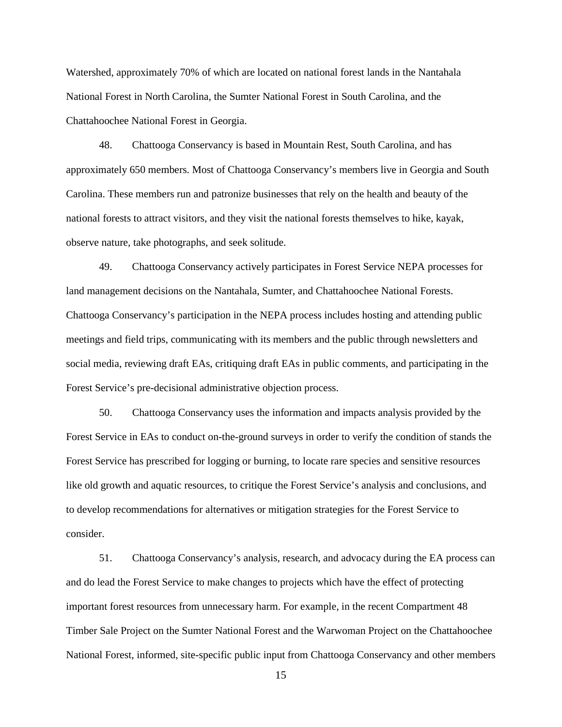Watershed, approximately 70% of which are located on national forest lands in the Nantahala National Forest in North Carolina, the Sumter National Forest in South Carolina, and the Chattahoochee National Forest in Georgia.

48. Chattooga Conservancy is based in Mountain Rest, South Carolina, and has approximately 650 members. Most of Chattooga Conservancy's members live in Georgia and South Carolina. These members run and patronize businesses that rely on the health and beauty of the national forests to attract visitors, and they visit the national forests themselves to hike, kayak, observe nature, take photographs, and seek solitude.

49. Chattooga Conservancy actively participates in Forest Service NEPA processes for land management decisions on the Nantahala, Sumter, and Chattahoochee National Forests. Chattooga Conservancy's participation in the NEPA process includes hosting and attending public meetings and field trips, communicating with its members and the public through newsletters and social media, reviewing draft EAs, critiquing draft EAs in public comments, and participating in the Forest Service's pre-decisional administrative objection process.

50. Chattooga Conservancy uses the information and impacts analysis provided by the Forest Service in EAs to conduct on-the-ground surveys in order to verify the condition of stands the Forest Service has prescribed for logging or burning, to locate rare species and sensitive resources like old growth and aquatic resources, to critique the Forest Service's analysis and conclusions, and to develop recommendations for alternatives or mitigation strategies for the Forest Service to consider.

51. Chattooga Conservancy's analysis, research, and advocacy during the EA process can and do lead the Forest Service to make changes to projects which have the effect of protecting important forest resources from unnecessary harm. For example, in the recent Compartment 48 Timber Sale Project on the Sumter National Forest and the Warwoman Project on the Chattahoochee National Forest, informed, site-specific public input from Chattooga Conservancy and other members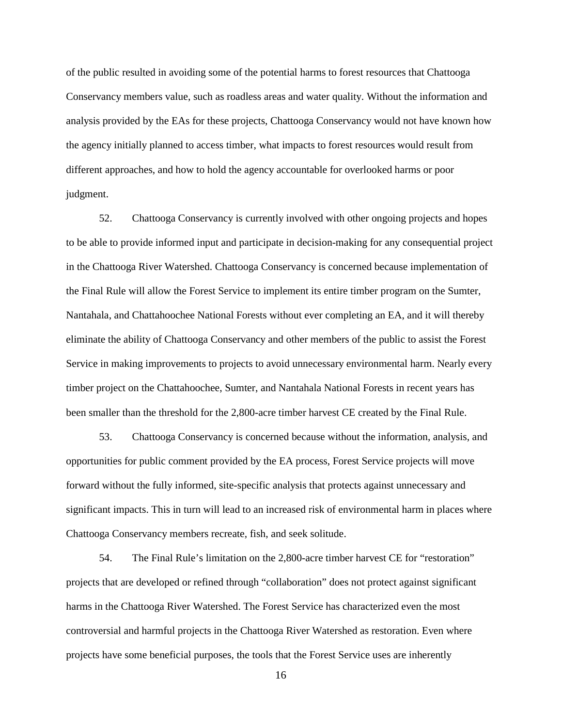of the public resulted in avoiding some of the potential harms to forest resources that Chattooga Conservancy members value, such as roadless areas and water quality. Without the information and analysis provided by the EAs for these projects, Chattooga Conservancy would not have known how the agency initially planned to access timber, what impacts to forest resources would result from different approaches, and how to hold the agency accountable for overlooked harms or poor judgment.

52. Chattooga Conservancy is currently involved with other ongoing projects and hopes to be able to provide informed input and participate in decision-making for any consequential project in the Chattooga River Watershed. Chattooga Conservancy is concerned because implementation of the Final Rule will allow the Forest Service to implement its entire timber program on the Sumter, Nantahala, and Chattahoochee National Forests without ever completing an EA, and it will thereby eliminate the ability of Chattooga Conservancy and other members of the public to assist the Forest Service in making improvements to projects to avoid unnecessary environmental harm. Nearly every timber project on the Chattahoochee, Sumter, and Nantahala National Forests in recent years has been smaller than the threshold for the 2,800-acre timber harvest CE created by the Final Rule.

53. Chattooga Conservancy is concerned because without the information, analysis, and opportunities for public comment provided by the EA process, Forest Service projects will move forward without the fully informed, site-specific analysis that protects against unnecessary and significant impacts. This in turn will lead to an increased risk of environmental harm in places where Chattooga Conservancy members recreate, fish, and seek solitude.

54. The Final Rule's limitation on the 2,800-acre timber harvest CE for "restoration" projects that are developed or refined through "collaboration" does not protect against significant harms in the Chattooga River Watershed. The Forest Service has characterized even the most controversial and harmful projects in the Chattooga River Watershed as restoration. Even where projects have some beneficial purposes, the tools that the Forest Service uses are inherently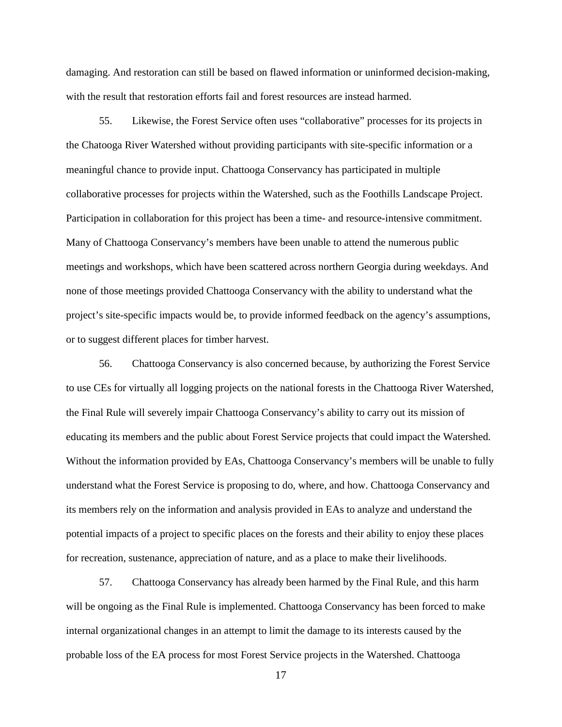damaging. And restoration can still be based on flawed information or uninformed decision-making, with the result that restoration efforts fail and forest resources are instead harmed.

55. Likewise, the Forest Service often uses "collaborative" processes for its projects in the Chatooga River Watershed without providing participants with site-specific information or a meaningful chance to provide input. Chattooga Conservancy has participated in multiple collaborative processes for projects within the Watershed, such as the Foothills Landscape Project. Participation in collaboration for this project has been a time- and resource-intensive commitment. Many of Chattooga Conservancy's members have been unable to attend the numerous public meetings and workshops, which have been scattered across northern Georgia during weekdays. And none of those meetings provided Chattooga Conservancy with the ability to understand what the project's site-specific impacts would be, to provide informed feedback on the agency's assumptions, or to suggest different places for timber harvest.

56. Chattooga Conservancy is also concerned because, by authorizing the Forest Service to use CEs for virtually all logging projects on the national forests in the Chattooga River Watershed, the Final Rule will severely impair Chattooga Conservancy's ability to carry out its mission of educating its members and the public about Forest Service projects that could impact the Watershed. Without the information provided by EAs, Chattooga Conservancy's members will be unable to fully understand what the Forest Service is proposing to do, where, and how. Chattooga Conservancy and its members rely on the information and analysis provided in EAs to analyze and understand the potential impacts of a project to specific places on the forests and their ability to enjoy these places for recreation, sustenance, appreciation of nature, and as a place to make their livelihoods.

57. Chattooga Conservancy has already been harmed by the Final Rule, and this harm will be ongoing as the Final Rule is implemented. Chattooga Conservancy has been forced to make internal organizational changes in an attempt to limit the damage to its interests caused by the probable loss of the EA process for most Forest Service projects in the Watershed. Chattooga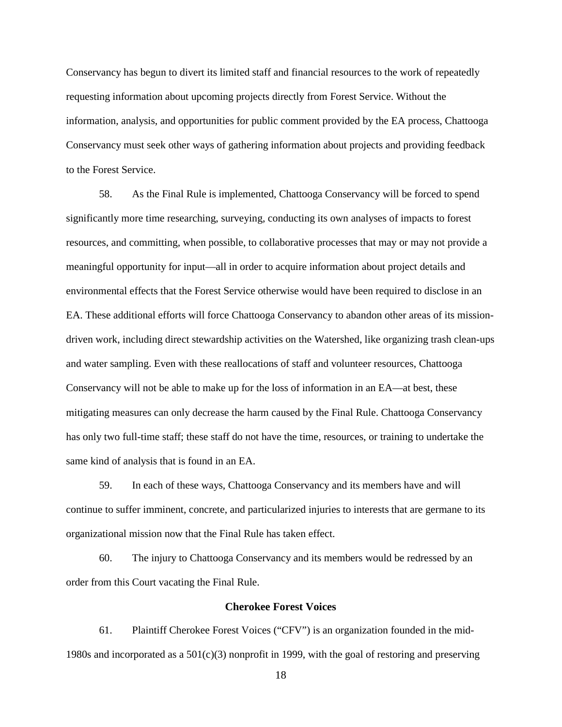Conservancy has begun to divert its limited staff and financial resources to the work of repeatedly requesting information about upcoming projects directly from Forest Service. Without the information, analysis, and opportunities for public comment provided by the EA process, Chattooga Conservancy must seek other ways of gathering information about projects and providing feedback to the Forest Service.

58. As the Final Rule is implemented, Chattooga Conservancy will be forced to spend significantly more time researching, surveying, conducting its own analyses of impacts to forest resources, and committing, when possible, to collaborative processes that may or may not provide a meaningful opportunity for input—all in order to acquire information about project details and environmental effects that the Forest Service otherwise would have been required to disclose in an EA. These additional efforts will force Chattooga Conservancy to abandon other areas of its missiondriven work, including direct stewardship activities on the Watershed, like organizing trash clean-ups and water sampling. Even with these reallocations of staff and volunteer resources, Chattooga Conservancy will not be able to make up for the loss of information in an EA—at best, these mitigating measures can only decrease the harm caused by the Final Rule. Chattooga Conservancy has only two full-time staff; these staff do not have the time, resources, or training to undertake the same kind of analysis that is found in an EA.

59. In each of these ways, Chattooga Conservancy and its members have and will continue to suffer imminent, concrete, and particularized injuries to interests that are germane to its organizational mission now that the Final Rule has taken effect.

60. The injury to Chattooga Conservancy and its members would be redressed by an order from this Court vacating the Final Rule.

## **Cherokee Forest Voices**

61. Plaintiff Cherokee Forest Voices ("CFV") is an organization founded in the mid-1980s and incorporated as a  $501(c)(3)$  nonprofit in 1999, with the goal of restoring and preserving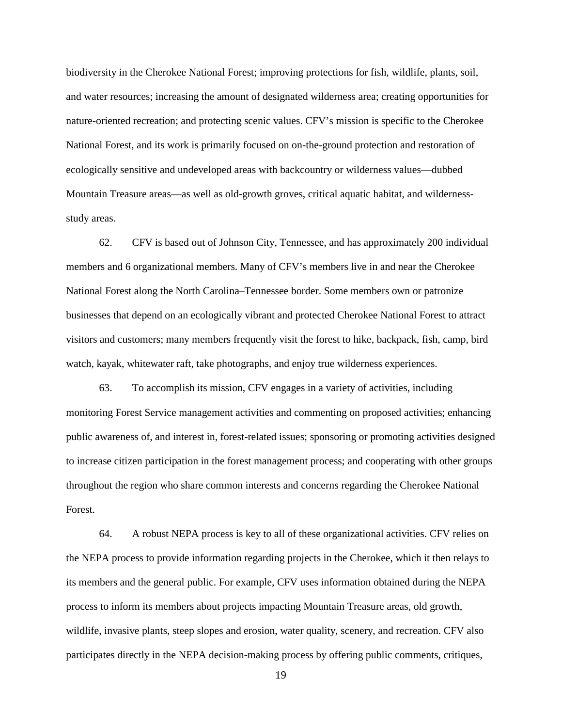biodiversity in the Cherokee National Forest; improving protections for fish, wildlife, plants, soil, and water resources; increasing the amount of designated wilderness area; creating opportunities for nature-oriented recreation; and protecting scenic values. CFV's mission is specific to the Cherokee National Forest, and its work is primarily focused on on-the-ground protection and restoration of ecologically sensitive and undeveloped areas with backcountry or wilderness values—dubbed Mountain Treasure areas—as well as old-growth groves, critical aquatic habitat, and wildernessstudy areas.

62. CFV is based out of Johnson City, Tennessee, and has approximately 200 individual members and 6 organizational members. Many of CFV's members live in and near the Cherokee National Forest along the North Carolina–Tennessee border. Some members own or patronize businesses that depend on an ecologically vibrant and protected Cherokee National Forest to attract visitors and customers; many members frequently visit the forest to hike, backpack, fish, camp, bird watch, kayak, whitewater raft, take photographs, and enjoy true wilderness experiences.

63. To accomplish its mission, CFV engages in a variety of activities, including monitoring Forest Service management activities and commenting on proposed activities; enhancing public awareness of, and interest in, forest-related issues; sponsoring or promoting activities designed to increase citizen participation in the forest management process; and cooperating with other groups throughout the region who share common interests and concerns regarding the Cherokee National Forest.

64. A robust NEPA process is key to all of these organizational activities. CFV relies on the NEPA process to provide information regarding projects in the Cherokee, which it then relays to its members and the general public. For example, CFV uses information obtained during the NEPA process to inform its members about projects impacting Mountain Treasure areas, old growth, wildlife, invasive plants, steep slopes and erosion, water quality, scenery, and recreation. CFV also participates directly in the NEPA decision-making process by offering public comments, critiques,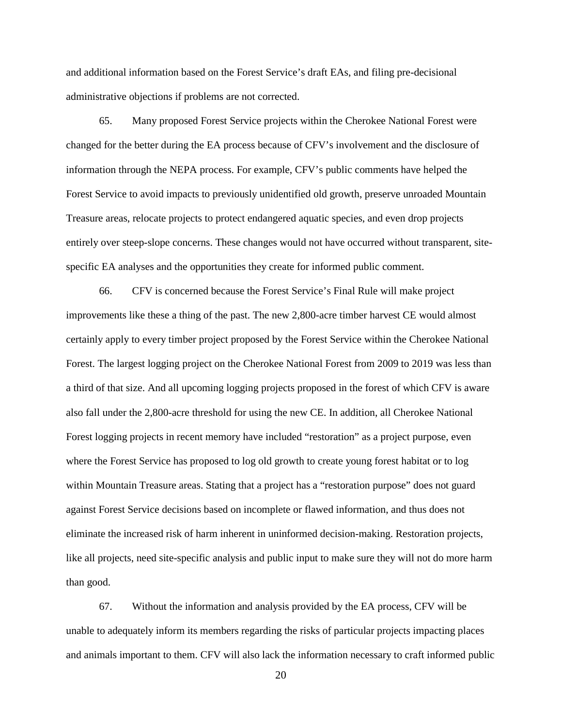and additional information based on the Forest Service's draft EAs, and filing pre-decisional administrative objections if problems are not corrected.

65. Many proposed Forest Service projects within the Cherokee National Forest were changed for the better during the EA process because of CFV's involvement and the disclosure of information through the NEPA process. For example, CFV's public comments have helped the Forest Service to avoid impacts to previously unidentified old growth, preserve unroaded Mountain Treasure areas, relocate projects to protect endangered aquatic species, and even drop projects entirely over steep-slope concerns. These changes would not have occurred without transparent, sitespecific EA analyses and the opportunities they create for informed public comment.

66. CFV is concerned because the Forest Service's Final Rule will make project improvements like these a thing of the past. The new 2,800-acre timber harvest CE would almost certainly apply to every timber project proposed by the Forest Service within the Cherokee National Forest. The largest logging project on the Cherokee National Forest from 2009 to 2019 was less than a third of that size. And all upcoming logging projects proposed in the forest of which CFV is aware also fall under the 2,800-acre threshold for using the new CE. In addition, all Cherokee National Forest logging projects in recent memory have included "restoration" as a project purpose, even where the Forest Service has proposed to log old growth to create young forest habitat or to log within Mountain Treasure areas. Stating that a project has a "restoration purpose" does not guard against Forest Service decisions based on incomplete or flawed information, and thus does not eliminate the increased risk of harm inherent in uninformed decision-making. Restoration projects, like all projects, need site-specific analysis and public input to make sure they will not do more harm than good.

67. Without the information and analysis provided by the EA process, CFV will be unable to adequately inform its members regarding the risks of particular projects impacting places and animals important to them. CFV will also lack the information necessary to craft informed public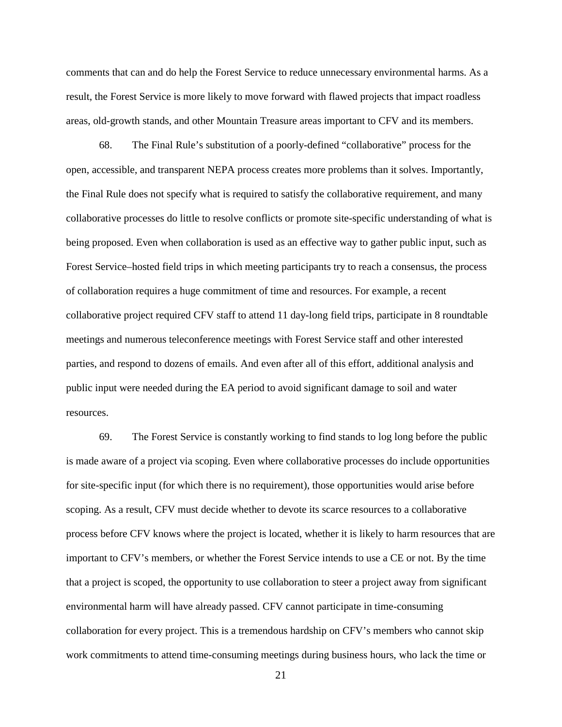comments that can and do help the Forest Service to reduce unnecessary environmental harms. As a result, the Forest Service is more likely to move forward with flawed projects that impact roadless areas, old-growth stands, and other Mountain Treasure areas important to CFV and its members.

68. The Final Rule's substitution of a poorly-defined "collaborative" process for the open, accessible, and transparent NEPA process creates more problems than it solves. Importantly, the Final Rule does not specify what is required to satisfy the collaborative requirement, and many collaborative processes do little to resolve conflicts or promote site-specific understanding of what is being proposed. Even when collaboration is used as an effective way to gather public input, such as Forest Service–hosted field trips in which meeting participants try to reach a consensus, the process of collaboration requires a huge commitment of time and resources. For example, a recent collaborative project required CFV staff to attend 11 day-long field trips, participate in 8 roundtable meetings and numerous teleconference meetings with Forest Service staff and other interested parties, and respond to dozens of emails. And even after all of this effort, additional analysis and public input were needed during the EA period to avoid significant damage to soil and water resources.

69. The Forest Service is constantly working to find stands to log long before the public is made aware of a project via scoping. Even where collaborative processes do include opportunities for site-specific input (for which there is no requirement), those opportunities would arise before scoping. As a result, CFV must decide whether to devote its scarce resources to a collaborative process before CFV knows where the project is located, whether it is likely to harm resources that are important to CFV's members, or whether the Forest Service intends to use a CE or not. By the time that a project is scoped, the opportunity to use collaboration to steer a project away from significant environmental harm will have already passed. CFV cannot participate in time-consuming collaboration for every project. This is a tremendous hardship on CFV's members who cannot skip work commitments to attend time-consuming meetings during business hours, who lack the time or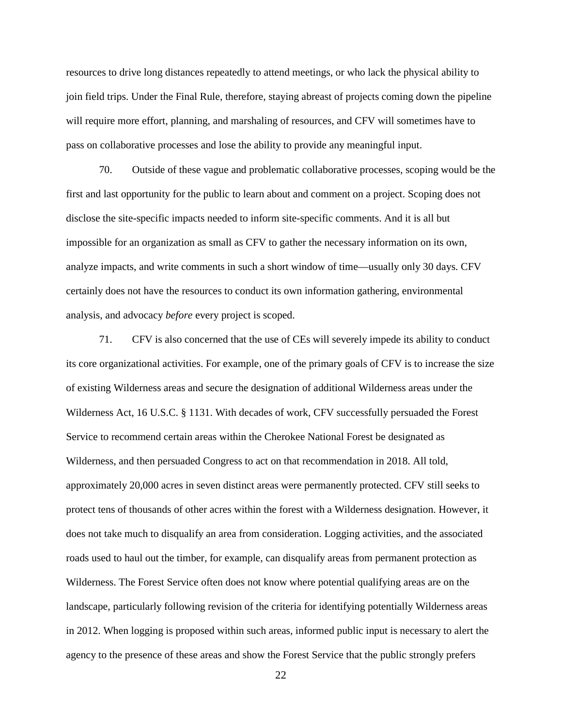resources to drive long distances repeatedly to attend meetings, or who lack the physical ability to join field trips. Under the Final Rule, therefore, staying abreast of projects coming down the pipeline will require more effort, planning, and marshaling of resources, and CFV will sometimes have to pass on collaborative processes and lose the ability to provide any meaningful input.

70. Outside of these vague and problematic collaborative processes, scoping would be the first and last opportunity for the public to learn about and comment on a project. Scoping does not disclose the site-specific impacts needed to inform site-specific comments. And it is all but impossible for an organization as small as CFV to gather the necessary information on its own, analyze impacts, and write comments in such a short window of time—usually only 30 days. CFV certainly does not have the resources to conduct its own information gathering, environmental analysis, and advocacy *before* every project is scoped.

71. CFV is also concerned that the use of CEs will severely impede its ability to conduct its core organizational activities. For example, one of the primary goals of CFV is to increase the size of existing Wilderness areas and secure the designation of additional Wilderness areas under the Wilderness Act, 16 U.S.C. § 1131. With decades of work, CFV successfully persuaded the Forest Service to recommend certain areas within the Cherokee National Forest be designated as Wilderness, and then persuaded Congress to act on that recommendation in 2018. All told, approximately 20,000 acres in seven distinct areas were permanently protected. CFV still seeks to protect tens of thousands of other acres within the forest with a Wilderness designation. However, it does not take much to disqualify an area from consideration. Logging activities, and the associated roads used to haul out the timber, for example, can disqualify areas from permanent protection as Wilderness. The Forest Service often does not know where potential qualifying areas are on the landscape, particularly following revision of the criteria for identifying potentially Wilderness areas in 2012. When logging is proposed within such areas, informed public input is necessary to alert the agency to the presence of these areas and show the Forest Service that the public strongly prefers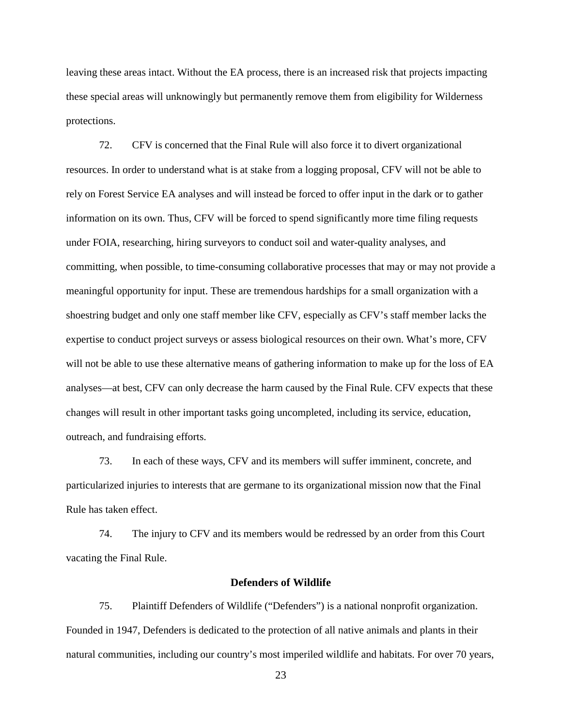leaving these areas intact. Without the EA process, there is an increased risk that projects impacting these special areas will unknowingly but permanently remove them from eligibility for Wilderness protections.

72. CFV is concerned that the Final Rule will also force it to divert organizational resources. In order to understand what is at stake from a logging proposal, CFV will not be able to rely on Forest Service EA analyses and will instead be forced to offer input in the dark or to gather information on its own. Thus, CFV will be forced to spend significantly more time filing requests under FOIA, researching, hiring surveyors to conduct soil and water-quality analyses, and committing, when possible, to time-consuming collaborative processes that may or may not provide a meaningful opportunity for input. These are tremendous hardships for a small organization with a shoestring budget and only one staff member like CFV, especially as CFV's staff member lacks the expertise to conduct project surveys or assess biological resources on their own. What's more, CFV will not be able to use these alternative means of gathering information to make up for the loss of EA analyses—at best, CFV can only decrease the harm caused by the Final Rule. CFV expects that these changes will result in other important tasks going uncompleted, including its service, education, outreach, and fundraising efforts.

73. In each of these ways, CFV and its members will suffer imminent, concrete, and particularized injuries to interests that are germane to its organizational mission now that the Final Rule has taken effect.

74. The injury to CFV and its members would be redressed by an order from this Court vacating the Final Rule.

### **Defenders of Wildlife**

75. Plaintiff Defenders of Wildlife ("Defenders") is a national nonprofit organization. Founded in 1947, Defenders is dedicated to the protection of all native animals and plants in their natural communities, including our country's most imperiled wildlife and habitats. For over 70 years,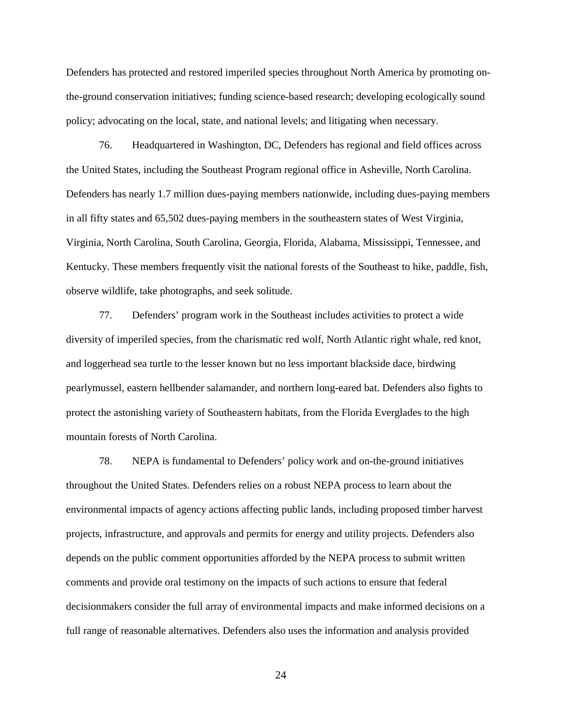Defenders has protected and restored imperiled species throughout North America by promoting onthe-ground conservation initiatives; funding science-based research; developing ecologically sound policy; advocating on the local, state, and national levels; and litigating when necessary.

76. Headquartered in Washington, DC, Defenders has regional and field offices across the United States, including the Southeast Program regional office in Asheville, North Carolina. Defenders has nearly 1.7 million dues-paying members nationwide, including dues-paying members in all fifty states and 65,502 dues-paying members in the southeastern states of West Virginia, Virginia, North Carolina, South Carolina, Georgia, Florida, Alabama, Mississippi, Tennessee, and Kentucky. These members frequently visit the national forests of the Southeast to hike, paddle, fish, observe wildlife, take photographs, and seek solitude.

77. Defenders' program work in the Southeast includes activities to protect a wide diversity of imperiled species, from the charismatic red wolf, North Atlantic right whale, red knot, and loggerhead sea turtle to the lesser known but no less important blackside dace, birdwing pearlymussel, eastern hellbender salamander, and northern long-eared bat. Defenders also fights to protect the astonishing variety of Southeastern habitats, from the Florida Everglades to the high mountain forests of North Carolina.

78. NEPA is fundamental to Defenders' policy work and on-the-ground initiatives throughout the United States. Defenders relies on a robust NEPA process to learn about the environmental impacts of agency actions affecting public lands, including proposed timber harvest projects, infrastructure, and approvals and permits for energy and utility projects. Defenders also depends on the public comment opportunities afforded by the NEPA process to submit written comments and provide oral testimony on the impacts of such actions to ensure that federal decisionmakers consider the full array of environmental impacts and make informed decisions on a full range of reasonable alternatives. Defenders also uses the information and analysis provided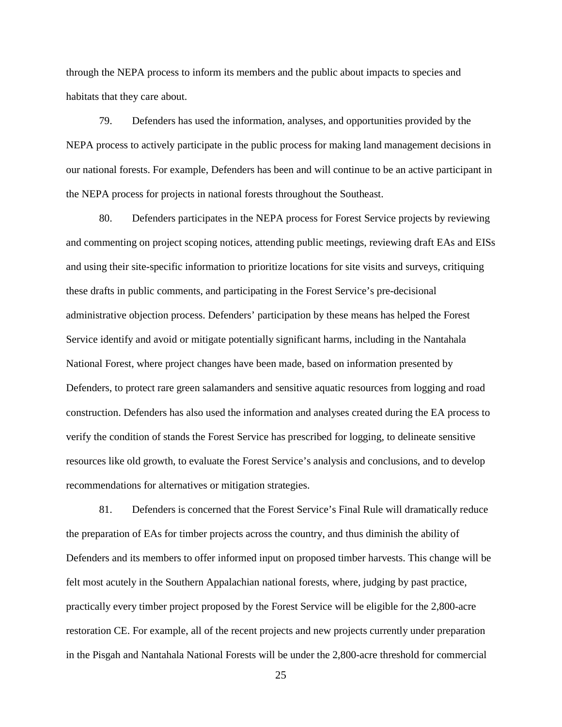through the NEPA process to inform its members and the public about impacts to species and habitats that they care about.

79. Defenders has used the information, analyses, and opportunities provided by the NEPA process to actively participate in the public process for making land management decisions in our national forests. For example, Defenders has been and will continue to be an active participant in the NEPA process for projects in national forests throughout the Southeast.

80. Defenders participates in the NEPA process for Forest Service projects by reviewing and commenting on project scoping notices, attending public meetings, reviewing draft EAs and EISs and using their site-specific information to prioritize locations for site visits and surveys, critiquing these drafts in public comments, and participating in the Forest Service's pre-decisional administrative objection process. Defenders' participation by these means has helped the Forest Service identify and avoid or mitigate potentially significant harms, including in the Nantahala National Forest, where project changes have been made, based on information presented by Defenders, to protect rare green salamanders and sensitive aquatic resources from logging and road construction. Defenders has also used the information and analyses created during the EA process to verify the condition of stands the Forest Service has prescribed for logging, to delineate sensitive resources like old growth, to evaluate the Forest Service's analysis and conclusions, and to develop recommendations for alternatives or mitigation strategies.

81. Defenders is concerned that the Forest Service's Final Rule will dramatically reduce the preparation of EAs for timber projects across the country, and thus diminish the ability of Defenders and its members to offer informed input on proposed timber harvests. This change will be felt most acutely in the Southern Appalachian national forests, where, judging by past practice, practically every timber project proposed by the Forest Service will be eligible for the 2,800-acre restoration CE. For example, all of the recent projects and new projects currently under preparation in the Pisgah and Nantahala National Forests will be under the 2,800-acre threshold for commercial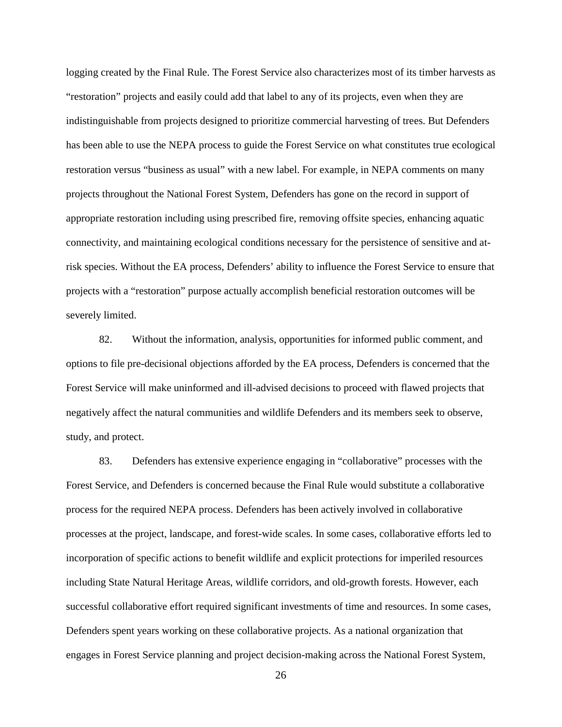logging created by the Final Rule. The Forest Service also characterizes most of its timber harvests as "restoration" projects and easily could add that label to any of its projects, even when they are indistinguishable from projects designed to prioritize commercial harvesting of trees. But Defenders has been able to use the NEPA process to guide the Forest Service on what constitutes true ecological restoration versus "business as usual" with a new label. For example, in NEPA comments on many projects throughout the National Forest System, Defenders has gone on the record in support of appropriate restoration including using prescribed fire, removing offsite species, enhancing aquatic connectivity, and maintaining ecological conditions necessary for the persistence of sensitive and atrisk species. Without the EA process, Defenders' ability to influence the Forest Service to ensure that projects with a "restoration" purpose actually accomplish beneficial restoration outcomes will be severely limited.

82. Without the information, analysis, opportunities for informed public comment, and options to file pre-decisional objections afforded by the EA process, Defenders is concerned that the Forest Service will make uninformed and ill-advised decisions to proceed with flawed projects that negatively affect the natural communities and wildlife Defenders and its members seek to observe, study, and protect.

83. Defenders has extensive experience engaging in "collaborative" processes with the Forest Service, and Defenders is concerned because the Final Rule would substitute a collaborative process for the required NEPA process. Defenders has been actively involved in collaborative processes at the project, landscape, and forest-wide scales. In some cases, collaborative efforts led to incorporation of specific actions to benefit wildlife and explicit protections for imperiled resources including State Natural Heritage Areas, wildlife corridors, and old-growth forests. However, each successful collaborative effort required significant investments of time and resources. In some cases, Defenders spent years working on these collaborative projects. As a national organization that engages in Forest Service planning and project decision-making across the National Forest System,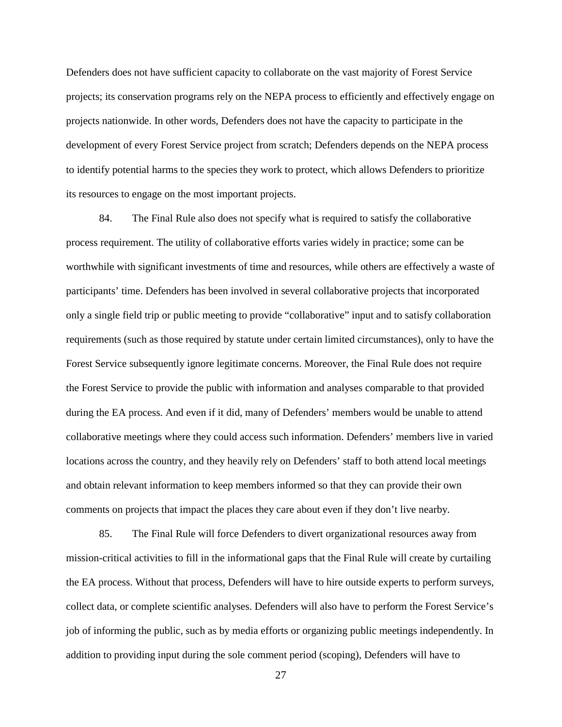Defenders does not have sufficient capacity to collaborate on the vast majority of Forest Service projects; its conservation programs rely on the NEPA process to efficiently and effectively engage on projects nationwide. In other words, Defenders does not have the capacity to participate in the development of every Forest Service project from scratch; Defenders depends on the NEPA process to identify potential harms to the species they work to protect, which allows Defenders to prioritize its resources to engage on the most important projects.

84. The Final Rule also does not specify what is required to satisfy the collaborative process requirement. The utility of collaborative efforts varies widely in practice; some can be worthwhile with significant investments of time and resources, while others are effectively a waste of participants' time. Defenders has been involved in several collaborative projects that incorporated only a single field trip or public meeting to provide "collaborative" input and to satisfy collaboration requirements (such as those required by statute under certain limited circumstances), only to have the Forest Service subsequently ignore legitimate concerns. Moreover, the Final Rule does not require the Forest Service to provide the public with information and analyses comparable to that provided during the EA process. And even if it did, many of Defenders' members would be unable to attend collaborative meetings where they could access such information. Defenders' members live in varied locations across the country, and they heavily rely on Defenders' staff to both attend local meetings and obtain relevant information to keep members informed so that they can provide their own comments on projects that impact the places they care about even if they don't live nearby.

85. The Final Rule will force Defenders to divert organizational resources away from mission-critical activities to fill in the informational gaps that the Final Rule will create by curtailing the EA process. Without that process, Defenders will have to hire outside experts to perform surveys, collect data, or complete scientific analyses. Defenders will also have to perform the Forest Service's job of informing the public, such as by media efforts or organizing public meetings independently. In addition to providing input during the sole comment period (scoping), Defenders will have to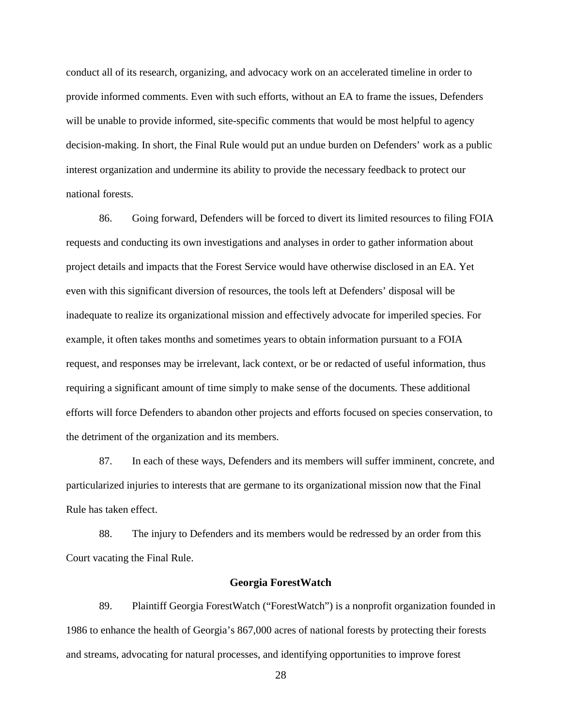conduct all of its research, organizing, and advocacy work on an accelerated timeline in order to provide informed comments. Even with such efforts, without an EA to frame the issues, Defenders will be unable to provide informed, site-specific comments that would be most helpful to agency decision-making. In short, the Final Rule would put an undue burden on Defenders' work as a public interest organization and undermine its ability to provide the necessary feedback to protect our national forests.

86. Going forward, Defenders will be forced to divert its limited resources to filing FOIA requests and conducting its own investigations and analyses in order to gather information about project details and impacts that the Forest Service would have otherwise disclosed in an EA. Yet even with this significant diversion of resources, the tools left at Defenders' disposal will be inadequate to realize its organizational mission and effectively advocate for imperiled species. For example, it often takes months and sometimes years to obtain information pursuant to a FOIA request, and responses may be irrelevant, lack context, or be or redacted of useful information, thus requiring a significant amount of time simply to make sense of the documents. These additional efforts will force Defenders to abandon other projects and efforts focused on species conservation, to the detriment of the organization and its members.

87. In each of these ways, Defenders and its members will suffer imminent, concrete, and particularized injuries to interests that are germane to its organizational mission now that the Final Rule has taken effect.

88. The injury to Defenders and its members would be redressed by an order from this Court vacating the Final Rule.

## **Georgia ForestWatch**

89. Plaintiff Georgia ForestWatch ("ForestWatch") is a nonprofit organization founded in 1986 to enhance the health of Georgia's 867,000 acres of national forests by protecting their forests and streams, advocating for natural processes, and identifying opportunities to improve forest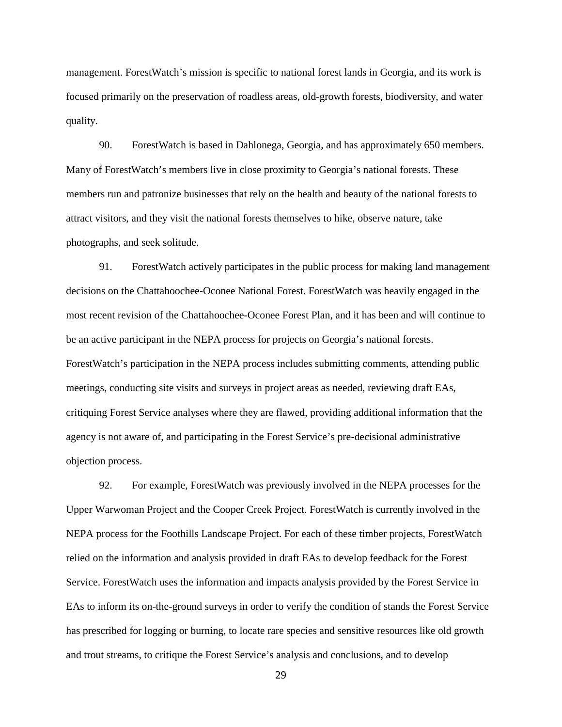management. ForestWatch's mission is specific to national forest lands in Georgia, and its work is focused primarily on the preservation of roadless areas, old-growth forests, biodiversity, and water quality.

90. ForestWatch is based in Dahlonega, Georgia, and has approximately 650 members. Many of ForestWatch's members live in close proximity to Georgia's national forests. These members run and patronize businesses that rely on the health and beauty of the national forests to attract visitors, and they visit the national forests themselves to hike, observe nature, take photographs, and seek solitude.

91. ForestWatch actively participates in the public process for making land management decisions on the Chattahoochee-Oconee National Forest. ForestWatch was heavily engaged in the most recent revision of the Chattahoochee-Oconee Forest Plan, and it has been and will continue to be an active participant in the NEPA process for projects on Georgia's national forests. ForestWatch's participation in the NEPA process includes submitting comments, attending public meetings, conducting site visits and surveys in project areas as needed, reviewing draft EAs, critiquing Forest Service analyses where they are flawed, providing additional information that the agency is not aware of, and participating in the Forest Service's pre-decisional administrative objection process.

92. For example, ForestWatch was previously involved in the NEPA processes for the Upper Warwoman Project and the Cooper Creek Project. ForestWatch is currently involved in the NEPA process for the Foothills Landscape Project. For each of these timber projects, ForestWatch relied on the information and analysis provided in draft EAs to develop feedback for the Forest Service. ForestWatch uses the information and impacts analysis provided by the Forest Service in EAs to inform its on-the-ground surveys in order to verify the condition of stands the Forest Service has prescribed for logging or burning, to locate rare species and sensitive resources like old growth and trout streams, to critique the Forest Service's analysis and conclusions, and to develop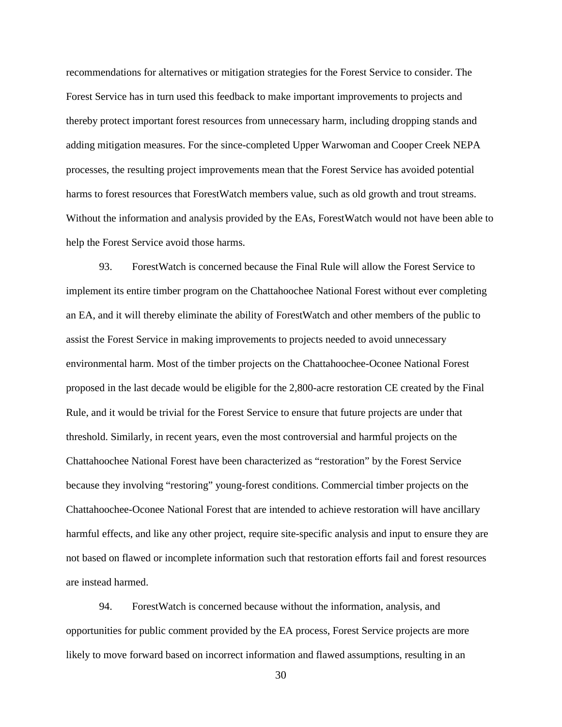recommendations for alternatives or mitigation strategies for the Forest Service to consider. The Forest Service has in turn used this feedback to make important improvements to projects and thereby protect important forest resources from unnecessary harm, including dropping stands and adding mitigation measures. For the since-completed Upper Warwoman and Cooper Creek NEPA processes, the resulting project improvements mean that the Forest Service has avoided potential harms to forest resources that ForestWatch members value, such as old growth and trout streams. Without the information and analysis provided by the EAs, ForestWatch would not have been able to help the Forest Service avoid those harms.

93. ForestWatch is concerned because the Final Rule will allow the Forest Service to implement its entire timber program on the Chattahoochee National Forest without ever completing an EA, and it will thereby eliminate the ability of ForestWatch and other members of the public to assist the Forest Service in making improvements to projects needed to avoid unnecessary environmental harm. Most of the timber projects on the Chattahoochee-Oconee National Forest proposed in the last decade would be eligible for the 2,800-acre restoration CE created by the Final Rule, and it would be trivial for the Forest Service to ensure that future projects are under that threshold. Similarly, in recent years, even the most controversial and harmful projects on the Chattahoochee National Forest have been characterized as "restoration" by the Forest Service because they involving "restoring" young-forest conditions. Commercial timber projects on the Chattahoochee-Oconee National Forest that are intended to achieve restoration will have ancillary harmful effects, and like any other project, require site-specific analysis and input to ensure they are not based on flawed or incomplete information such that restoration efforts fail and forest resources are instead harmed.

94. ForestWatch is concerned because without the information, analysis, and opportunities for public comment provided by the EA process, Forest Service projects are more likely to move forward based on incorrect information and flawed assumptions, resulting in an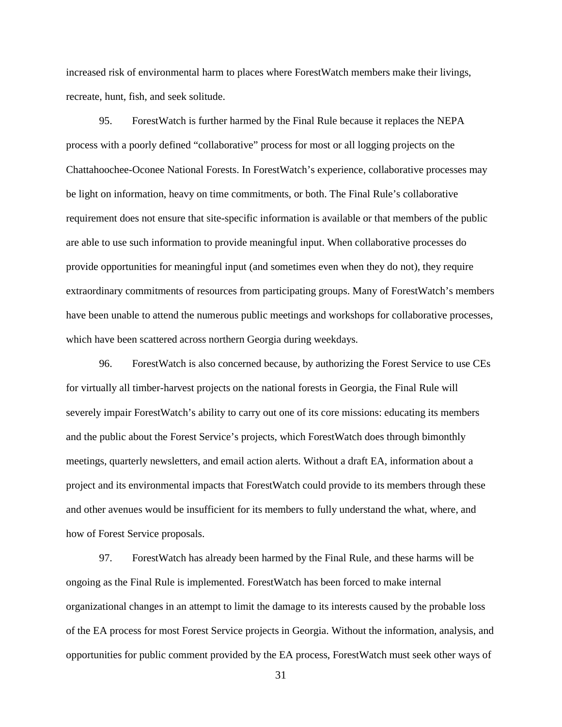increased risk of environmental harm to places where ForestWatch members make their livings, recreate, hunt, fish, and seek solitude.

95. ForestWatch is further harmed by the Final Rule because it replaces the NEPA process with a poorly defined "collaborative" process for most or all logging projects on the Chattahoochee-Oconee National Forests. In ForestWatch's experience, collaborative processes may be light on information, heavy on time commitments, or both. The Final Rule's collaborative requirement does not ensure that site-specific information is available or that members of the public are able to use such information to provide meaningful input. When collaborative processes do provide opportunities for meaningful input (and sometimes even when they do not), they require extraordinary commitments of resources from participating groups. Many of ForestWatch's members have been unable to attend the numerous public meetings and workshops for collaborative processes, which have been scattered across northern Georgia during weekdays.

96. ForestWatch is also concerned because, by authorizing the Forest Service to use CEs for virtually all timber-harvest projects on the national forests in Georgia, the Final Rule will severely impair ForestWatch's ability to carry out one of its core missions: educating its members and the public about the Forest Service's projects, which ForestWatch does through bimonthly meetings, quarterly newsletters, and email action alerts. Without a draft EA, information about a project and its environmental impacts that ForestWatch could provide to its members through these and other avenues would be insufficient for its members to fully understand the what, where, and how of Forest Service proposals.

97. ForestWatch has already been harmed by the Final Rule, and these harms will be ongoing as the Final Rule is implemented. ForestWatch has been forced to make internal organizational changes in an attempt to limit the damage to its interests caused by the probable loss of the EA process for most Forest Service projects in Georgia. Without the information, analysis, and opportunities for public comment provided by the EA process, ForestWatch must seek other ways of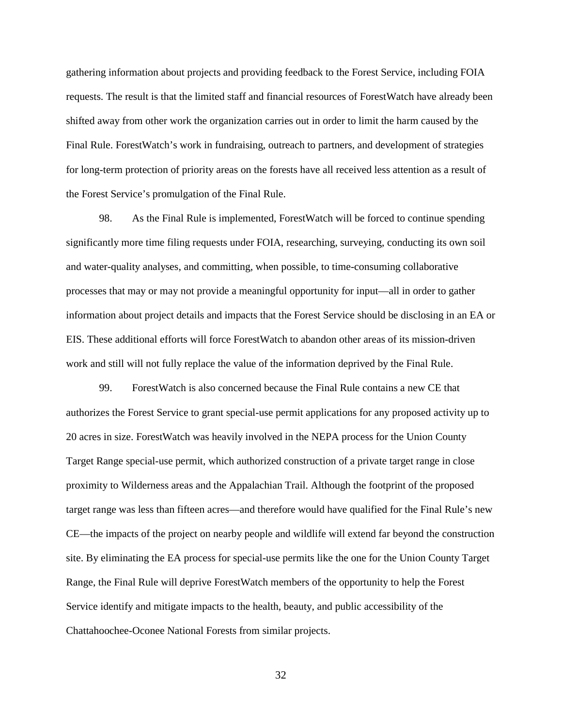gathering information about projects and providing feedback to the Forest Service, including FOIA requests. The result is that the limited staff and financial resources of ForestWatch have already been shifted away from other work the organization carries out in order to limit the harm caused by the Final Rule. ForestWatch's work in fundraising, outreach to partners, and development of strategies for long-term protection of priority areas on the forests have all received less attention as a result of the Forest Service's promulgation of the Final Rule.

98. As the Final Rule is implemented, ForestWatch will be forced to continue spending significantly more time filing requests under FOIA, researching, surveying, conducting its own soil and water-quality analyses, and committing, when possible, to time-consuming collaborative processes that may or may not provide a meaningful opportunity for input—all in order to gather information about project details and impacts that the Forest Service should be disclosing in an EA or EIS. These additional efforts will force ForestWatch to abandon other areas of its mission-driven work and still will not fully replace the value of the information deprived by the Final Rule.

99. ForestWatch is also concerned because the Final Rule contains a new CE that authorizes the Forest Service to grant special-use permit applications for any proposed activity up to 20 acres in size. ForestWatch was heavily involved in the NEPA process for the Union County Target Range special-use permit, which authorized construction of a private target range in close proximity to Wilderness areas and the Appalachian Trail. Although the footprint of the proposed target range was less than fifteen acres—and therefore would have qualified for the Final Rule's new CE—the impacts of the project on nearby people and wildlife will extend far beyond the construction site. By eliminating the EA process for special-use permits like the one for the Union County Target Range, the Final Rule will deprive ForestWatch members of the opportunity to help the Forest Service identify and mitigate impacts to the health, beauty, and public accessibility of the Chattahoochee-Oconee National Forests from similar projects.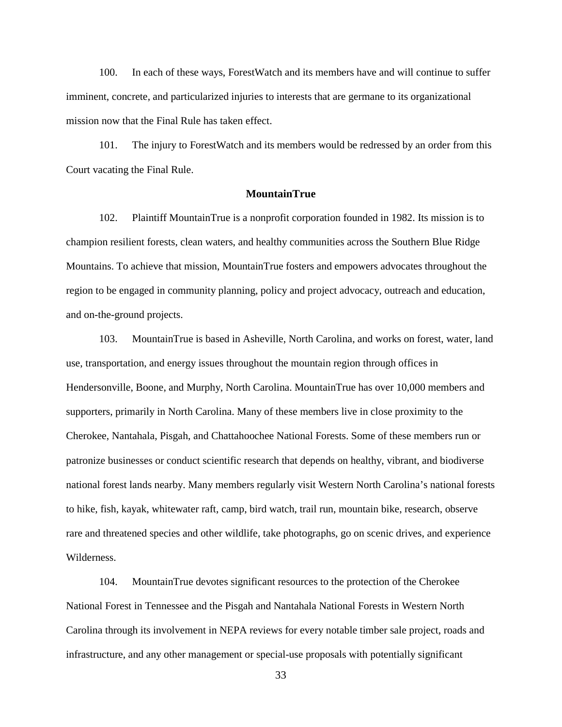100. In each of these ways, ForestWatch and its members have and will continue to suffer imminent, concrete, and particularized injuries to interests that are germane to its organizational mission now that the Final Rule has taken effect.

101. The injury to ForestWatch and its members would be redressed by an order from this Court vacating the Final Rule.

#### **MountainTrue**

102. Plaintiff MountainTrue is a nonprofit corporation founded in 1982. Its mission is to champion resilient forests, clean waters, and healthy communities across the Southern Blue Ridge Mountains. To achieve that mission, MountainTrue fosters and empowers advocates throughout the region to be engaged in community planning, policy and project advocacy, outreach and education, and on-the-ground projects.

103. MountainTrue is based in Asheville, North Carolina, and works on forest, water, land use, transportation, and energy issues throughout the mountain region through offices in Hendersonville, Boone, and Murphy, North Carolina. MountainTrue has over 10,000 members and supporters, primarily in North Carolina. Many of these members live in close proximity to the Cherokee, Nantahala, Pisgah, and Chattahoochee National Forests. Some of these members run or patronize businesses or conduct scientific research that depends on healthy, vibrant, and biodiverse national forest lands nearby. Many members regularly visit Western North Carolina's national forests to hike, fish, kayak, whitewater raft, camp, bird watch, trail run, mountain bike, research, observe rare and threatened species and other wildlife, take photographs, go on scenic drives, and experience Wilderness.

104. MountainTrue devotes significant resources to the protection of the Cherokee National Forest in Tennessee and the Pisgah and Nantahala National Forests in Western North Carolina through its involvement in NEPA reviews for every notable timber sale project, roads and infrastructure, and any other management or special-use proposals with potentially significant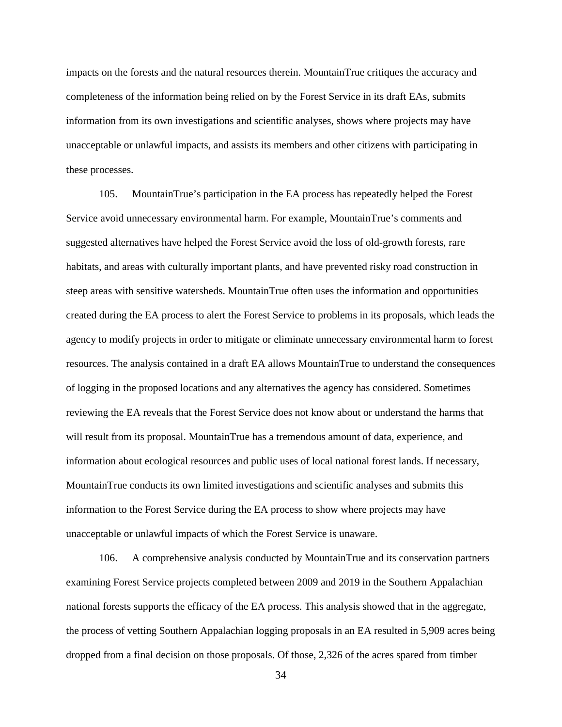impacts on the forests and the natural resources therein. MountainTrue critiques the accuracy and completeness of the information being relied on by the Forest Service in its draft EAs, submits information from its own investigations and scientific analyses, shows where projects may have unacceptable or unlawful impacts, and assists its members and other citizens with participating in these processes.

105. MountainTrue's participation in the EA process has repeatedly helped the Forest Service avoid unnecessary environmental harm. For example, MountainTrue's comments and suggested alternatives have helped the Forest Service avoid the loss of old-growth forests, rare habitats, and areas with culturally important plants, and have prevented risky road construction in steep areas with sensitive watersheds. MountainTrue often uses the information and opportunities created during the EA process to alert the Forest Service to problems in its proposals, which leads the agency to modify projects in order to mitigate or eliminate unnecessary environmental harm to forest resources. The analysis contained in a draft EA allows MountainTrue to understand the consequences of logging in the proposed locations and any alternatives the agency has considered. Sometimes reviewing the EA reveals that the Forest Service does not know about or understand the harms that will result from its proposal. MountainTrue has a tremendous amount of data, experience, and information about ecological resources and public uses of local national forest lands. If necessary, MountainTrue conducts its own limited investigations and scientific analyses and submits this information to the Forest Service during the EA process to show where projects may have unacceptable or unlawful impacts of which the Forest Service is unaware.

106. A comprehensive analysis conducted by MountainTrue and its conservation partners examining Forest Service projects completed between 2009 and 2019 in the Southern Appalachian national forests supports the efficacy of the EA process. This analysis showed that in the aggregate, the process of vetting Southern Appalachian logging proposals in an EA resulted in 5,909 acres being dropped from a final decision on those proposals. Of those, 2,326 of the acres spared from timber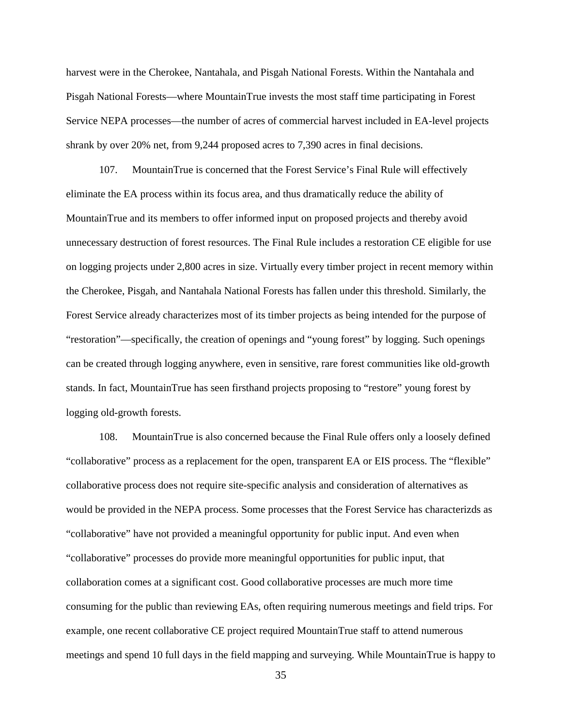harvest were in the Cherokee, Nantahala, and Pisgah National Forests. Within the Nantahala and Pisgah National Forests—where MountainTrue invests the most staff time participating in Forest Service NEPA processes—the number of acres of commercial harvest included in EA-level projects shrank by over 20% net, from 9,244 proposed acres to 7,390 acres in final decisions.

107. MountainTrue is concerned that the Forest Service's Final Rule will effectively eliminate the EA process within its focus area, and thus dramatically reduce the ability of MountainTrue and its members to offer informed input on proposed projects and thereby avoid unnecessary destruction of forest resources. The Final Rule includes a restoration CE eligible for use on logging projects under 2,800 acres in size. Virtually every timber project in recent memory within the Cherokee, Pisgah, and Nantahala National Forests has fallen under this threshold. Similarly, the Forest Service already characterizes most of its timber projects as being intended for the purpose of "restoration"—specifically, the creation of openings and "young forest" by logging. Such openings can be created through logging anywhere, even in sensitive, rare forest communities like old-growth stands. In fact, MountainTrue has seen firsthand projects proposing to "restore" young forest by logging old-growth forests.

108. MountainTrue is also concerned because the Final Rule offers only a loosely defined "collaborative" process as a replacement for the open, transparent EA or EIS process. The "flexible" collaborative process does not require site-specific analysis and consideration of alternatives as would be provided in the NEPA process. Some processes that the Forest Service has characterizds as "collaborative" have not provided a meaningful opportunity for public input. And even when "collaborative" processes do provide more meaningful opportunities for public input, that collaboration comes at a significant cost. Good collaborative processes are much more time consuming for the public than reviewing EAs, often requiring numerous meetings and field trips. For example, one recent collaborative CE project required MountainTrue staff to attend numerous meetings and spend 10 full days in the field mapping and surveying. While MountainTrue is happy to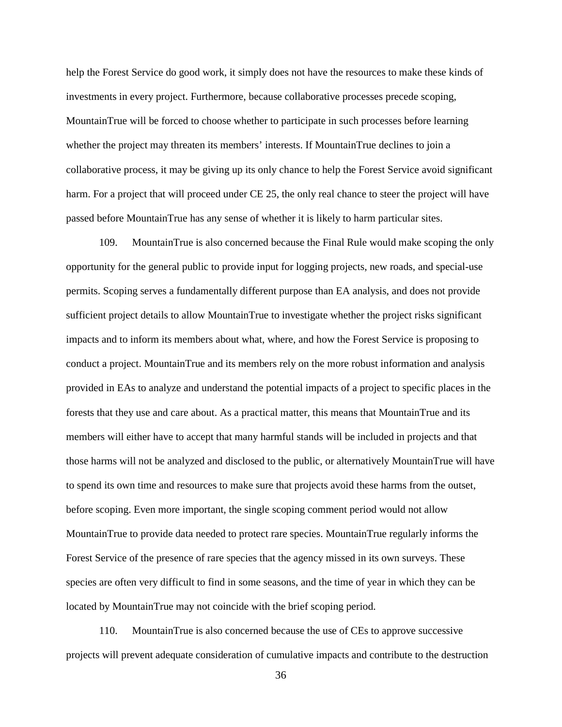help the Forest Service do good work, it simply does not have the resources to make these kinds of investments in every project. Furthermore, because collaborative processes precede scoping, MountainTrue will be forced to choose whether to participate in such processes before learning whether the project may threaten its members' interests. If MountainTrue declines to join a collaborative process, it may be giving up its only chance to help the Forest Service avoid significant harm. For a project that will proceed under CE 25, the only real chance to steer the project will have passed before MountainTrue has any sense of whether it is likely to harm particular sites.

109. MountainTrue is also concerned because the Final Rule would make scoping the only opportunity for the general public to provide input for logging projects, new roads, and special-use permits. Scoping serves a fundamentally different purpose than EA analysis, and does not provide sufficient project details to allow MountainTrue to investigate whether the project risks significant impacts and to inform its members about what, where, and how the Forest Service is proposing to conduct a project. MountainTrue and its members rely on the more robust information and analysis provided in EAs to analyze and understand the potential impacts of a project to specific places in the forests that they use and care about. As a practical matter, this means that MountainTrue and its members will either have to accept that many harmful stands will be included in projects and that those harms will not be analyzed and disclosed to the public, or alternatively MountainTrue will have to spend its own time and resources to make sure that projects avoid these harms from the outset, before scoping. Even more important, the single scoping comment period would not allow MountainTrue to provide data needed to protect rare species. MountainTrue regularly informs the Forest Service of the presence of rare species that the agency missed in its own surveys. These species are often very difficult to find in some seasons, and the time of year in which they can be located by MountainTrue may not coincide with the brief scoping period.

110. MountainTrue is also concerned because the use of CEs to approve successive projects will prevent adequate consideration of cumulative impacts and contribute to the destruction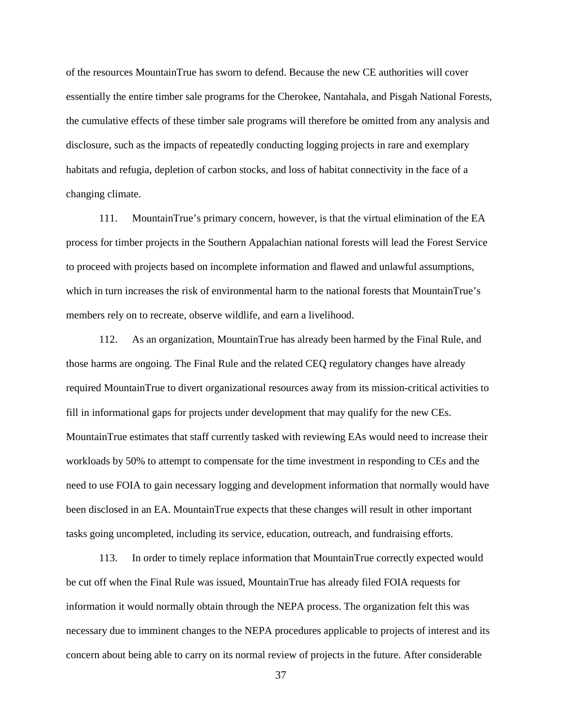of the resources MountainTrue has sworn to defend. Because the new CE authorities will cover essentially the entire timber sale programs for the Cherokee, Nantahala, and Pisgah National Forests, the cumulative effects of these timber sale programs will therefore be omitted from any analysis and disclosure, such as the impacts of repeatedly conducting logging projects in rare and exemplary habitats and refugia, depletion of carbon stocks, and loss of habitat connectivity in the face of a changing climate.

111. MountainTrue's primary concern, however, is that the virtual elimination of the EA process for timber projects in the Southern Appalachian national forests will lead the Forest Service to proceed with projects based on incomplete information and flawed and unlawful assumptions, which in turn increases the risk of environmental harm to the national forests that MountainTrue's members rely on to recreate, observe wildlife, and earn a livelihood.

112. As an organization, MountainTrue has already been harmed by the Final Rule, and those harms are ongoing. The Final Rule and the related CEQ regulatory changes have already required MountainTrue to divert organizational resources away from its mission-critical activities to fill in informational gaps for projects under development that may qualify for the new CEs. MountainTrue estimates that staff currently tasked with reviewing EAs would need to increase their workloads by 50% to attempt to compensate for the time investment in responding to CEs and the need to use FOIA to gain necessary logging and development information that normally would have been disclosed in an EA. MountainTrue expects that these changes will result in other important tasks going uncompleted, including its service, education, outreach, and fundraising efforts.

113. In order to timely replace information that MountainTrue correctly expected would be cut off when the Final Rule was issued, MountainTrue has already filed FOIA requests for information it would normally obtain through the NEPA process. The organization felt this was necessary due to imminent changes to the NEPA procedures applicable to projects of interest and its concern about being able to carry on its normal review of projects in the future. After considerable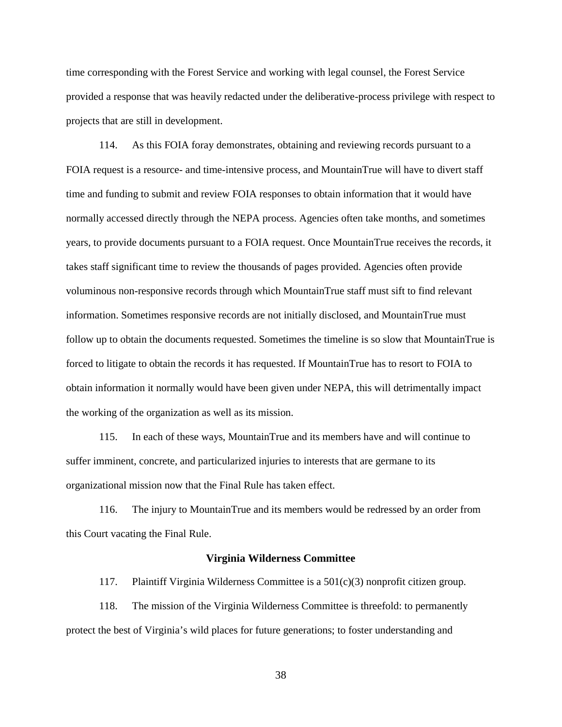time corresponding with the Forest Service and working with legal counsel, the Forest Service provided a response that was heavily redacted under the deliberative-process privilege with respect to projects that are still in development.

114. As this FOIA foray demonstrates, obtaining and reviewing records pursuant to a FOIA request is a resource- and time-intensive process, and MountainTrue will have to divert staff time and funding to submit and review FOIA responses to obtain information that it would have normally accessed directly through the NEPA process. Agencies often take months, and sometimes years, to provide documents pursuant to a FOIA request. Once MountainTrue receives the records, it takes staff significant time to review the thousands of pages provided. Agencies often provide voluminous non-responsive records through which MountainTrue staff must sift to find relevant information. Sometimes responsive records are not initially disclosed, and MountainTrue must follow up to obtain the documents requested. Sometimes the timeline is so slow that MountainTrue is forced to litigate to obtain the records it has requested. If MountainTrue has to resort to FOIA to obtain information it normally would have been given under NEPA, this will detrimentally impact the working of the organization as well as its mission.

115. In each of these ways, MountainTrue and its members have and will continue to suffer imminent, concrete, and particularized injuries to interests that are germane to its organizational mission now that the Final Rule has taken effect.

116. The injury to MountainTrue and its members would be redressed by an order from this Court vacating the Final Rule.

## **Virginia Wilderness Committee**

117. Plaintiff Virginia Wilderness Committee is a 501(c)(3) nonprofit citizen group.

118. The mission of the Virginia Wilderness Committee is threefold: to permanently protect the best of Virginia's wild places for future generations; to foster understanding and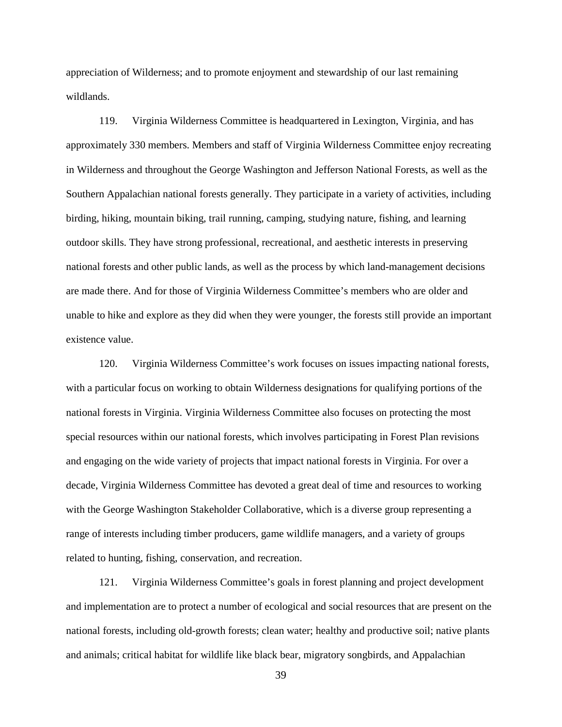appreciation of Wilderness; and to promote enjoyment and stewardship of our last remaining wildlands.

119. Virginia Wilderness Committee is headquartered in Lexington, Virginia, and has approximately 330 members. Members and staff of Virginia Wilderness Committee enjoy recreating in Wilderness and throughout the George Washington and Jefferson National Forests, as well as the Southern Appalachian national forests generally. They participate in a variety of activities, including birding, hiking, mountain biking, trail running, camping, studying nature, fishing, and learning outdoor skills. They have strong professional, recreational, and aesthetic interests in preserving national forests and other public lands, as well as the process by which land-management decisions are made there. And for those of Virginia Wilderness Committee's members who are older and unable to hike and explore as they did when they were younger, the forests still provide an important existence value.

120. Virginia Wilderness Committee's work focuses on issues impacting national forests, with a particular focus on working to obtain Wilderness designations for qualifying portions of the national forests in Virginia. Virginia Wilderness Committee also focuses on protecting the most special resources within our national forests, which involves participating in Forest Plan revisions and engaging on the wide variety of projects that impact national forests in Virginia. For over a decade, Virginia Wilderness Committee has devoted a great deal of time and resources to working with the George Washington Stakeholder Collaborative, which is a diverse group representing a range of interests including timber producers, game wildlife managers, and a variety of groups related to hunting, fishing, conservation, and recreation.

121. Virginia Wilderness Committee's goals in forest planning and project development and implementation are to protect a number of ecological and social resources that are present on the national forests, including old-growth forests; clean water; healthy and productive soil; native plants and animals; critical habitat for wildlife like black bear, migratory songbirds, and Appalachian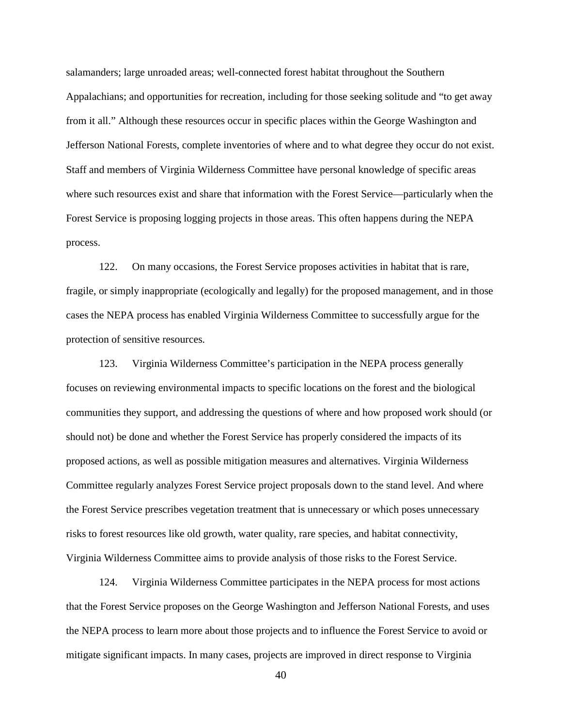salamanders; large unroaded areas; well-connected forest habitat throughout the Southern Appalachians; and opportunities for recreation, including for those seeking solitude and "to get away from it all." Although these resources occur in specific places within the George Washington and Jefferson National Forests, complete inventories of where and to what degree they occur do not exist. Staff and members of Virginia Wilderness Committee have personal knowledge of specific areas where such resources exist and share that information with the Forest Service—particularly when the Forest Service is proposing logging projects in those areas. This often happens during the NEPA process.

122. On many occasions, the Forest Service proposes activities in habitat that is rare, fragile, or simply inappropriate (ecologically and legally) for the proposed management, and in those cases the NEPA process has enabled Virginia Wilderness Committee to successfully argue for the protection of sensitive resources.

123. Virginia Wilderness Committee's participation in the NEPA process generally focuses on reviewing environmental impacts to specific locations on the forest and the biological communities they support, and addressing the questions of where and how proposed work should (or should not) be done and whether the Forest Service has properly considered the impacts of its proposed actions, as well as possible mitigation measures and alternatives. Virginia Wilderness Committee regularly analyzes Forest Service project proposals down to the stand level. And where the Forest Service prescribes vegetation treatment that is unnecessary or which poses unnecessary risks to forest resources like old growth, water quality, rare species, and habitat connectivity, Virginia Wilderness Committee aims to provide analysis of those risks to the Forest Service.

124. Virginia Wilderness Committee participates in the NEPA process for most actions that the Forest Service proposes on the George Washington and Jefferson National Forests, and uses the NEPA process to learn more about those projects and to influence the Forest Service to avoid or mitigate significant impacts. In many cases, projects are improved in direct response to Virginia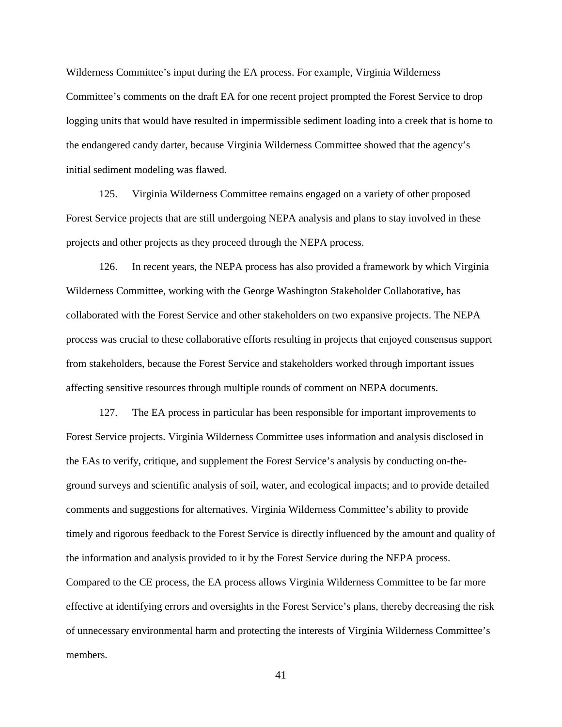Wilderness Committee's input during the EA process. For example, Virginia Wilderness Committee's comments on the draft EA for one recent project prompted the Forest Service to drop logging units that would have resulted in impermissible sediment loading into a creek that is home to the endangered candy darter, because Virginia Wilderness Committee showed that the agency's initial sediment modeling was flawed.

125. Virginia Wilderness Committee remains engaged on a variety of other proposed Forest Service projects that are still undergoing NEPA analysis and plans to stay involved in these projects and other projects as they proceed through the NEPA process.

126. In recent years, the NEPA process has also provided a framework by which Virginia Wilderness Committee, working with the George Washington Stakeholder Collaborative, has collaborated with the Forest Service and other stakeholders on two expansive projects. The NEPA process was crucial to these collaborative efforts resulting in projects that enjoyed consensus support from stakeholders, because the Forest Service and stakeholders worked through important issues affecting sensitive resources through multiple rounds of comment on NEPA documents.

127. The EA process in particular has been responsible for important improvements to Forest Service projects. Virginia Wilderness Committee uses information and analysis disclosed in the EAs to verify, critique, and supplement the Forest Service's analysis by conducting on-theground surveys and scientific analysis of soil, water, and ecological impacts; and to provide detailed comments and suggestions for alternatives. Virginia Wilderness Committee's ability to provide timely and rigorous feedback to the Forest Service is directly influenced by the amount and quality of the information and analysis provided to it by the Forest Service during the NEPA process. Compared to the CE process, the EA process allows Virginia Wilderness Committee to be far more effective at identifying errors and oversights in the Forest Service's plans, thereby decreasing the risk of unnecessary environmental harm and protecting the interests of Virginia Wilderness Committee's members.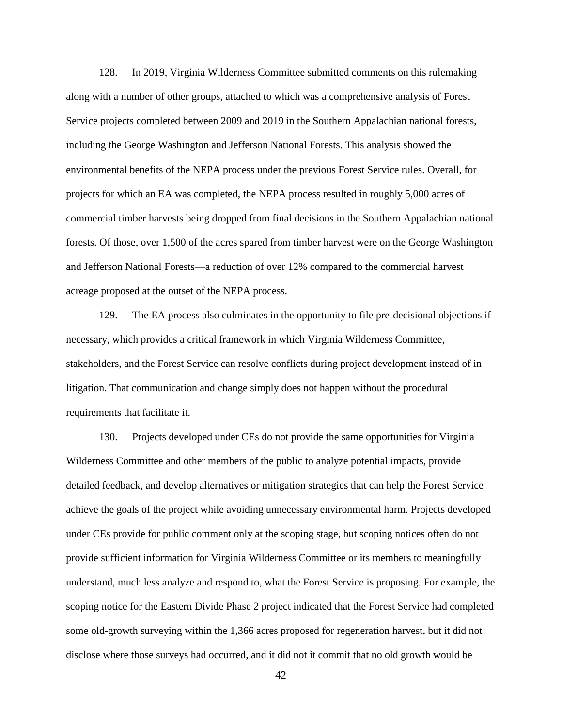128. In 2019, Virginia Wilderness Committee submitted comments on this rulemaking along with a number of other groups, attached to which was a comprehensive analysis of Forest Service projects completed between 2009 and 2019 in the Southern Appalachian national forests, including the George Washington and Jefferson National Forests. This analysis showed the environmental benefits of the NEPA process under the previous Forest Service rules. Overall, for projects for which an EA was completed, the NEPA process resulted in roughly 5,000 acres of commercial timber harvests being dropped from final decisions in the Southern Appalachian national forests. Of those, over 1,500 of the acres spared from timber harvest were on the George Washington and Jefferson National Forests—a reduction of over 12% compared to the commercial harvest acreage proposed at the outset of the NEPA process.

129. The EA process also culminates in the opportunity to file pre-decisional objections if necessary, which provides a critical framework in which Virginia Wilderness Committee, stakeholders, and the Forest Service can resolve conflicts during project development instead of in litigation. That communication and change simply does not happen without the procedural requirements that facilitate it.

130. Projects developed under CEs do not provide the same opportunities for Virginia Wilderness Committee and other members of the public to analyze potential impacts, provide detailed feedback, and develop alternatives or mitigation strategies that can help the Forest Service achieve the goals of the project while avoiding unnecessary environmental harm. Projects developed under CEs provide for public comment only at the scoping stage, but scoping notices often do not provide sufficient information for Virginia Wilderness Committee or its members to meaningfully understand, much less analyze and respond to, what the Forest Service is proposing. For example, the scoping notice for the Eastern Divide Phase 2 project indicated that the Forest Service had completed some old-growth surveying within the 1,366 acres proposed for regeneration harvest, but it did not disclose where those surveys had occurred, and it did not it commit that no old growth would be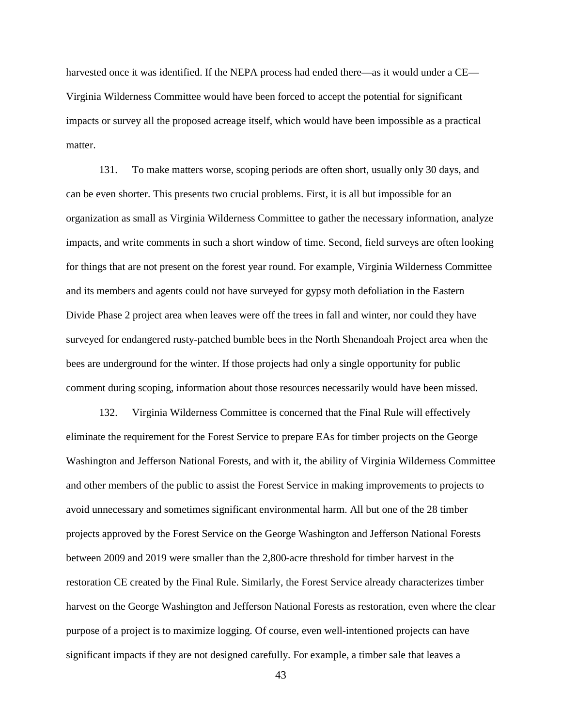harvested once it was identified. If the NEPA process had ended there—as it would under a CE— Virginia Wilderness Committee would have been forced to accept the potential for significant impacts or survey all the proposed acreage itself, which would have been impossible as a practical matter.

131. To make matters worse, scoping periods are often short, usually only 30 days, and can be even shorter. This presents two crucial problems. First, it is all but impossible for an organization as small as Virginia Wilderness Committee to gather the necessary information, analyze impacts, and write comments in such a short window of time. Second, field surveys are often looking for things that are not present on the forest year round. For example, Virginia Wilderness Committee and its members and agents could not have surveyed for gypsy moth defoliation in the Eastern Divide Phase 2 project area when leaves were off the trees in fall and winter, nor could they have surveyed for endangered rusty-patched bumble bees in the North Shenandoah Project area when the bees are underground for the winter. If those projects had only a single opportunity for public comment during scoping, information about those resources necessarily would have been missed.

132. Virginia Wilderness Committee is concerned that the Final Rule will effectively eliminate the requirement for the Forest Service to prepare EAs for timber projects on the George Washington and Jefferson National Forests, and with it, the ability of Virginia Wilderness Committee and other members of the public to assist the Forest Service in making improvements to projects to avoid unnecessary and sometimes significant environmental harm. All but one of the 28 timber projects approved by the Forest Service on the George Washington and Jefferson National Forests between 2009 and 2019 were smaller than the 2,800-acre threshold for timber harvest in the restoration CE created by the Final Rule. Similarly, the Forest Service already characterizes timber harvest on the George Washington and Jefferson National Forests as restoration, even where the clear purpose of a project is to maximize logging. Of course, even well-intentioned projects can have significant impacts if they are not designed carefully. For example, a timber sale that leaves a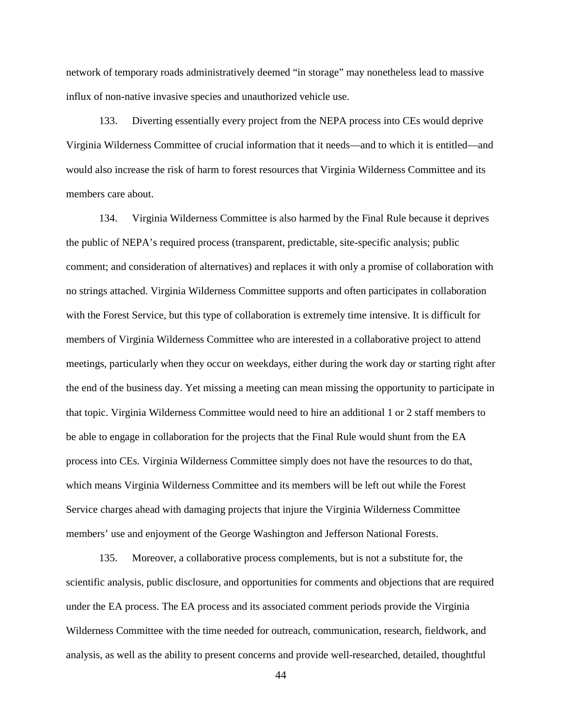network of temporary roads administratively deemed "in storage" may nonetheless lead to massive influx of non-native invasive species and unauthorized vehicle use.

133. Diverting essentially every project from the NEPA process into CEs would deprive Virginia Wilderness Committee of crucial information that it needs—and to which it is entitled—and would also increase the risk of harm to forest resources that Virginia Wilderness Committee and its members care about.

134. Virginia Wilderness Committee is also harmed by the Final Rule because it deprives the public of NEPA's required process (transparent, predictable, site-specific analysis; public comment; and consideration of alternatives) and replaces it with only a promise of collaboration with no strings attached. Virginia Wilderness Committee supports and often participates in collaboration with the Forest Service, but this type of collaboration is extremely time intensive. It is difficult for members of Virginia Wilderness Committee who are interested in a collaborative project to attend meetings, particularly when they occur on weekdays, either during the work day or starting right after the end of the business day. Yet missing a meeting can mean missing the opportunity to participate in that topic. Virginia Wilderness Committee would need to hire an additional 1 or 2 staff members to be able to engage in collaboration for the projects that the Final Rule would shunt from the EA process into CEs. Virginia Wilderness Committee simply does not have the resources to do that, which means Virginia Wilderness Committee and its members will be left out while the Forest Service charges ahead with damaging projects that injure the Virginia Wilderness Committee members' use and enjoyment of the George Washington and Jefferson National Forests.

135. Moreover, a collaborative process complements, but is not a substitute for, the scientific analysis, public disclosure, and opportunities for comments and objections that are required under the EA process. The EA process and its associated comment periods provide the Virginia Wilderness Committee with the time needed for outreach, communication, research, fieldwork, and analysis, as well as the ability to present concerns and provide well-researched, detailed, thoughtful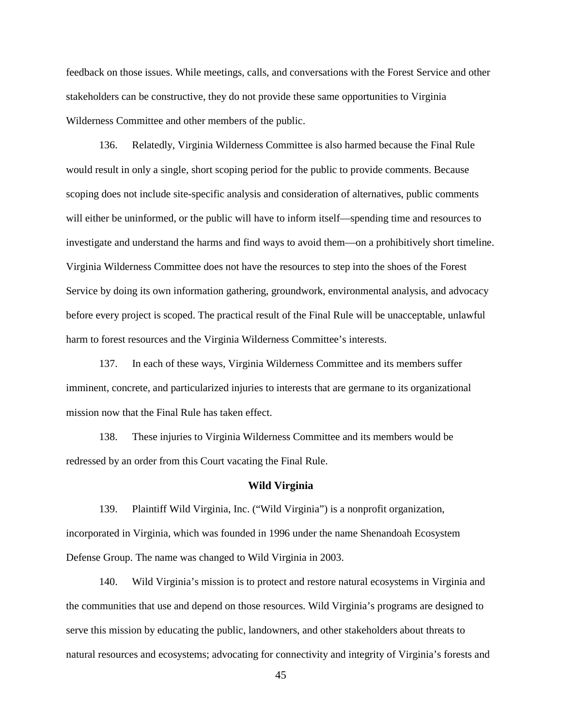feedback on those issues. While meetings, calls, and conversations with the Forest Service and other stakeholders can be constructive, they do not provide these same opportunities to Virginia Wilderness Committee and other members of the public.

136. Relatedly, Virginia Wilderness Committee is also harmed because the Final Rule would result in only a single, short scoping period for the public to provide comments. Because scoping does not include site-specific analysis and consideration of alternatives, public comments will either be uninformed, or the public will have to inform itself—spending time and resources to investigate and understand the harms and find ways to avoid them—on a prohibitively short timeline. Virginia Wilderness Committee does not have the resources to step into the shoes of the Forest Service by doing its own information gathering, groundwork, environmental analysis, and advocacy before every project is scoped. The practical result of the Final Rule will be unacceptable, unlawful harm to forest resources and the Virginia Wilderness Committee's interests.

137. In each of these ways, Virginia Wilderness Committee and its members suffer imminent, concrete, and particularized injuries to interests that are germane to its organizational mission now that the Final Rule has taken effect.

138. These injuries to Virginia Wilderness Committee and its members would be redressed by an order from this Court vacating the Final Rule.

#### **Wild Virginia**

139. Plaintiff Wild Virginia, Inc. ("Wild Virginia") is a nonprofit organization, incorporated in Virginia, which was founded in 1996 under the name Shenandoah Ecosystem Defense Group. The name was changed to Wild Virginia in 2003.

140. Wild Virginia's mission is to protect and restore natural ecosystems in Virginia and the communities that use and depend on those resources. Wild Virginia's programs are designed to serve this mission by educating the public, landowners, and other stakeholders about threats to natural resources and ecosystems; advocating for connectivity and integrity of Virginia's forests and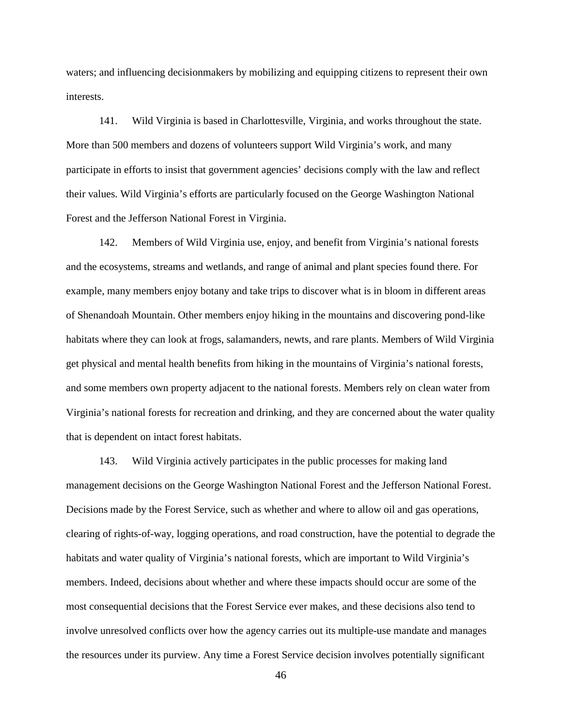waters; and influencing decisionmakers by mobilizing and equipping citizens to represent their own interests.

141. Wild Virginia is based in Charlottesville, Virginia, and works throughout the state. More than 500 members and dozens of volunteers support Wild Virginia's work, and many participate in efforts to insist that government agencies' decisions comply with the law and reflect their values. Wild Virginia's efforts are particularly focused on the George Washington National Forest and the Jefferson National Forest in Virginia.

142. Members of Wild Virginia use, enjoy, and benefit from Virginia's national forests and the ecosystems, streams and wetlands, and range of animal and plant species found there. For example, many members enjoy botany and take trips to discover what is in bloom in different areas of Shenandoah Mountain. Other members enjoy hiking in the mountains and discovering pond-like habitats where they can look at frogs, salamanders, newts, and rare plants. Members of Wild Virginia get physical and mental health benefits from hiking in the mountains of Virginia's national forests, and some members own property adjacent to the national forests. Members rely on clean water from Virginia's national forests for recreation and drinking, and they are concerned about the water quality that is dependent on intact forest habitats.

143. Wild Virginia actively participates in the public processes for making land management decisions on the George Washington National Forest and the Jefferson National Forest. Decisions made by the Forest Service, such as whether and where to allow oil and gas operations, clearing of rights-of-way, logging operations, and road construction, have the potential to degrade the habitats and water quality of Virginia's national forests, which are important to Wild Virginia's members. Indeed, decisions about whether and where these impacts should occur are some of the most consequential decisions that the Forest Service ever makes, and these decisions also tend to involve unresolved conflicts over how the agency carries out its multiple-use mandate and manages the resources under its purview. Any time a Forest Service decision involves potentially significant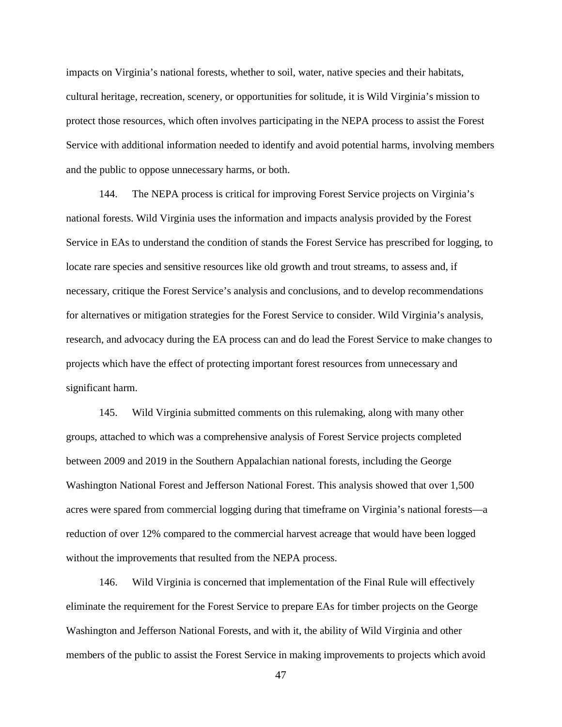impacts on Virginia's national forests, whether to soil, water, native species and their habitats, cultural heritage, recreation, scenery, or opportunities for solitude, it is Wild Virginia's mission to protect those resources, which often involves participating in the NEPA process to assist the Forest Service with additional information needed to identify and avoid potential harms, involving members and the public to oppose unnecessary harms, or both.

144. The NEPA process is critical for improving Forest Service projects on Virginia's national forests. Wild Virginia uses the information and impacts analysis provided by the Forest Service in EAs to understand the condition of stands the Forest Service has prescribed for logging, to locate rare species and sensitive resources like old growth and trout streams, to assess and, if necessary, critique the Forest Service's analysis and conclusions, and to develop recommendations for alternatives or mitigation strategies for the Forest Service to consider. Wild Virginia's analysis, research, and advocacy during the EA process can and do lead the Forest Service to make changes to projects which have the effect of protecting important forest resources from unnecessary and significant harm.

145. Wild Virginia submitted comments on this rulemaking, along with many other groups, attached to which was a comprehensive analysis of Forest Service projects completed between 2009 and 2019 in the Southern Appalachian national forests, including the George Washington National Forest and Jefferson National Forest. This analysis showed that over 1,500 acres were spared from commercial logging during that timeframe on Virginia's national forests—a reduction of over 12% compared to the commercial harvest acreage that would have been logged without the improvements that resulted from the NEPA process.

146. Wild Virginia is concerned that implementation of the Final Rule will effectively eliminate the requirement for the Forest Service to prepare EAs for timber projects on the George Washington and Jefferson National Forests, and with it, the ability of Wild Virginia and other members of the public to assist the Forest Service in making improvements to projects which avoid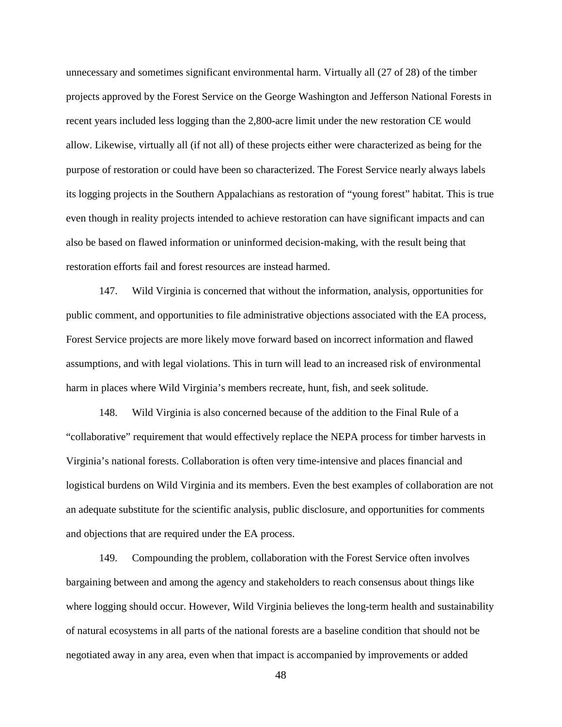unnecessary and sometimes significant environmental harm. Virtually all (27 of 28) of the timber projects approved by the Forest Service on the George Washington and Jefferson National Forests in recent years included less logging than the 2,800-acre limit under the new restoration CE would allow. Likewise, virtually all (if not all) of these projects either were characterized as being for the purpose of restoration or could have been so characterized. The Forest Service nearly always labels its logging projects in the Southern Appalachians as restoration of "young forest" habitat. This is true even though in reality projects intended to achieve restoration can have significant impacts and can also be based on flawed information or uninformed decision-making, with the result being that restoration efforts fail and forest resources are instead harmed.

147. Wild Virginia is concerned that without the information, analysis, opportunities for public comment, and opportunities to file administrative objections associated with the EA process, Forest Service projects are more likely move forward based on incorrect information and flawed assumptions, and with legal violations. This in turn will lead to an increased risk of environmental harm in places where Wild Virginia's members recreate, hunt, fish, and seek solitude.

148. Wild Virginia is also concerned because of the addition to the Final Rule of a "collaborative" requirement that would effectively replace the NEPA process for timber harvests in Virginia's national forests. Collaboration is often very time-intensive and places financial and logistical burdens on Wild Virginia and its members. Even the best examples of collaboration are not an adequate substitute for the scientific analysis, public disclosure, and opportunities for comments and objections that are required under the EA process.

149. Compounding the problem, collaboration with the Forest Service often involves bargaining between and among the agency and stakeholders to reach consensus about things like where logging should occur. However, Wild Virginia believes the long-term health and sustainability of natural ecosystems in all parts of the national forests are a baseline condition that should not be negotiated away in any area, even when that impact is accompanied by improvements or added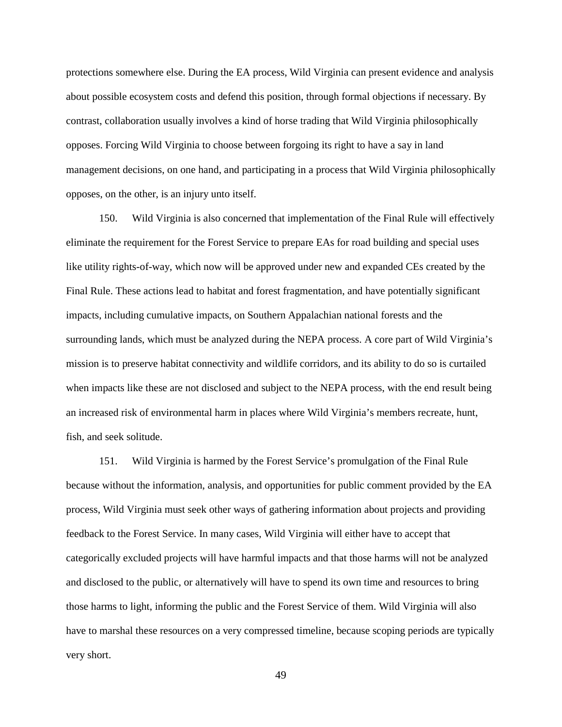protections somewhere else. During the EA process, Wild Virginia can present evidence and analysis about possible ecosystem costs and defend this position, through formal objections if necessary. By contrast, collaboration usually involves a kind of horse trading that Wild Virginia philosophically opposes. Forcing Wild Virginia to choose between forgoing its right to have a say in land management decisions, on one hand, and participating in a process that Wild Virginia philosophically opposes, on the other, is an injury unto itself.

150. Wild Virginia is also concerned that implementation of the Final Rule will effectively eliminate the requirement for the Forest Service to prepare EAs for road building and special uses like utility rights-of-way, which now will be approved under new and expanded CEs created by the Final Rule. These actions lead to habitat and forest fragmentation, and have potentially significant impacts, including cumulative impacts, on Southern Appalachian national forests and the surrounding lands, which must be analyzed during the NEPA process. A core part of Wild Virginia's mission is to preserve habitat connectivity and wildlife corridors, and its ability to do so is curtailed when impacts like these are not disclosed and subject to the NEPA process, with the end result being an increased risk of environmental harm in places where Wild Virginia's members recreate, hunt, fish, and seek solitude.

151. Wild Virginia is harmed by the Forest Service's promulgation of the Final Rule because without the information, analysis, and opportunities for public comment provided by the EA process, Wild Virginia must seek other ways of gathering information about projects and providing feedback to the Forest Service. In many cases, Wild Virginia will either have to accept that categorically excluded projects will have harmful impacts and that those harms will not be analyzed and disclosed to the public, or alternatively will have to spend its own time and resources to bring those harms to light, informing the public and the Forest Service of them. Wild Virginia will also have to marshal these resources on a very compressed timeline, because scoping periods are typically very short.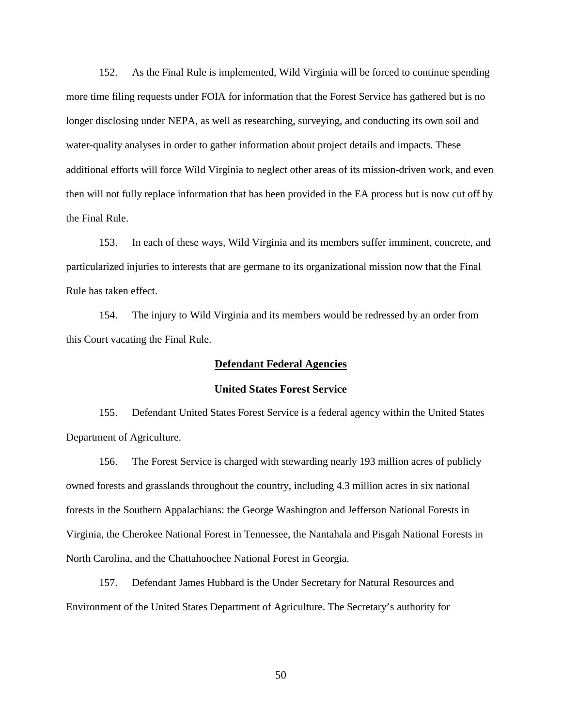152. As the Final Rule is implemented, Wild Virginia will be forced to continue spending more time filing requests under FOIA for information that the Forest Service has gathered but is no longer disclosing under NEPA, as well as researching, surveying, and conducting its own soil and water-quality analyses in order to gather information about project details and impacts. These additional efforts will force Wild Virginia to neglect other areas of its mission-driven work, and even then will not fully replace information that has been provided in the EA process but is now cut off by the Final Rule.

153. In each of these ways, Wild Virginia and its members suffer imminent, concrete, and particularized injuries to interests that are germane to its organizational mission now that the Final Rule has taken effect.

154. The injury to Wild Virginia and its members would be redressed by an order from this Court vacating the Final Rule.

## **Defendant Federal Agencies**

### **United States Forest Service**

155. Defendant United States Forest Service is a federal agency within the United States Department of Agriculture.

156. The Forest Service is charged with stewarding nearly 193 million acres of publicly owned forests and grasslands throughout the country, including 4.3 million acres in six national forests in the Southern Appalachians: the George Washington and Jefferson National Forests in Virginia, the Cherokee National Forest in Tennessee, the Nantahala and Pisgah National Forests in North Carolina, and the Chattahoochee National Forest in Georgia.

157. Defendant James Hubbard is the Under Secretary for Natural Resources and Environment of the United States Department of Agriculture. The Secretary's authority for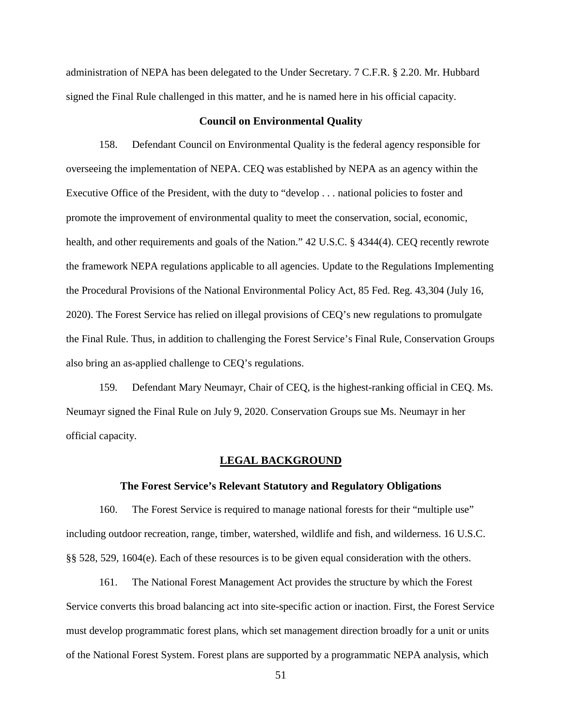administration of NEPA has been delegated to the Under Secretary. 7 C.F.R. § 2.20. Mr. Hubbard signed the Final Rule challenged in this matter, and he is named here in his official capacity.

## **Council on Environmental Quality**

158. Defendant Council on Environmental Quality is the federal agency responsible for overseeing the implementation of NEPA. CEQ was established by NEPA as an agency within the Executive Office of the President, with the duty to "develop . . . national policies to foster and promote the improvement of environmental quality to meet the conservation, social, economic, health, and other requirements and goals of the Nation." 42 U.S.C. § 4344(4). CEQ recently rewrote the framework NEPA regulations applicable to all agencies. Update to the Regulations Implementing the Procedural Provisions of the National Environmental Policy Act, 85 Fed. Reg. 43,304 (July 16, 2020). The Forest Service has relied on illegal provisions of CEQ's new regulations to promulgate the Final Rule. Thus, in addition to challenging the Forest Service's Final Rule, Conservation Groups also bring an as-applied challenge to CEQ's regulations.

159. Defendant Mary Neumayr, Chair of CEQ, is the highest-ranking official in CEQ. Ms. Neumayr signed the Final Rule on July 9, 2020. Conservation Groups sue Ms. Neumayr in her official capacity.

#### **LEGAL BACKGROUND**

## **The Forest Service's Relevant Statutory and Regulatory Obligations**

160. The Forest Service is required to manage national forests for their "multiple use" including outdoor recreation, range, timber, watershed, wildlife and fish, and wilderness. 16 U.S.C. §§ 528, 529, 1604(e). Each of these resources is to be given equal consideration with the others.

161. The National Forest Management Act provides the structure by which the Forest Service converts this broad balancing act into site-specific action or inaction. First, the Forest Service must develop programmatic forest plans, which set management direction broadly for a unit or units of the National Forest System. Forest plans are supported by a programmatic NEPA analysis, which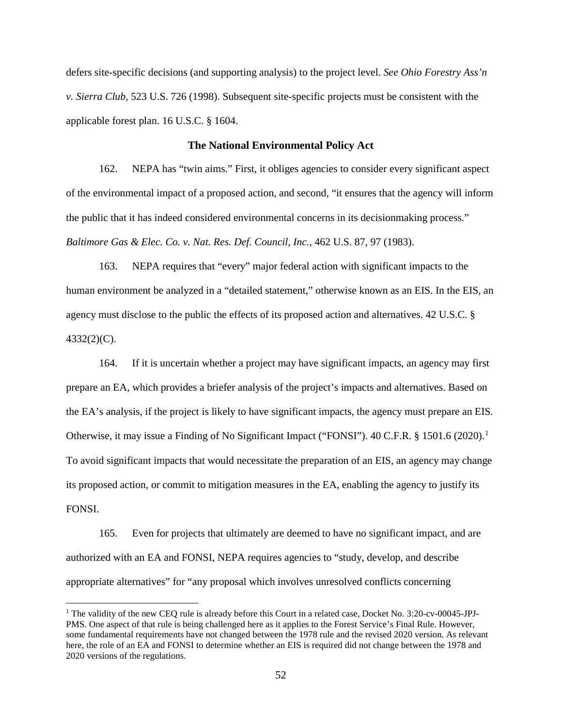defers site-specific decisions (and supporting analysis) to the project level. *See Ohio Forestry Ass'n v. Sierra Club*, 523 U.S. 726 (1998). Subsequent site-specific projects must be consistent with the applicable forest plan. 16 U.S.C. § 1604.

## **The National Environmental Policy Act**

162. NEPA has "twin aims." First, it obliges agencies to consider every significant aspect of the environmental impact of a proposed action, and second, "it ensures that the agency will inform the public that it has indeed considered environmental concerns in its decisionmaking process." *Baltimore Gas & Elec. Co. v. Nat. Res. Def. Council, Inc.*, 462 U.S. 87, 97 (1983).

163. NEPA requires that "every" major federal action with significant impacts to the human environment be analyzed in a "detailed statement," otherwise known as an EIS. In the EIS, an agency must disclose to the public the effects of its proposed action and alternatives. 42 U.S.C. § 4332(2)(C).

164. If it is uncertain whether a project may have significant impacts, an agency may first prepare an EA, which provides a briefer analysis of the project's impacts and alternatives. Based on the EA's analysis, if the project is likely to have significant impacts, the agency must prepare an EIS. Otherwise, it may issue a Finding of No Significant Impact ("FONSI"). 40 C.F.R. § 1501.6 (2020).<sup>1</sup> To avoid significant impacts that would necessitate the preparation of an EIS, an agency may change its proposed action, or commit to mitigation measures in the EA, enabling the agency to justify its FONSI.

165. Even for projects that ultimately are deemed to have no significant impact, and are authorized with an EA and FONSI, NEPA requires agencies to "study, develop, and describe appropriate alternatives" for "any proposal which involves unresolved conflicts concerning

<sup>&</sup>lt;sup>1</sup> The validity of the new CEQ rule is already before this Court in a related case, Docket No. 3:20-cv-00045-JPJ-PMS. One aspect of that rule is being challenged here as it applies to the Forest Service's Final Rule. However, some fundamental requirements have not changed between the 1978 rule and the revised 2020 version. As relevant here, the role of an EA and FONSI to determine whether an EIS is required did not change between the 1978 and 2020 versions of the regulations.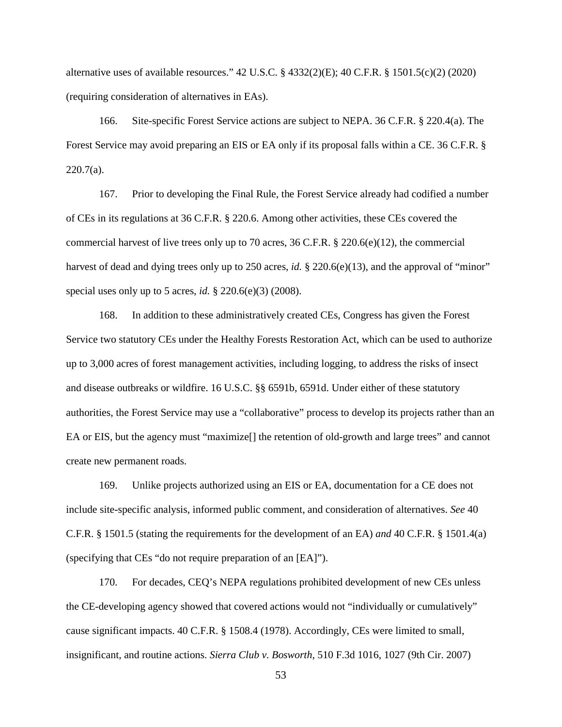alternative uses of available resources." 42 U.S.C. § 4332(2)(E); 40 C.F.R. § 1501.5(c)(2) (2020) (requiring consideration of alternatives in EAs).

166. Site-specific Forest Service actions are subject to NEPA. 36 C.F.R. § 220.4(a). The Forest Service may avoid preparing an EIS or EA only if its proposal falls within a CE. 36 C.F.R. § 220.7(a).

167. Prior to developing the Final Rule, the Forest Service already had codified a number of CEs in its regulations at 36 C.F.R. § 220.6. Among other activities, these CEs covered the commercial harvest of live trees only up to 70 acres, 36 C.F.R. § 220.6(e)(12), the commercial harvest of dead and dying trees only up to 250 acres, *id.* § 220.6(e)(13), and the approval of "minor" special uses only up to 5 acres, *id.* § 220.6(e)(3) (2008).

168. In addition to these administratively created CEs, Congress has given the Forest Service two statutory CEs under the Healthy Forests Restoration Act, which can be used to authorize up to 3,000 acres of forest management activities, including logging, to address the risks of insect and disease outbreaks or wildfire. 16 U.S.C. §§ 6591b, 6591d. Under either of these statutory authorities, the Forest Service may use a "collaborative" process to develop its projects rather than an EA or EIS, but the agency must "maximize[] the retention of old-growth and large trees" and cannot create new permanent roads.

169. Unlike projects authorized using an EIS or EA, documentation for a CE does not include site-specific analysis, informed public comment, and consideration of alternatives. *See* 40 C.F.R. § 1501.5 (stating the requirements for the development of an EA) *and* 40 C.F.R. § 1501.4(a) (specifying that CEs "do not require preparation of an [EA]").

170. For decades, CEQ's NEPA regulations prohibited development of new CEs unless the CE-developing agency showed that covered actions would not "individually or cumulatively" cause significant impacts. 40 C.F.R. § 1508.4 (1978). Accordingly, CEs were limited to small, insignificant, and routine actions. *Sierra Club v. Bosworth*, 510 F.3d 1016, 1027 (9th Cir. 2007)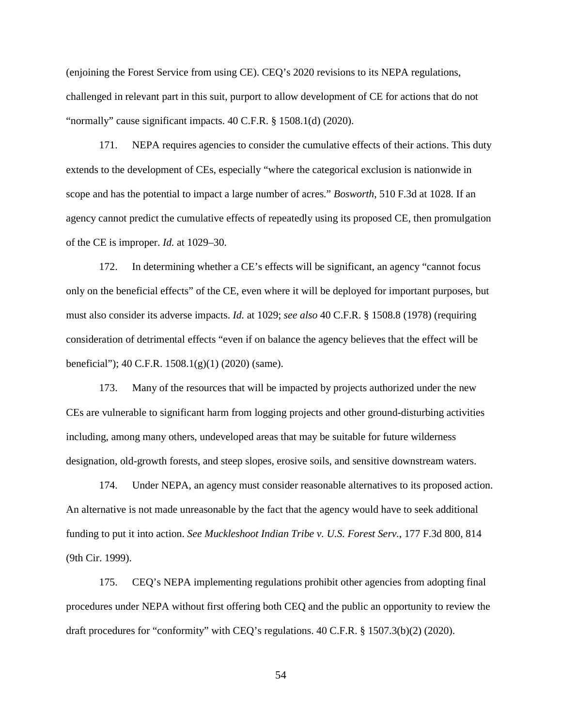(enjoining the Forest Service from using CE). CEQ's 2020 revisions to its NEPA regulations, challenged in relevant part in this suit, purport to allow development of CE for actions that do not "normally" cause significant impacts. 40 C.F.R. § 1508.1(d) (2020).

171. NEPA requires agencies to consider the cumulative effects of their actions. This duty extends to the development of CEs, especially "where the categorical exclusion is nationwide in scope and has the potential to impact a large number of acres." *Bosworth*, 510 F.3d at 1028. If an agency cannot predict the cumulative effects of repeatedly using its proposed CE, then promulgation of the CE is improper. *Id.* at 1029–30.

172. In determining whether a CE's effects will be significant, an agency "cannot focus only on the beneficial effects" of the CE, even where it will be deployed for important purposes, but must also consider its adverse impacts. *Id.* at 1029; *see also* 40 C.F.R. § 1508.8 (1978) (requiring consideration of detrimental effects "even if on balance the agency believes that the effect will be beneficial"); 40 C.F.R. 1508.1(g)(1) (2020) (same).

173. Many of the resources that will be impacted by projects authorized under the new CEs are vulnerable to significant harm from logging projects and other ground-disturbing activities including, among many others, undeveloped areas that may be suitable for future wilderness designation, old-growth forests, and steep slopes, erosive soils, and sensitive downstream waters.

174. Under NEPA, an agency must consider reasonable alternatives to its proposed action. An alternative is not made unreasonable by the fact that the agency would have to seek additional funding to put it into action. *See Muckleshoot Indian Tribe v. U.S. Forest Serv.*, 177 F.3d 800, 814 (9th Cir. 1999).

175. CEQ's NEPA implementing regulations prohibit other agencies from adopting final procedures under NEPA without first offering both CEQ and the public an opportunity to review the draft procedures for "conformity" with CEQ's regulations. 40 C.F.R. § 1507.3(b)(2) (2020).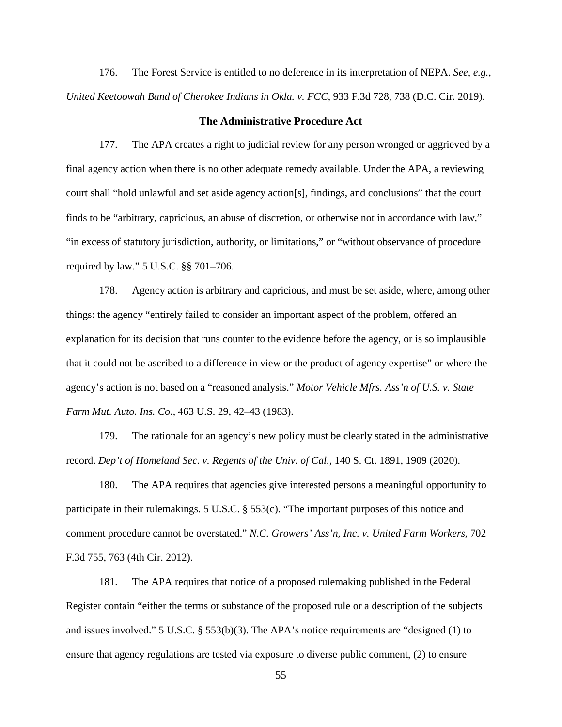176. The Forest Service is entitled to no deference in its interpretation of NEPA. *See, e.g.*, *United Keetoowah Band of Cherokee Indians in Okla. v. FCC*, 933 F.3d 728, 738 (D.C. Cir. 2019).

### **The Administrative Procedure Act**

177. The APA creates a right to judicial review for any person wronged or aggrieved by a final agency action when there is no other adequate remedy available. Under the APA, a reviewing court shall "hold unlawful and set aside agency action[s], findings, and conclusions" that the court finds to be "arbitrary, capricious, an abuse of discretion, or otherwise not in accordance with law," "in excess of statutory jurisdiction, authority, or limitations," or "without observance of procedure required by law." 5 U.S.C. §§ 701–706.

178. Agency action is arbitrary and capricious, and must be set aside, where, among other things: the agency "entirely failed to consider an important aspect of the problem, offered an explanation for its decision that runs counter to the evidence before the agency, or is so implausible that it could not be ascribed to a difference in view or the product of agency expertise" or where the agency's action is not based on a "reasoned analysis." *Motor Vehicle Mfrs. Ass'n of U.S. v. State Farm Mut. Auto. Ins. Co.*, 463 U.S. 29, 42–43 (1983).

179. The rationale for an agency's new policy must be clearly stated in the administrative record. *Dep't of Homeland Sec. v. Regents of the Univ. of Cal.*, 140 S. Ct. 1891, 1909 (2020).

180. The APA requires that agencies give interested persons a meaningful opportunity to participate in their rulemakings. 5 U.S.C. § 553(c). "The important purposes of this notice and comment procedure cannot be overstated." *N.C. Growers' Ass'n, Inc. v. United Farm Workers*, 702 F.3d 755, 763 (4th Cir. 2012).

181. The APA requires that notice of a proposed rulemaking published in the Federal Register contain "either the terms or substance of the proposed rule or a description of the subjects and issues involved." 5 U.S.C. § 553(b)(3). The APA's notice requirements are "designed (1) to ensure that agency regulations are tested via exposure to diverse public comment, (2) to ensure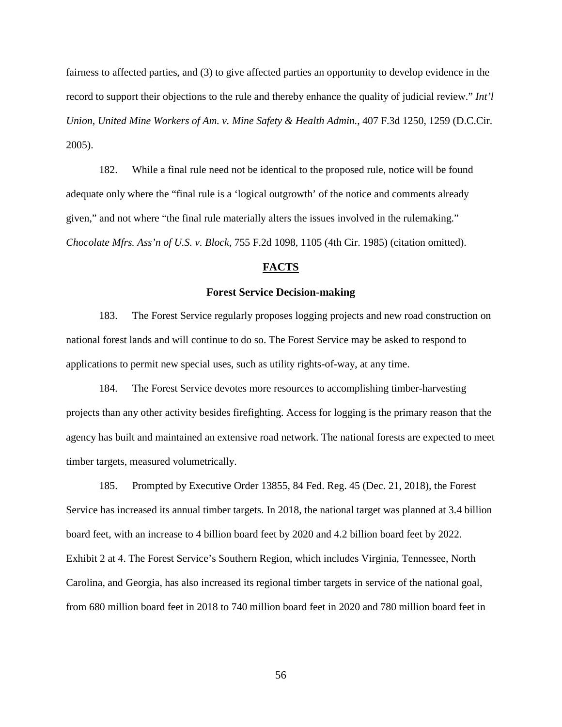fairness to affected parties, and (3) to give affected parties an opportunity to develop evidence in the record to support their objections to the rule and thereby enhance the quality of judicial review." *Int'l Union, United Mine Workers of Am. v. Mine Safety & Health Admin.*, 407 F.3d 1250, 1259 (D.C.Cir. 2005).

182. While a final rule need not be identical to the proposed rule, notice will be found adequate only where the "final rule is a 'logical outgrowth' of the notice and comments already given," and not where "the final rule materially alters the issues involved in the rulemaking." *Chocolate Mfrs. Ass'n of U.S. v. Block*, 755 F.2d 1098, 1105 (4th Cir. 1985) (citation omitted).

# **FACTS**

## **Forest Service Decision-making**

183. The Forest Service regularly proposes logging projects and new road construction on national forest lands and will continue to do so. The Forest Service may be asked to respond to applications to permit new special uses, such as utility rights-of-way, at any time.

184. The Forest Service devotes more resources to accomplishing timber-harvesting projects than any other activity besides firefighting. Access for logging is the primary reason that the agency has built and maintained an extensive road network. The national forests are expected to meet timber targets, measured volumetrically.

185. Prompted by Executive Order 13855, 84 Fed. Reg. 45 (Dec. 21, 2018), the Forest Service has increased its annual timber targets. In 2018, the national target was planned at 3.4 billion board feet, with an increase to 4 billion board feet by 2020 and 4.2 billion board feet by 2022. Exhibit 2 at 4. The Forest Service's Southern Region, which includes Virginia, Tennessee, North Carolina, and Georgia, has also increased its regional timber targets in service of the national goal, from 680 million board feet in 2018 to 740 million board feet in 2020 and 780 million board feet in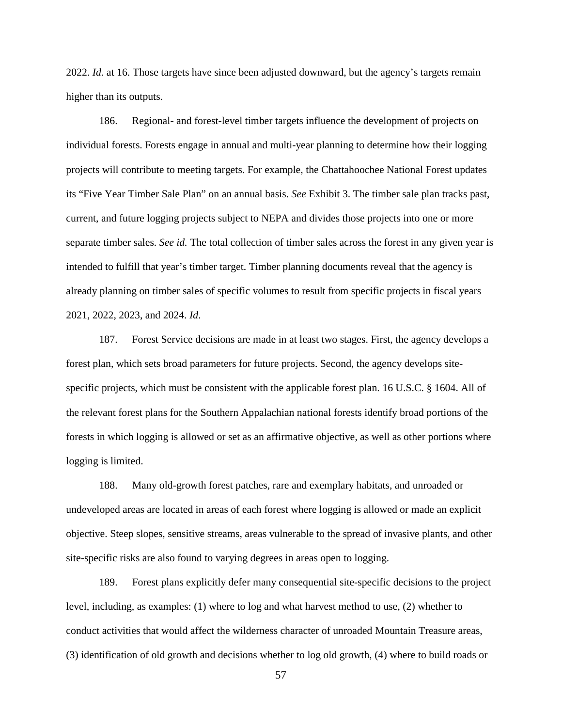2022. *Id.* at 16. Those targets have since been adjusted downward, but the agency's targets remain higher than its outputs.

186. Regional- and forest-level timber targets influence the development of projects on individual forests. Forests engage in annual and multi-year planning to determine how their logging projects will contribute to meeting targets. For example, the Chattahoochee National Forest updates its "Five Year Timber Sale Plan" on an annual basis. *See* Exhibit 3. The timber sale plan tracks past, current, and future logging projects subject to NEPA and divides those projects into one or more separate timber sales. *See id.* The total collection of timber sales across the forest in any given year is intended to fulfill that year's timber target. Timber planning documents reveal that the agency is already planning on timber sales of specific volumes to result from specific projects in fiscal years 2021, 2022, 2023, and 2024. *Id*.

187. Forest Service decisions are made in at least two stages. First, the agency develops a forest plan, which sets broad parameters for future projects. Second, the agency develops sitespecific projects, which must be consistent with the applicable forest plan. 16 U.S.C. § 1604. All of the relevant forest plans for the Southern Appalachian national forests identify broad portions of the forests in which logging is allowed or set as an affirmative objective, as well as other portions where logging is limited.

188. Many old-growth forest patches, rare and exemplary habitats, and unroaded or undeveloped areas are located in areas of each forest where logging is allowed or made an explicit objective. Steep slopes, sensitive streams, areas vulnerable to the spread of invasive plants, and other site-specific risks are also found to varying degrees in areas open to logging.

189. Forest plans explicitly defer many consequential site-specific decisions to the project level, including, as examples: (1) where to log and what harvest method to use, (2) whether to conduct activities that would affect the wilderness character of unroaded Mountain Treasure areas, (3) identification of old growth and decisions whether to log old growth, (4) where to build roads or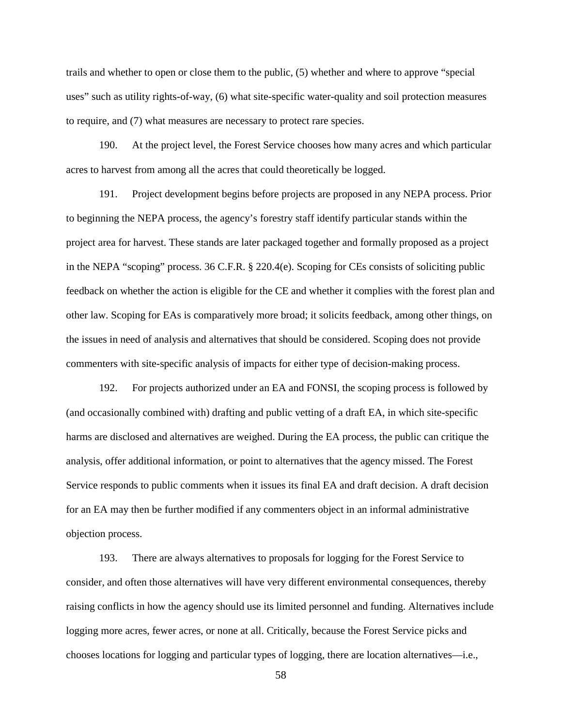trails and whether to open or close them to the public, (5) whether and where to approve "special uses" such as utility rights-of-way, (6) what site-specific water-quality and soil protection measures to require, and (7) what measures are necessary to protect rare species.

190. At the project level, the Forest Service chooses how many acres and which particular acres to harvest from among all the acres that could theoretically be logged.

191. Project development begins before projects are proposed in any NEPA process. Prior to beginning the NEPA process, the agency's forestry staff identify particular stands within the project area for harvest. These stands are later packaged together and formally proposed as a project in the NEPA "scoping" process. 36 C.F.R. § 220.4(e). Scoping for CEs consists of soliciting public feedback on whether the action is eligible for the CE and whether it complies with the forest plan and other law. Scoping for EAs is comparatively more broad; it solicits feedback, among other things, on the issues in need of analysis and alternatives that should be considered. Scoping does not provide commenters with site-specific analysis of impacts for either type of decision-making process.

192. For projects authorized under an EA and FONSI, the scoping process is followed by (and occasionally combined with) drafting and public vetting of a draft EA, in which site-specific harms are disclosed and alternatives are weighed. During the EA process, the public can critique the analysis, offer additional information, or point to alternatives that the agency missed. The Forest Service responds to public comments when it issues its final EA and draft decision. A draft decision for an EA may then be further modified if any commenters object in an informal administrative objection process.

193. There are always alternatives to proposals for logging for the Forest Service to consider, and often those alternatives will have very different environmental consequences, thereby raising conflicts in how the agency should use its limited personnel and funding. Alternatives include logging more acres, fewer acres, or none at all. Critically, because the Forest Service picks and chooses locations for logging and particular types of logging, there are location alternatives—i.e.,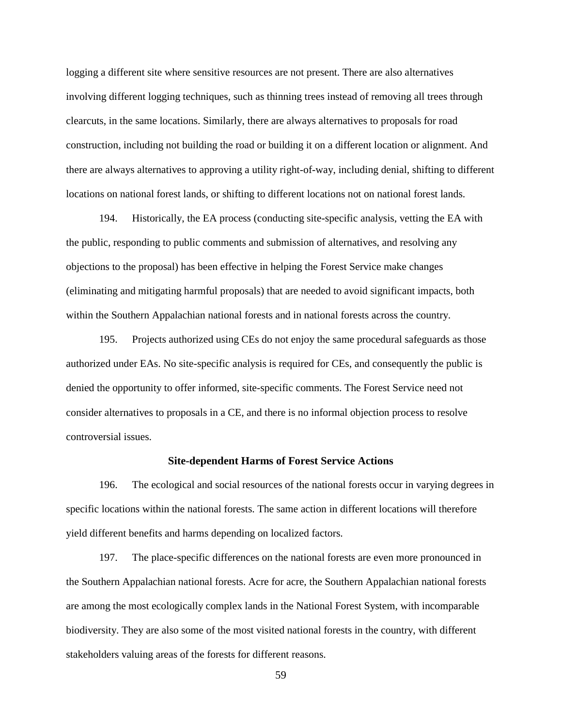logging a different site where sensitive resources are not present. There are also alternatives involving different logging techniques, such as thinning trees instead of removing all trees through clearcuts, in the same locations. Similarly, there are always alternatives to proposals for road construction, including not building the road or building it on a different location or alignment. And there are always alternatives to approving a utility right-of-way, including denial, shifting to different locations on national forest lands, or shifting to different locations not on national forest lands.

194. Historically, the EA process (conducting site-specific analysis, vetting the EA with the public, responding to public comments and submission of alternatives, and resolving any objections to the proposal) has been effective in helping the Forest Service make changes (eliminating and mitigating harmful proposals) that are needed to avoid significant impacts, both within the Southern Appalachian national forests and in national forests across the country.

195. Projects authorized using CEs do not enjoy the same procedural safeguards as those authorized under EAs. No site-specific analysis is required for CEs, and consequently the public is denied the opportunity to offer informed, site-specific comments. The Forest Service need not consider alternatives to proposals in a CE, and there is no informal objection process to resolve controversial issues.

### **Site-dependent Harms of Forest Service Actions**

196. The ecological and social resources of the national forests occur in varying degrees in specific locations within the national forests. The same action in different locations will therefore yield different benefits and harms depending on localized factors.

197. The place-specific differences on the national forests are even more pronounced in the Southern Appalachian national forests. Acre for acre, the Southern Appalachian national forests are among the most ecologically complex lands in the National Forest System, with incomparable biodiversity. They are also some of the most visited national forests in the country, with different stakeholders valuing areas of the forests for different reasons.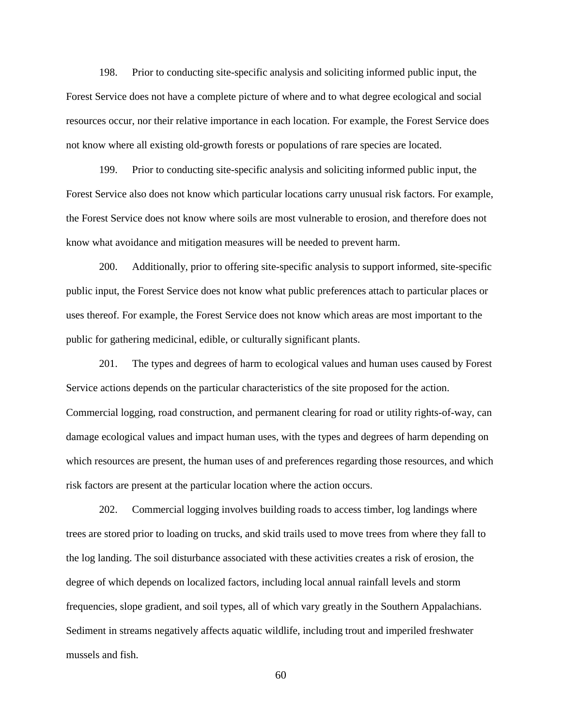198. Prior to conducting site-specific analysis and soliciting informed public input, the Forest Service does not have a complete picture of where and to what degree ecological and social resources occur, nor their relative importance in each location. For example, the Forest Service does not know where all existing old-growth forests or populations of rare species are located.

199. Prior to conducting site-specific analysis and soliciting informed public input, the Forest Service also does not know which particular locations carry unusual risk factors. For example, the Forest Service does not know where soils are most vulnerable to erosion, and therefore does not know what avoidance and mitigation measures will be needed to prevent harm.

200. Additionally, prior to offering site-specific analysis to support informed, site-specific public input, the Forest Service does not know what public preferences attach to particular places or uses thereof. For example, the Forest Service does not know which areas are most important to the public for gathering medicinal, edible, or culturally significant plants.

201. The types and degrees of harm to ecological values and human uses caused by Forest Service actions depends on the particular characteristics of the site proposed for the action. Commercial logging, road construction, and permanent clearing for road or utility rights-of-way, can damage ecological values and impact human uses, with the types and degrees of harm depending on which resources are present, the human uses of and preferences regarding those resources, and which risk factors are present at the particular location where the action occurs.

202. Commercial logging involves building roads to access timber, log landings where trees are stored prior to loading on trucks, and skid trails used to move trees from where they fall to the log landing. The soil disturbance associated with these activities creates a risk of erosion, the degree of which depends on localized factors, including local annual rainfall levels and storm frequencies, slope gradient, and soil types, all of which vary greatly in the Southern Appalachians. Sediment in streams negatively affects aquatic wildlife, including trout and imperiled freshwater mussels and fish.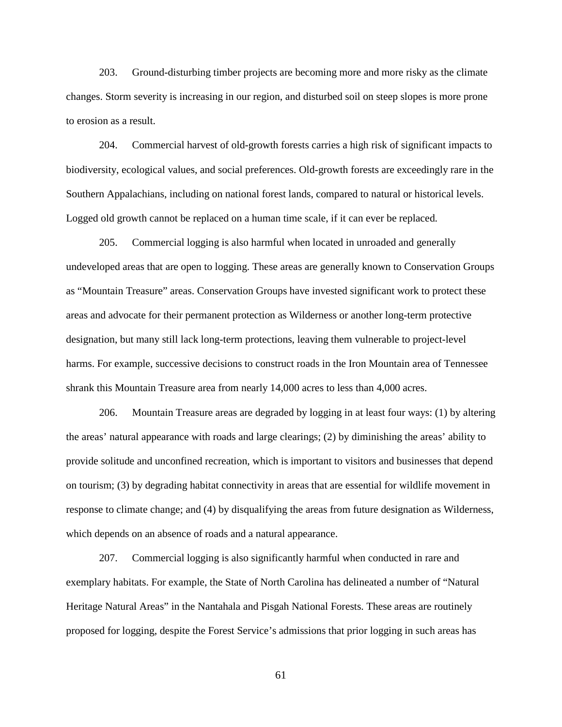203. Ground-disturbing timber projects are becoming more and more risky as the climate changes. Storm severity is increasing in our region, and disturbed soil on steep slopes is more prone to erosion as a result.

204. Commercial harvest of old-growth forests carries a high risk of significant impacts to biodiversity, ecological values, and social preferences. Old-growth forests are exceedingly rare in the Southern Appalachians, including on national forest lands, compared to natural or historical levels. Logged old growth cannot be replaced on a human time scale, if it can ever be replaced.

205. Commercial logging is also harmful when located in unroaded and generally undeveloped areas that are open to logging. These areas are generally known to Conservation Groups as "Mountain Treasure" areas. Conservation Groups have invested significant work to protect these areas and advocate for their permanent protection as Wilderness or another long-term protective designation, but many still lack long-term protections, leaving them vulnerable to project-level harms. For example, successive decisions to construct roads in the Iron Mountain area of Tennessee shrank this Mountain Treasure area from nearly 14,000 acres to less than 4,000 acres.

206. Mountain Treasure areas are degraded by logging in at least four ways: (1) by altering the areas' natural appearance with roads and large clearings; (2) by diminishing the areas' ability to provide solitude and unconfined recreation, which is important to visitors and businesses that depend on tourism; (3) by degrading habitat connectivity in areas that are essential for wildlife movement in response to climate change; and (4) by disqualifying the areas from future designation as Wilderness, which depends on an absence of roads and a natural appearance.

207. Commercial logging is also significantly harmful when conducted in rare and exemplary habitats. For example, the State of North Carolina has delineated a number of "Natural Heritage Natural Areas" in the Nantahala and Pisgah National Forests. These areas are routinely proposed for logging, despite the Forest Service's admissions that prior logging in such areas has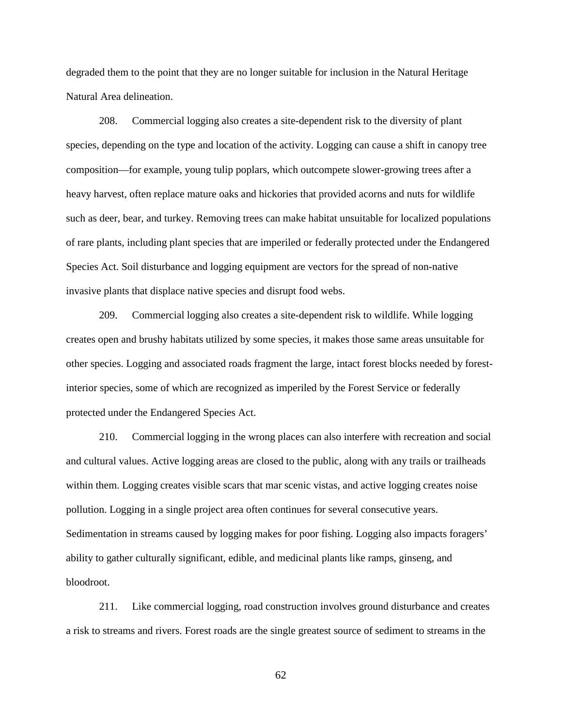degraded them to the point that they are no longer suitable for inclusion in the Natural Heritage Natural Area delineation.

208. Commercial logging also creates a site-dependent risk to the diversity of plant species, depending on the type and location of the activity. Logging can cause a shift in canopy tree composition—for example, young tulip poplars, which outcompete slower-growing trees after a heavy harvest, often replace mature oaks and hickories that provided acorns and nuts for wildlife such as deer, bear, and turkey. Removing trees can make habitat unsuitable for localized populations of rare plants, including plant species that are imperiled or federally protected under the Endangered Species Act. Soil disturbance and logging equipment are vectors for the spread of non-native invasive plants that displace native species and disrupt food webs.

209. Commercial logging also creates a site-dependent risk to wildlife. While logging creates open and brushy habitats utilized by some species, it makes those same areas unsuitable for other species. Logging and associated roads fragment the large, intact forest blocks needed by forestinterior species, some of which are recognized as imperiled by the Forest Service or federally protected under the Endangered Species Act.

210. Commercial logging in the wrong places can also interfere with recreation and social and cultural values. Active logging areas are closed to the public, along with any trails or trailheads within them. Logging creates visible scars that mar scenic vistas, and active logging creates noise pollution. Logging in a single project area often continues for several consecutive years. Sedimentation in streams caused by logging makes for poor fishing. Logging also impacts foragers' ability to gather culturally significant, edible, and medicinal plants like ramps, ginseng, and bloodroot.

211. Like commercial logging, road construction involves ground disturbance and creates a risk to streams and rivers. Forest roads are the single greatest source of sediment to streams in the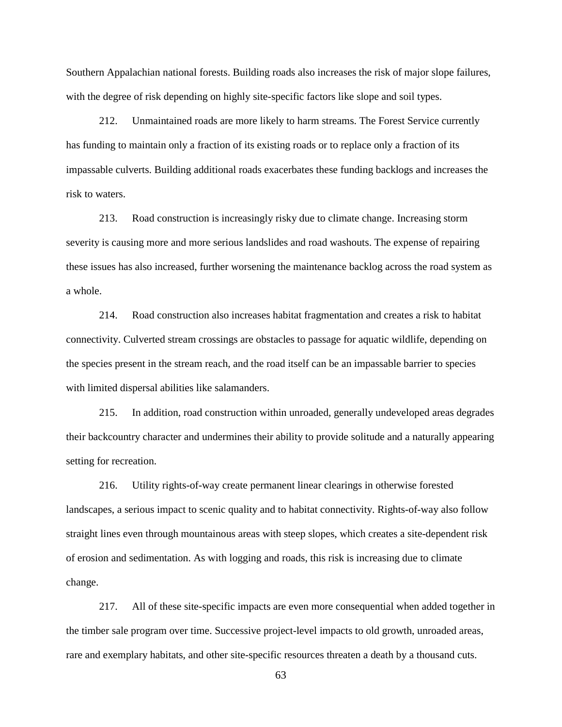Southern Appalachian national forests. Building roads also increases the risk of major slope failures, with the degree of risk depending on highly site-specific factors like slope and soil types.

212. Unmaintained roads are more likely to harm streams. The Forest Service currently has funding to maintain only a fraction of its existing roads or to replace only a fraction of its impassable culverts. Building additional roads exacerbates these funding backlogs and increases the risk to waters.

213. Road construction is increasingly risky due to climate change. Increasing storm severity is causing more and more serious landslides and road washouts. The expense of repairing these issues has also increased, further worsening the maintenance backlog across the road system as a whole.

214. Road construction also increases habitat fragmentation and creates a risk to habitat connectivity. Culverted stream crossings are obstacles to passage for aquatic wildlife, depending on the species present in the stream reach, and the road itself can be an impassable barrier to species with limited dispersal abilities like salamanders.

215. In addition, road construction within unroaded, generally undeveloped areas degrades their backcountry character and undermines their ability to provide solitude and a naturally appearing setting for recreation.

216. Utility rights-of-way create permanent linear clearings in otherwise forested landscapes, a serious impact to scenic quality and to habitat connectivity. Rights-of-way also follow straight lines even through mountainous areas with steep slopes, which creates a site-dependent risk of erosion and sedimentation. As with logging and roads, this risk is increasing due to climate change.

217. All of these site-specific impacts are even more consequential when added together in the timber sale program over time. Successive project-level impacts to old growth, unroaded areas, rare and exemplary habitats, and other site-specific resources threaten a death by a thousand cuts.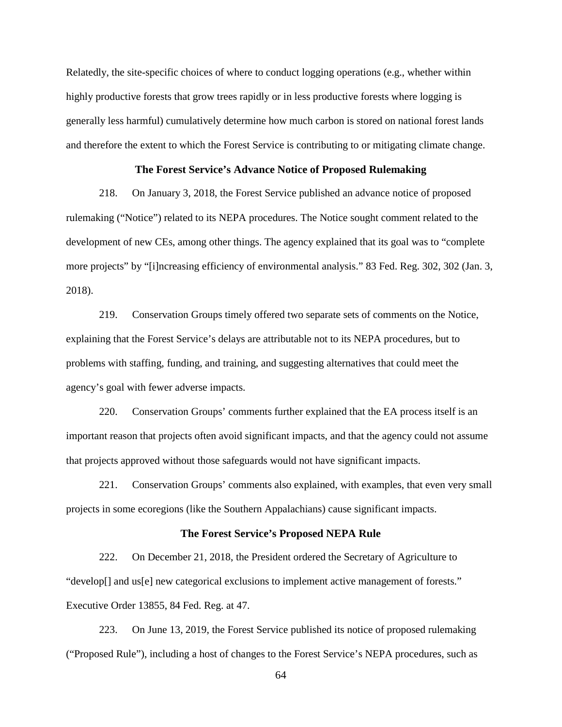Relatedly, the site-specific choices of where to conduct logging operations (e.g., whether within highly productive forests that grow trees rapidly or in less productive forests where logging is generally less harmful) cumulatively determine how much carbon is stored on national forest lands and therefore the extent to which the Forest Service is contributing to or mitigating climate change.

## **The Forest Service's Advance Notice of Proposed Rulemaking**

218. On January 3, 2018, the Forest Service published an advance notice of proposed rulemaking ("Notice") related to its NEPA procedures. The Notice sought comment related to the development of new CEs, among other things. The agency explained that its goal was to "complete more projects" by "[i]ncreasing efficiency of environmental analysis." 83 Fed. Reg. 302, 302 (Jan. 3, 2018).

219. Conservation Groups timely offered two separate sets of comments on the Notice, explaining that the Forest Service's delays are attributable not to its NEPA procedures, but to problems with staffing, funding, and training, and suggesting alternatives that could meet the agency's goal with fewer adverse impacts.

220. Conservation Groups' comments further explained that the EA process itself is an important reason that projects often avoid significant impacts, and that the agency could not assume that projects approved without those safeguards would not have significant impacts.

221. Conservation Groups' comments also explained, with examples, that even very small projects in some ecoregions (like the Southern Appalachians) cause significant impacts.

## **The Forest Service's Proposed NEPA Rule**

222. On December 21, 2018, the President ordered the Secretary of Agriculture to "develop[] and us[e] new categorical exclusions to implement active management of forests." Executive Order 13855, 84 Fed. Reg. at 47.

223. On June 13, 2019, the Forest Service published its notice of proposed rulemaking ("Proposed Rule"), including a host of changes to the Forest Service's NEPA procedures, such as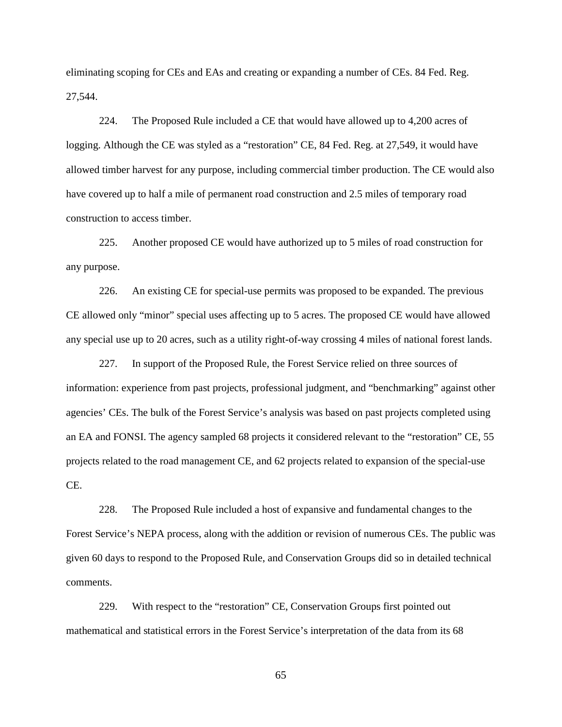eliminating scoping for CEs and EAs and creating or expanding a number of CEs. 84 Fed. Reg. 27,544.

224. The Proposed Rule included a CE that would have allowed up to 4,200 acres of logging. Although the CE was styled as a "restoration" CE, 84 Fed. Reg. at 27,549, it would have allowed timber harvest for any purpose, including commercial timber production. The CE would also have covered up to half a mile of permanent road construction and 2.5 miles of temporary road construction to access timber.

225. Another proposed CE would have authorized up to 5 miles of road construction for any purpose.

226. An existing CE for special-use permits was proposed to be expanded. The previous CE allowed only "minor" special uses affecting up to 5 acres. The proposed CE would have allowed any special use up to 20 acres, such as a utility right-of-way crossing 4 miles of national forest lands.

227. In support of the Proposed Rule, the Forest Service relied on three sources of information: experience from past projects, professional judgment, and "benchmarking" against other agencies' CEs. The bulk of the Forest Service's analysis was based on past projects completed using an EA and FONSI. The agency sampled 68 projects it considered relevant to the "restoration" CE, 55 projects related to the road management CE, and 62 projects related to expansion of the special-use CE.

228. The Proposed Rule included a host of expansive and fundamental changes to the Forest Service's NEPA process, along with the addition or revision of numerous CEs. The public was given 60 days to respond to the Proposed Rule, and Conservation Groups did so in detailed technical comments.

229. With respect to the "restoration" CE, Conservation Groups first pointed out mathematical and statistical errors in the Forest Service's interpretation of the data from its 68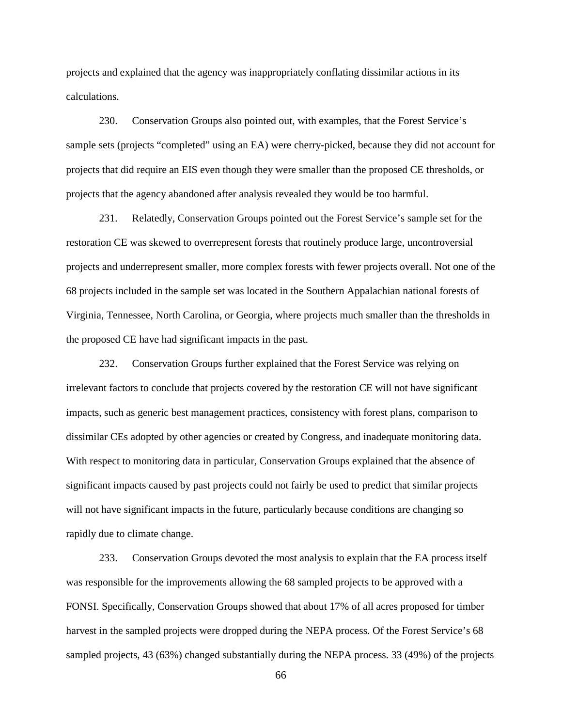projects and explained that the agency was inappropriately conflating dissimilar actions in its calculations.

230. Conservation Groups also pointed out, with examples, that the Forest Service's sample sets (projects "completed" using an EA) were cherry-picked, because they did not account for projects that did require an EIS even though they were smaller than the proposed CE thresholds, or projects that the agency abandoned after analysis revealed they would be too harmful.

231. Relatedly, Conservation Groups pointed out the Forest Service's sample set for the restoration CE was skewed to overrepresent forests that routinely produce large, uncontroversial projects and underrepresent smaller, more complex forests with fewer projects overall. Not one of the 68 projects included in the sample set was located in the Southern Appalachian national forests of Virginia, Tennessee, North Carolina, or Georgia, where projects much smaller than the thresholds in the proposed CE have had significant impacts in the past.

232. Conservation Groups further explained that the Forest Service was relying on irrelevant factors to conclude that projects covered by the restoration CE will not have significant impacts, such as generic best management practices, consistency with forest plans, comparison to dissimilar CEs adopted by other agencies or created by Congress, and inadequate monitoring data. With respect to monitoring data in particular, Conservation Groups explained that the absence of significant impacts caused by past projects could not fairly be used to predict that similar projects will not have significant impacts in the future, particularly because conditions are changing so rapidly due to climate change.

233. Conservation Groups devoted the most analysis to explain that the EA process itself was responsible for the improvements allowing the 68 sampled projects to be approved with a FONSI. Specifically, Conservation Groups showed that about 17% of all acres proposed for timber harvest in the sampled projects were dropped during the NEPA process. Of the Forest Service's 68 sampled projects, 43 (63%) changed substantially during the NEPA process. 33 (49%) of the projects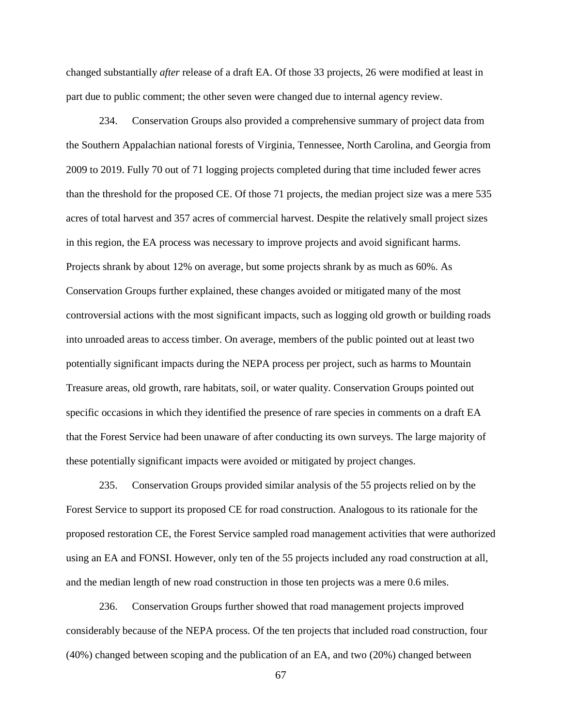changed substantially *after* release of a draft EA. Of those 33 projects, 26 were modified at least in part due to public comment; the other seven were changed due to internal agency review.

234. Conservation Groups also provided a comprehensive summary of project data from the Southern Appalachian national forests of Virginia, Tennessee, North Carolina, and Georgia from 2009 to 2019. Fully 70 out of 71 logging projects completed during that time included fewer acres than the threshold for the proposed CE. Of those 71 projects, the median project size was a mere 535 acres of total harvest and 357 acres of commercial harvest. Despite the relatively small project sizes in this region, the EA process was necessary to improve projects and avoid significant harms. Projects shrank by about 12% on average, but some projects shrank by as much as 60%. As Conservation Groups further explained, these changes avoided or mitigated many of the most controversial actions with the most significant impacts, such as logging old growth or building roads into unroaded areas to access timber. On average, members of the public pointed out at least two potentially significant impacts during the NEPA process per project, such as harms to Mountain Treasure areas, old growth, rare habitats, soil, or water quality. Conservation Groups pointed out specific occasions in which they identified the presence of rare species in comments on a draft EA that the Forest Service had been unaware of after conducting its own surveys. The large majority of these potentially significant impacts were avoided or mitigated by project changes.

235. Conservation Groups provided similar analysis of the 55 projects relied on by the Forest Service to support its proposed CE for road construction. Analogous to its rationale for the proposed restoration CE, the Forest Service sampled road management activities that were authorized using an EA and FONSI. However, only ten of the 55 projects included any road construction at all, and the median length of new road construction in those ten projects was a mere 0.6 miles.

236. Conservation Groups further showed that road management projects improved considerably because of the NEPA process. Of the ten projects that included road construction, four (40%) changed between scoping and the publication of an EA, and two (20%) changed between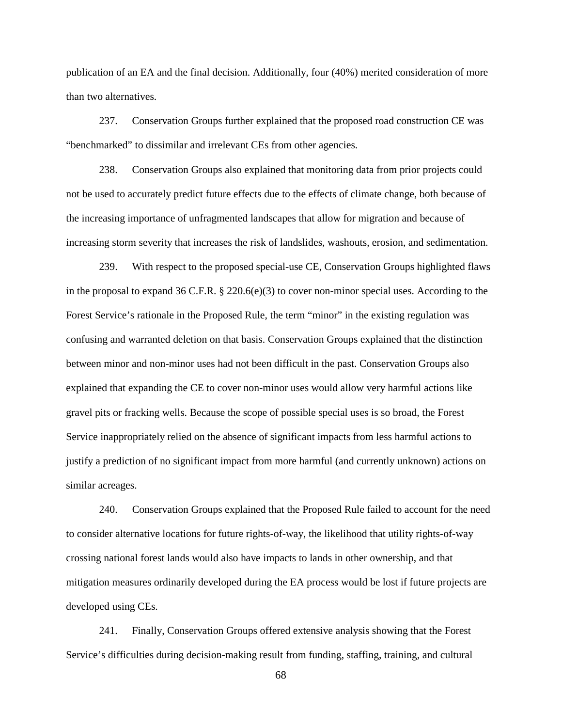publication of an EA and the final decision. Additionally, four (40%) merited consideration of more than two alternatives.

237. Conservation Groups further explained that the proposed road construction CE was "benchmarked" to dissimilar and irrelevant CEs from other agencies.

238. Conservation Groups also explained that monitoring data from prior projects could not be used to accurately predict future effects due to the effects of climate change, both because of the increasing importance of unfragmented landscapes that allow for migration and because of increasing storm severity that increases the risk of landslides, washouts, erosion, and sedimentation.

239. With respect to the proposed special-use CE, Conservation Groups highlighted flaws in the proposal to expand 36 C.F.R.  $\S 220.6(e)(3)$  to cover non-minor special uses. According to the Forest Service's rationale in the Proposed Rule, the term "minor" in the existing regulation was confusing and warranted deletion on that basis. Conservation Groups explained that the distinction between minor and non-minor uses had not been difficult in the past. Conservation Groups also explained that expanding the CE to cover non-minor uses would allow very harmful actions like gravel pits or fracking wells. Because the scope of possible special uses is so broad, the Forest Service inappropriately relied on the absence of significant impacts from less harmful actions to justify a prediction of no significant impact from more harmful (and currently unknown) actions on similar acreages.

240. Conservation Groups explained that the Proposed Rule failed to account for the need to consider alternative locations for future rights-of-way, the likelihood that utility rights-of-way crossing national forest lands would also have impacts to lands in other ownership, and that mitigation measures ordinarily developed during the EA process would be lost if future projects are developed using CEs.

241. Finally, Conservation Groups offered extensive analysis showing that the Forest Service's difficulties during decision-making result from funding, staffing, training, and cultural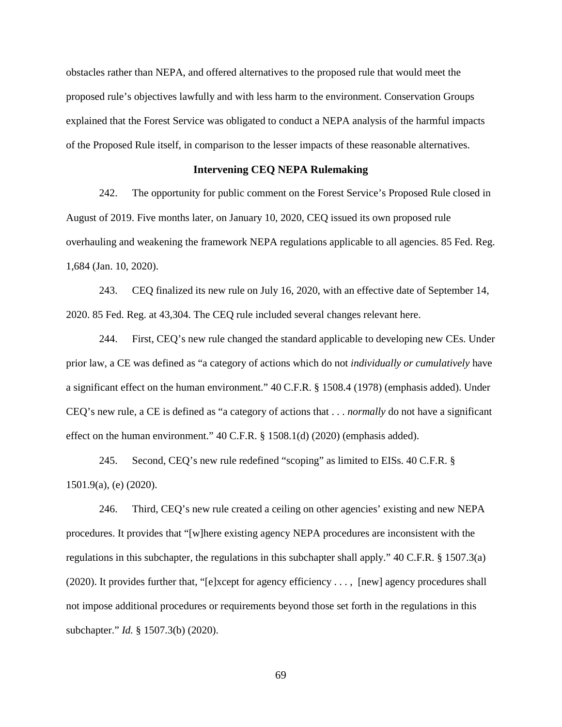obstacles rather than NEPA, and offered alternatives to the proposed rule that would meet the proposed rule's objectives lawfully and with less harm to the environment. Conservation Groups explained that the Forest Service was obligated to conduct a NEPA analysis of the harmful impacts of the Proposed Rule itself, in comparison to the lesser impacts of these reasonable alternatives.

# **Intervening CEQ NEPA Rulemaking**

242. The opportunity for public comment on the Forest Service's Proposed Rule closed in August of 2019. Five months later, on January 10, 2020, CEQ issued its own proposed rule overhauling and weakening the framework NEPA regulations applicable to all agencies. 85 Fed. Reg. 1,684 (Jan. 10, 2020).

243. CEQ finalized its new rule on July 16, 2020, with an effective date of September 14, 2020. 85 Fed. Reg. at 43,304. The CEQ rule included several changes relevant here.

244. First, CEQ's new rule changed the standard applicable to developing new CEs. Under prior law, a CE was defined as "a category of actions which do not *individually or cumulatively* have a significant effect on the human environment." 40 C.F.R. § 1508.4 (1978) (emphasis added). Under CEQ's new rule, a CE is defined as "a category of actions that . . . *normally* do not have a significant effect on the human environment." 40 C.F.R. § 1508.1(d) (2020) (emphasis added).

245. Second, CEQ's new rule redefined "scoping" as limited to EISs. 40 C.F.R. § 1501.9(a), (e) (2020).

246. Third, CEQ's new rule created a ceiling on other agencies' existing and new NEPA procedures. It provides that "[w]here existing agency NEPA procedures are inconsistent with the regulations in this subchapter, the regulations in this subchapter shall apply." 40 C.F.R. § 1507.3(a) (2020). It provides further that, "[e]xcept for agency efficiency . . . , [new] agency procedures shall not impose additional procedures or requirements beyond those set forth in the regulations in this subchapter." *Id.* § 1507.3(b) (2020).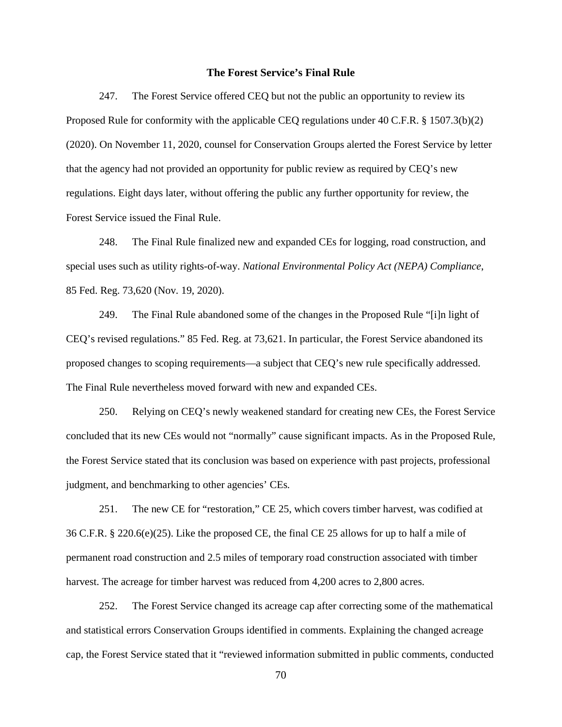## **The Forest Service's Final Rule**

247. The Forest Service offered CEQ but not the public an opportunity to review its Proposed Rule for conformity with the applicable CEQ regulations under 40 C.F.R. § 1507.3(b)(2) (2020). On November 11, 2020, counsel for Conservation Groups alerted the Forest Service by letter that the agency had not provided an opportunity for public review as required by CEQ's new regulations. Eight days later, without offering the public any further opportunity for review, the Forest Service issued the Final Rule.

248. The Final Rule finalized new and expanded CEs for logging, road construction, and special uses such as utility rights-of-way. *National Environmental Policy Act (NEPA) Compliance*, 85 Fed. Reg. 73,620 (Nov. 19, 2020).

249. The Final Rule abandoned some of the changes in the Proposed Rule "[i]n light of CEQ's revised regulations." 85 Fed. Reg. at 73,621. In particular, the Forest Service abandoned its proposed changes to scoping requirements—a subject that CEQ's new rule specifically addressed. The Final Rule nevertheless moved forward with new and expanded CEs.

250. Relying on CEQ's newly weakened standard for creating new CEs, the Forest Service concluded that its new CEs would not "normally" cause significant impacts. As in the Proposed Rule, the Forest Service stated that its conclusion was based on experience with past projects, professional judgment, and benchmarking to other agencies' CEs.

251. The new CE for "restoration," CE 25, which covers timber harvest, was codified at 36 C.F.R. § 220.6(e)(25). Like the proposed CE, the final CE 25 allows for up to half a mile of permanent road construction and 2.5 miles of temporary road construction associated with timber harvest. The acreage for timber harvest was reduced from 4,200 acres to 2,800 acres.

252. The Forest Service changed its acreage cap after correcting some of the mathematical and statistical errors Conservation Groups identified in comments. Explaining the changed acreage cap, the Forest Service stated that it "reviewed information submitted in public comments, conducted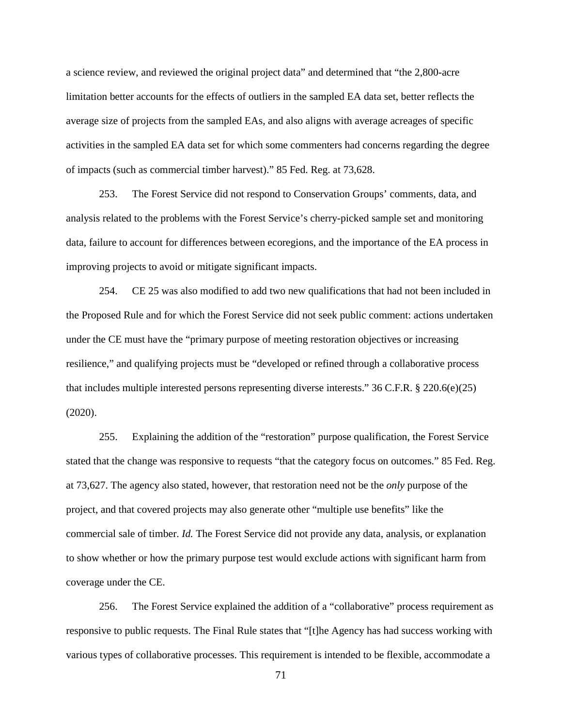a science review, and reviewed the original project data" and determined that "the 2,800-acre limitation better accounts for the effects of outliers in the sampled EA data set, better reflects the average size of projects from the sampled EAs, and also aligns with average acreages of specific activities in the sampled EA data set for which some commenters had concerns regarding the degree of impacts (such as commercial timber harvest)." 85 Fed. Reg. at 73,628.

253. The Forest Service did not respond to Conservation Groups' comments, data, and analysis related to the problems with the Forest Service's cherry-picked sample set and monitoring data, failure to account for differences between ecoregions, and the importance of the EA process in improving projects to avoid or mitigate significant impacts.

254. CE 25 was also modified to add two new qualifications that had not been included in the Proposed Rule and for which the Forest Service did not seek public comment: actions undertaken under the CE must have the "primary purpose of meeting restoration objectives or increasing resilience," and qualifying projects must be "developed or refined through a collaborative process that includes multiple interested persons representing diverse interests." 36 C.F.R. § 220.6(e)(25) (2020).

255. Explaining the addition of the "restoration" purpose qualification, the Forest Service stated that the change was responsive to requests "that the category focus on outcomes." 85 Fed. Reg. at 73,627. The agency also stated, however, that restoration need not be the *only* purpose of the project, and that covered projects may also generate other "multiple use benefits" like the commercial sale of timber. *Id.* The Forest Service did not provide any data, analysis, or explanation to show whether or how the primary purpose test would exclude actions with significant harm from coverage under the CE.

256. The Forest Service explained the addition of a "collaborative" process requirement as responsive to public requests. The Final Rule states that "[t]he Agency has had success working with various types of collaborative processes. This requirement is intended to be flexible, accommodate a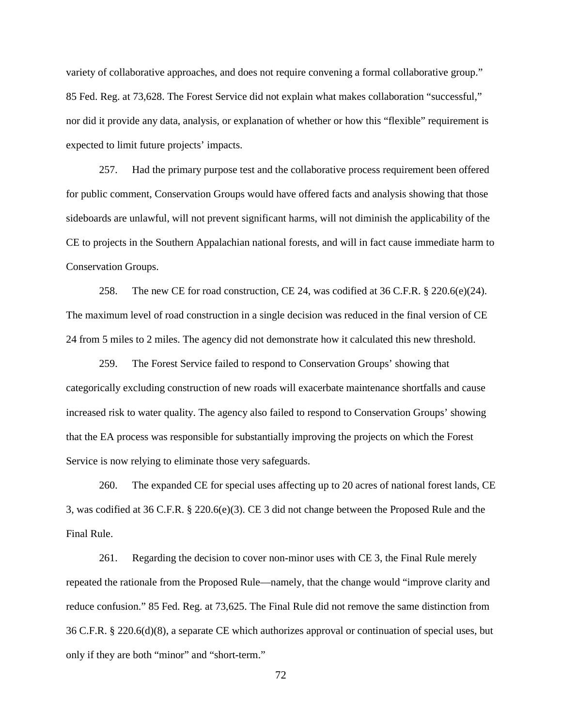variety of collaborative approaches, and does not require convening a formal collaborative group." 85 Fed. Reg. at 73,628. The Forest Service did not explain what makes collaboration "successful," nor did it provide any data, analysis, or explanation of whether or how this "flexible" requirement is expected to limit future projects' impacts.

257. Had the primary purpose test and the collaborative process requirement been offered for public comment, Conservation Groups would have offered facts and analysis showing that those sideboards are unlawful, will not prevent significant harms, will not diminish the applicability of the CE to projects in the Southern Appalachian national forests, and will in fact cause immediate harm to Conservation Groups.

258. The new CE for road construction, CE 24, was codified at  $36$  C.F.R. § 220.6(e)(24). The maximum level of road construction in a single decision was reduced in the final version of CE 24 from 5 miles to 2 miles. The agency did not demonstrate how it calculated this new threshold.

259. The Forest Service failed to respond to Conservation Groups' showing that categorically excluding construction of new roads will exacerbate maintenance shortfalls and cause increased risk to water quality. The agency also failed to respond to Conservation Groups' showing that the EA process was responsible for substantially improving the projects on which the Forest Service is now relying to eliminate those very safeguards.

260. The expanded CE for special uses affecting up to 20 acres of national forest lands, CE 3, was codified at 36 C.F.R. § 220.6(e)(3). CE 3 did not change between the Proposed Rule and the Final Rule.

261. Regarding the decision to cover non-minor uses with CE 3, the Final Rule merely repeated the rationale from the Proposed Rule—namely, that the change would "improve clarity and reduce confusion." 85 Fed. Reg. at 73,625. The Final Rule did not remove the same distinction from 36 C.F.R. § 220.6(d)(8), a separate CE which authorizes approval or continuation of special uses, but only if they are both "minor" and "short-term."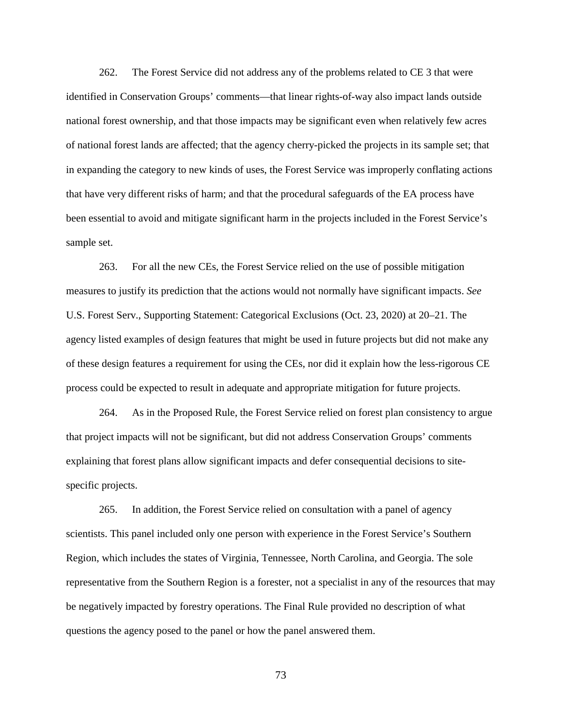262. The Forest Service did not address any of the problems related to CE 3 that were identified in Conservation Groups' comments—that linear rights-of-way also impact lands outside national forest ownership, and that those impacts may be significant even when relatively few acres of national forest lands are affected; that the agency cherry-picked the projects in its sample set; that in expanding the category to new kinds of uses, the Forest Service was improperly conflating actions that have very different risks of harm; and that the procedural safeguards of the EA process have been essential to avoid and mitigate significant harm in the projects included in the Forest Service's sample set.

263. For all the new CEs, the Forest Service relied on the use of possible mitigation measures to justify its prediction that the actions would not normally have significant impacts. *See* U.S. Forest Serv., Supporting Statement: Categorical Exclusions (Oct. 23, 2020) at 20–21. The agency listed examples of design features that might be used in future projects but did not make any of these design features a requirement for using the CEs, nor did it explain how the less-rigorous CE process could be expected to result in adequate and appropriate mitigation for future projects.

264. As in the Proposed Rule, the Forest Service relied on forest plan consistency to argue that project impacts will not be significant, but did not address Conservation Groups' comments explaining that forest plans allow significant impacts and defer consequential decisions to sitespecific projects.

265. In addition, the Forest Service relied on consultation with a panel of agency scientists. This panel included only one person with experience in the Forest Service's Southern Region, which includes the states of Virginia, Tennessee, North Carolina, and Georgia. The sole representative from the Southern Region is a forester, not a specialist in any of the resources that may be negatively impacted by forestry operations. The Final Rule provided no description of what questions the agency posed to the panel or how the panel answered them.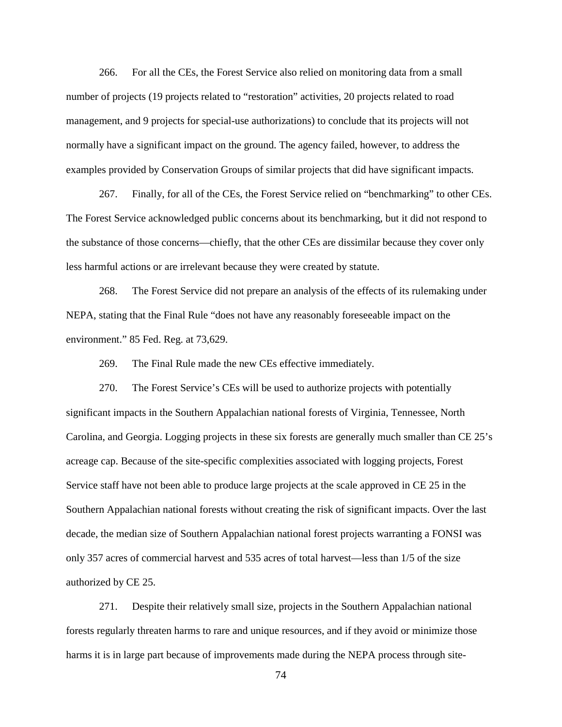266. For all the CEs, the Forest Service also relied on monitoring data from a small number of projects (19 projects related to "restoration" activities, 20 projects related to road management, and 9 projects for special-use authorizations) to conclude that its projects will not normally have a significant impact on the ground. The agency failed, however, to address the examples provided by Conservation Groups of similar projects that did have significant impacts.

267. Finally, for all of the CEs, the Forest Service relied on "benchmarking" to other CEs. The Forest Service acknowledged public concerns about its benchmarking, but it did not respond to the substance of those concerns—chiefly, that the other CEs are dissimilar because they cover only less harmful actions or are irrelevant because they were created by statute.

268. The Forest Service did not prepare an analysis of the effects of its rulemaking under NEPA, stating that the Final Rule "does not have any reasonably foreseeable impact on the environment." 85 Fed. Reg. at 73,629.

269. The Final Rule made the new CEs effective immediately.

270. The Forest Service's CEs will be used to authorize projects with potentially significant impacts in the Southern Appalachian national forests of Virginia, Tennessee, North Carolina, and Georgia. Logging projects in these six forests are generally much smaller than CE 25's acreage cap. Because of the site-specific complexities associated with logging projects, Forest Service staff have not been able to produce large projects at the scale approved in CE 25 in the Southern Appalachian national forests without creating the risk of significant impacts. Over the last decade, the median size of Southern Appalachian national forest projects warranting a FONSI was only 357 acres of commercial harvest and 535 acres of total harvest—less than 1/5 of the size authorized by CE 25.

271. Despite their relatively small size, projects in the Southern Appalachian national forests regularly threaten harms to rare and unique resources, and if they avoid or minimize those harms it is in large part because of improvements made during the NEPA process through site-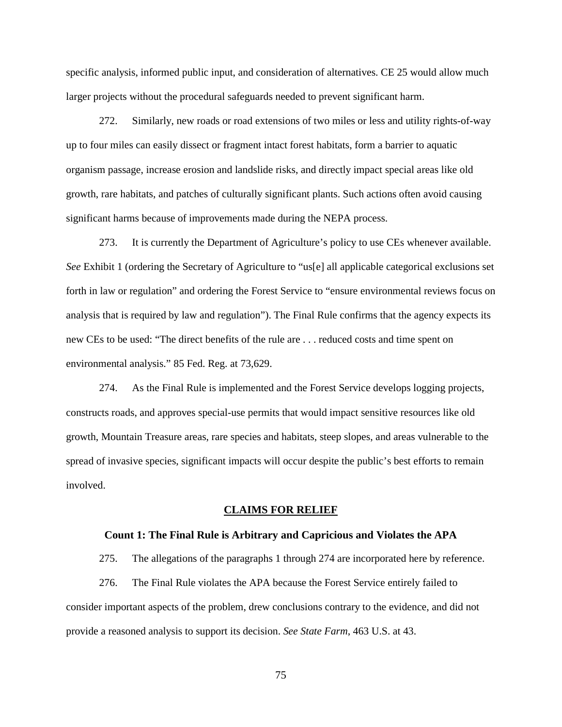specific analysis, informed public input, and consideration of alternatives. CE 25 would allow much larger projects without the procedural safeguards needed to prevent significant harm.

272. Similarly, new roads or road extensions of two miles or less and utility rights-of-way up to four miles can easily dissect or fragment intact forest habitats, form a barrier to aquatic organism passage, increase erosion and landslide risks, and directly impact special areas like old growth, rare habitats, and patches of culturally significant plants. Such actions often avoid causing significant harms because of improvements made during the NEPA process.

273. It is currently the Department of Agriculture's policy to use CEs whenever available. *See* Exhibit 1 (ordering the Secretary of Agriculture to "us[e] all applicable categorical exclusions set forth in law or regulation" and ordering the Forest Service to "ensure environmental reviews focus on analysis that is required by law and regulation"). The Final Rule confirms that the agency expects its new CEs to be used: "The direct benefits of the rule are . . . reduced costs and time spent on environmental analysis." 85 Fed. Reg. at 73,629.

274. As the Final Rule is implemented and the Forest Service develops logging projects, constructs roads, and approves special-use permits that would impact sensitive resources like old growth, Mountain Treasure areas, rare species and habitats, steep slopes, and areas vulnerable to the spread of invasive species, significant impacts will occur despite the public's best efforts to remain involved.

### **CLAIMS FOR RELIEF**

### **Count 1: The Final Rule is Arbitrary and Capricious and Violates the APA**

275. The allegations of the paragraphs 1 through 274 are incorporated here by reference.

276. The Final Rule violates the APA because the Forest Service entirely failed to consider important aspects of the problem, drew conclusions contrary to the evidence, and did not provide a reasoned analysis to support its decision. *See State Farm*, 463 U.S. at 43.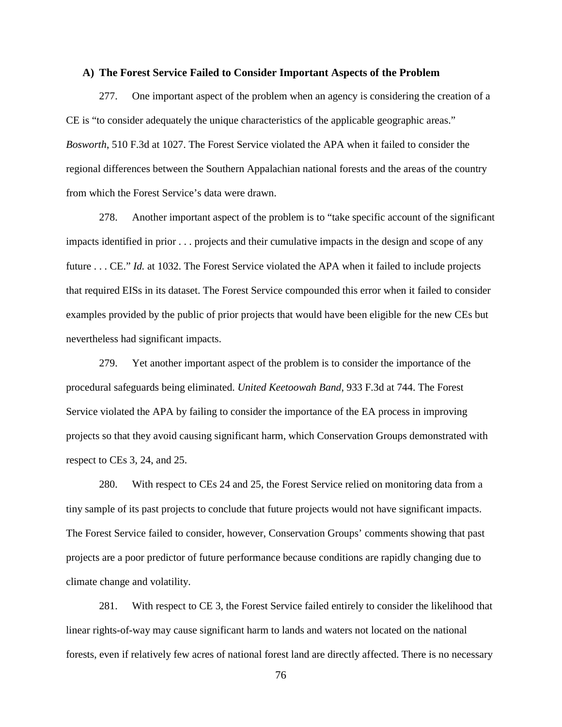### **A) The Forest Service Failed to Consider Important Aspects of the Problem**

277. One important aspect of the problem when an agency is considering the creation of a CE is "to consider adequately the unique characteristics of the applicable geographic areas." *Bosworth*, 510 F.3d at 1027. The Forest Service violated the APA when it failed to consider the regional differences between the Southern Appalachian national forests and the areas of the country from which the Forest Service's data were drawn.

278. Another important aspect of the problem is to "take specific account of the significant impacts identified in prior . . . projects and their cumulative impacts in the design and scope of any future . . . CE." *Id.* at 1032. The Forest Service violated the APA when it failed to include projects that required EISs in its dataset. The Forest Service compounded this error when it failed to consider examples provided by the public of prior projects that would have been eligible for the new CEs but nevertheless had significant impacts.

279. Yet another important aspect of the problem is to consider the importance of the procedural safeguards being eliminated. *United Keetoowah Band*, 933 F.3d at 744. The Forest Service violated the APA by failing to consider the importance of the EA process in improving projects so that they avoid causing significant harm, which Conservation Groups demonstrated with respect to CEs 3, 24, and 25.

280. With respect to CEs 24 and 25, the Forest Service relied on monitoring data from a tiny sample of its past projects to conclude that future projects would not have significant impacts. The Forest Service failed to consider, however, Conservation Groups' comments showing that past projects are a poor predictor of future performance because conditions are rapidly changing due to climate change and volatility.

281. With respect to CE 3, the Forest Service failed entirely to consider the likelihood that linear rights-of-way may cause significant harm to lands and waters not located on the national forests, even if relatively few acres of national forest land are directly affected. There is no necessary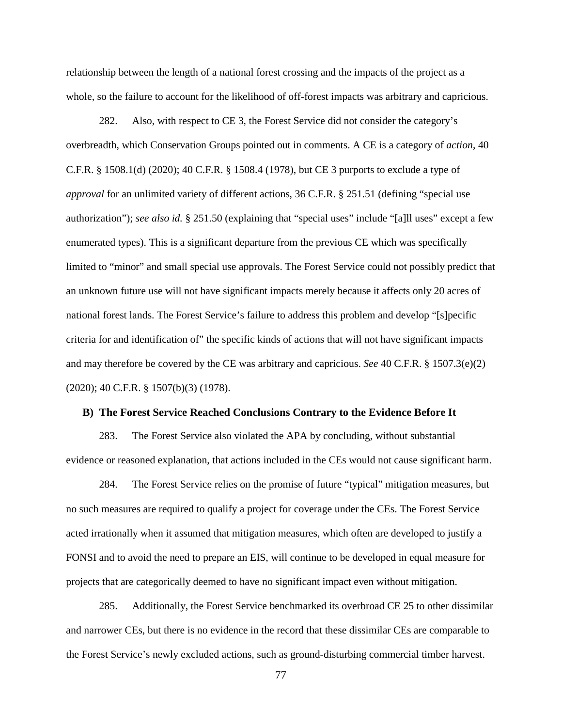relationship between the length of a national forest crossing and the impacts of the project as a whole, so the failure to account for the likelihood of off-forest impacts was arbitrary and capricious.

282. Also, with respect to CE 3, the Forest Service did not consider the category's overbreadth, which Conservation Groups pointed out in comments. A CE is a category of *action*, 40 C.F.R. § 1508.1(d) (2020); 40 C.F.R. § 1508.4 (1978), but CE 3 purports to exclude a type of *approval* for an unlimited variety of different actions, 36 C.F.R. § 251.51 (defining "special use authorization"); *see also id.* § 251.50 (explaining that "special uses" include "[a]ll uses" except a few enumerated types). This is a significant departure from the previous CE which was specifically limited to "minor" and small special use approvals. The Forest Service could not possibly predict that an unknown future use will not have significant impacts merely because it affects only 20 acres of national forest lands. The Forest Service's failure to address this problem and develop "[s]pecific criteria for and identification of" the specific kinds of actions that will not have significant impacts and may therefore be covered by the CE was arbitrary and capricious. *See* 40 C.F.R. § 1507.3(e)(2) (2020); 40 C.F.R. § 1507(b)(3) (1978).

#### **B) The Forest Service Reached Conclusions Contrary to the Evidence Before It**

283. The Forest Service also violated the APA by concluding, without substantial evidence or reasoned explanation, that actions included in the CEs would not cause significant harm.

284. The Forest Service relies on the promise of future "typical" mitigation measures, but no such measures are required to qualify a project for coverage under the CEs. The Forest Service acted irrationally when it assumed that mitigation measures, which often are developed to justify a FONSI and to avoid the need to prepare an EIS, will continue to be developed in equal measure for projects that are categorically deemed to have no significant impact even without mitigation.

285. Additionally, the Forest Service benchmarked its overbroad CE 25 to other dissimilar and narrower CEs, but there is no evidence in the record that these dissimilar CEs are comparable to the Forest Service's newly excluded actions, such as ground-disturbing commercial timber harvest.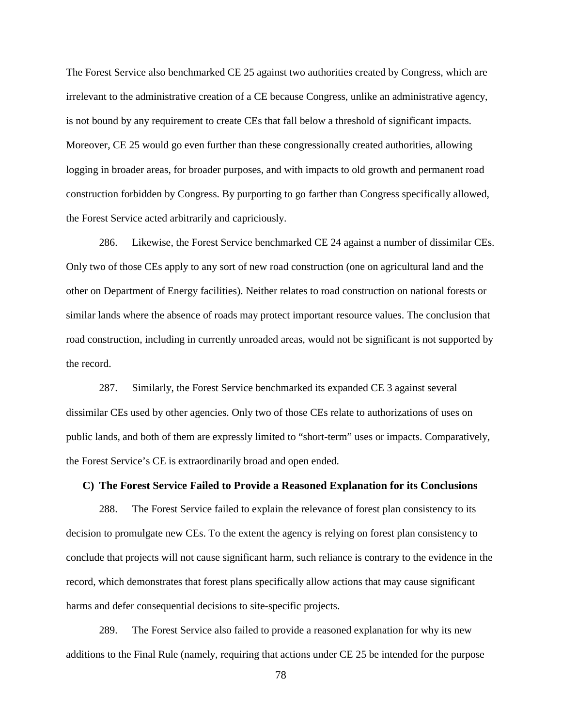The Forest Service also benchmarked CE 25 against two authorities created by Congress, which are irrelevant to the administrative creation of a CE because Congress, unlike an administrative agency, is not bound by any requirement to create CEs that fall below a threshold of significant impacts. Moreover, CE 25 would go even further than these congressionally created authorities, allowing logging in broader areas, for broader purposes, and with impacts to old growth and permanent road construction forbidden by Congress. By purporting to go farther than Congress specifically allowed, the Forest Service acted arbitrarily and capriciously.

286. Likewise, the Forest Service benchmarked CE 24 against a number of dissimilar CEs. Only two of those CEs apply to any sort of new road construction (one on agricultural land and the other on Department of Energy facilities). Neither relates to road construction on national forests or similar lands where the absence of roads may protect important resource values. The conclusion that road construction, including in currently unroaded areas, would not be significant is not supported by the record.

287. Similarly, the Forest Service benchmarked its expanded CE 3 against several dissimilar CEs used by other agencies. Only two of those CEs relate to authorizations of uses on public lands, and both of them are expressly limited to "short-term" uses or impacts. Comparatively, the Forest Service's CE is extraordinarily broad and open ended.

### **C) The Forest Service Failed to Provide a Reasoned Explanation for its Conclusions**

288. The Forest Service failed to explain the relevance of forest plan consistency to its decision to promulgate new CEs. To the extent the agency is relying on forest plan consistency to conclude that projects will not cause significant harm, such reliance is contrary to the evidence in the record, which demonstrates that forest plans specifically allow actions that may cause significant harms and defer consequential decisions to site-specific projects.

289. The Forest Service also failed to provide a reasoned explanation for why its new additions to the Final Rule (namely, requiring that actions under CE 25 be intended for the purpose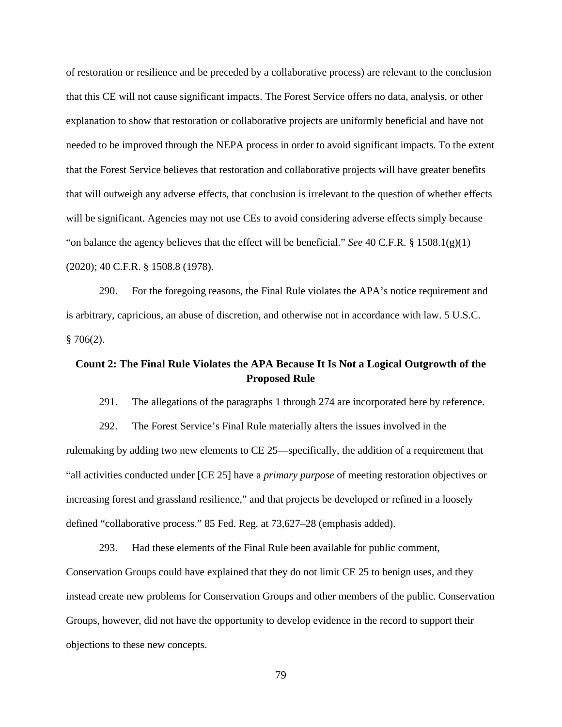of restoration or resilience and be preceded by a collaborative process) are relevant to the conclusion that this CE will not cause significant impacts. The Forest Service offers no data, analysis, or other explanation to show that restoration or collaborative projects are uniformly beneficial and have not needed to be improved through the NEPA process in order to avoid significant impacts. To the extent that the Forest Service believes that restoration and collaborative projects will have greater benefits that will outweigh any adverse effects, that conclusion is irrelevant to the question of whether effects will be significant. Agencies may not use CEs to avoid considering adverse effects simply because "on balance the agency believes that the effect will be beneficial." *See* 40 C.F.R. § 1508.1(g)(1) (2020); 40 C.F.R. § 1508.8 (1978).

290. For the foregoing reasons, the Final Rule violates the APA's notice requirement and is arbitrary, capricious, an abuse of discretion, and otherwise not in accordance with law. 5 U.S.C.  $§ 706(2).$ 

# **Count 2: The Final Rule Violates the APA Because It Is Not a Logical Outgrowth of the Proposed Rule**

291. The allegations of the paragraphs 1 through 274 are incorporated here by reference.

292. The Forest Service's Final Rule materially alters the issues involved in the rulemaking by adding two new elements to CE 25—specifically, the addition of a requirement that "all activities conducted under [CE 25] have a *primary purpose* of meeting restoration objectives or increasing forest and grassland resilience," and that projects be developed or refined in a loosely defined "collaborative process." 85 Fed. Reg. at 73,627–28 (emphasis added).

293. Had these elements of the Final Rule been available for public comment, Conservation Groups could have explained that they do not limit CE 25 to benign uses, and they instead create new problems for Conservation Groups and other members of the public. Conservation Groups, however, did not have the opportunity to develop evidence in the record to support their objections to these new concepts.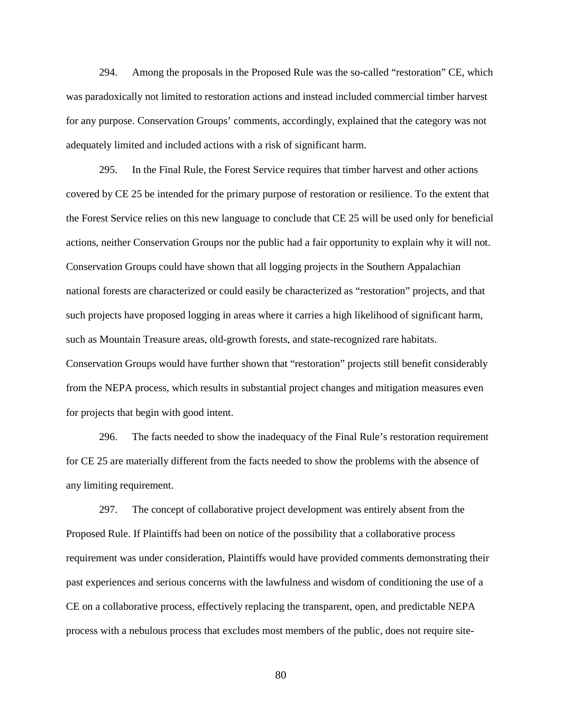294. Among the proposals in the Proposed Rule was the so-called "restoration" CE, which was paradoxically not limited to restoration actions and instead included commercial timber harvest for any purpose. Conservation Groups' comments, accordingly, explained that the category was not adequately limited and included actions with a risk of significant harm.

295. In the Final Rule, the Forest Service requires that timber harvest and other actions covered by CE 25 be intended for the primary purpose of restoration or resilience. To the extent that the Forest Service relies on this new language to conclude that CE 25 will be used only for beneficial actions, neither Conservation Groups nor the public had a fair opportunity to explain why it will not. Conservation Groups could have shown that all logging projects in the Southern Appalachian national forests are characterized or could easily be characterized as "restoration" projects, and that such projects have proposed logging in areas where it carries a high likelihood of significant harm, such as Mountain Treasure areas, old-growth forests, and state-recognized rare habitats. Conservation Groups would have further shown that "restoration" projects still benefit considerably from the NEPA process, which results in substantial project changes and mitigation measures even for projects that begin with good intent.

296. The facts needed to show the inadequacy of the Final Rule's restoration requirement for CE 25 are materially different from the facts needed to show the problems with the absence of any limiting requirement.

297. The concept of collaborative project development was entirely absent from the Proposed Rule. If Plaintiffs had been on notice of the possibility that a collaborative process requirement was under consideration, Plaintiffs would have provided comments demonstrating their past experiences and serious concerns with the lawfulness and wisdom of conditioning the use of a CE on a collaborative process, effectively replacing the transparent, open, and predictable NEPA process with a nebulous process that excludes most members of the public, does not require site-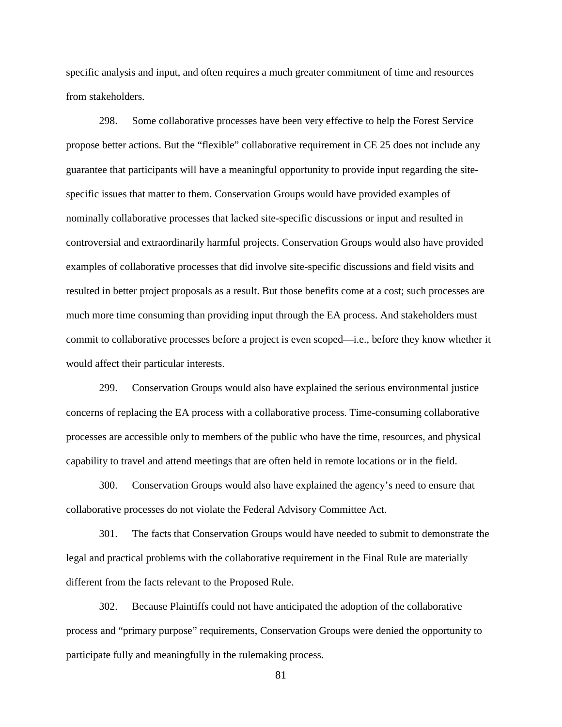specific analysis and input, and often requires a much greater commitment of time and resources from stakeholders.

298. Some collaborative processes have been very effective to help the Forest Service propose better actions. But the "flexible" collaborative requirement in CE 25 does not include any guarantee that participants will have a meaningful opportunity to provide input regarding the sitespecific issues that matter to them. Conservation Groups would have provided examples of nominally collaborative processes that lacked site-specific discussions or input and resulted in controversial and extraordinarily harmful projects. Conservation Groups would also have provided examples of collaborative processes that did involve site-specific discussions and field visits and resulted in better project proposals as a result. But those benefits come at a cost; such processes are much more time consuming than providing input through the EA process. And stakeholders must commit to collaborative processes before a project is even scoped—i.e., before they know whether it would affect their particular interests.

299. Conservation Groups would also have explained the serious environmental justice concerns of replacing the EA process with a collaborative process. Time-consuming collaborative processes are accessible only to members of the public who have the time, resources, and physical capability to travel and attend meetings that are often held in remote locations or in the field.

300. Conservation Groups would also have explained the agency's need to ensure that collaborative processes do not violate the Federal Advisory Committee Act.

301. The facts that Conservation Groups would have needed to submit to demonstrate the legal and practical problems with the collaborative requirement in the Final Rule are materially different from the facts relevant to the Proposed Rule.

302. Because Plaintiffs could not have anticipated the adoption of the collaborative process and "primary purpose" requirements, Conservation Groups were denied the opportunity to participate fully and meaningfully in the rulemaking process.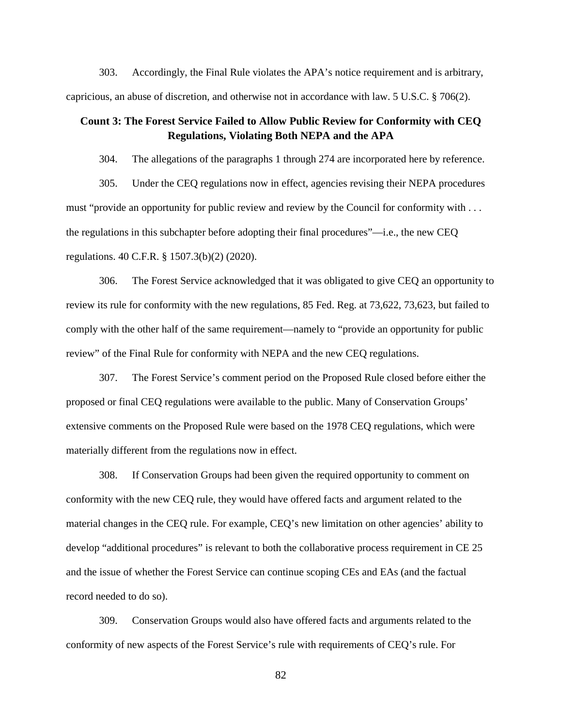303. Accordingly, the Final Rule violates the APA's notice requirement and is arbitrary, capricious, an abuse of discretion, and otherwise not in accordance with law. 5 U.S.C. § 706(2).

# **Count 3: The Forest Service Failed to Allow Public Review for Conformity with CEQ Regulations, Violating Both NEPA and the APA**

304. The allegations of the paragraphs 1 through 274 are incorporated here by reference.

305. Under the CEQ regulations now in effect, agencies revising their NEPA procedures must "provide an opportunity for public review and review by the Council for conformity with . . . the regulations in this subchapter before adopting their final procedures"—i.e., the new CEQ regulations. 40 C.F.R. § 1507.3(b)(2) (2020).

306. The Forest Service acknowledged that it was obligated to give CEQ an opportunity to review its rule for conformity with the new regulations, 85 Fed. Reg. at 73,622, 73,623, but failed to comply with the other half of the same requirement—namely to "provide an opportunity for public review" of the Final Rule for conformity with NEPA and the new CEQ regulations.

307. The Forest Service's comment period on the Proposed Rule closed before either the proposed or final CEQ regulations were available to the public. Many of Conservation Groups' extensive comments on the Proposed Rule were based on the 1978 CEQ regulations, which were materially different from the regulations now in effect.

308. If Conservation Groups had been given the required opportunity to comment on conformity with the new CEQ rule, they would have offered facts and argument related to the material changes in the CEQ rule. For example, CEQ's new limitation on other agencies' ability to develop "additional procedures" is relevant to both the collaborative process requirement in CE 25 and the issue of whether the Forest Service can continue scoping CEs and EAs (and the factual record needed to do so).

309. Conservation Groups would also have offered facts and arguments related to the conformity of new aspects of the Forest Service's rule with requirements of CEQ's rule. For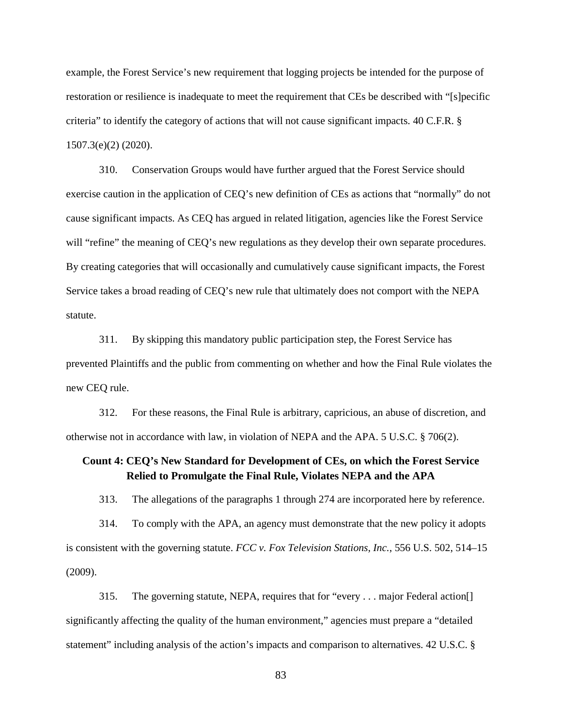example, the Forest Service's new requirement that logging projects be intended for the purpose of restoration or resilience is inadequate to meet the requirement that CEs be described with "[s]pecific criteria" to identify the category of actions that will not cause significant impacts. 40 C.F.R. § 1507.3(e)(2) (2020).

310. Conservation Groups would have further argued that the Forest Service should exercise caution in the application of CEQ's new definition of CEs as actions that "normally" do not cause significant impacts. As CEQ has argued in related litigation, agencies like the Forest Service will "refine" the meaning of CEQ's new regulations as they develop their own separate procedures. By creating categories that will occasionally and cumulatively cause significant impacts, the Forest Service takes a broad reading of CEQ's new rule that ultimately does not comport with the NEPA statute.

311. By skipping this mandatory public participation step, the Forest Service has prevented Plaintiffs and the public from commenting on whether and how the Final Rule violates the new CEQ rule.

312. For these reasons, the Final Rule is arbitrary, capricious, an abuse of discretion, and otherwise not in accordance with law, in violation of NEPA and the APA. 5 U.S.C. § 706(2).

# **Count 4: CEQ's New Standard for Development of CEs, on which the Forest Service Relied to Promulgate the Final Rule, Violates NEPA and the APA**

313. The allegations of the paragraphs 1 through 274 are incorporated here by reference.

314. To comply with the APA, an agency must demonstrate that the new policy it adopts is consistent with the governing statute. *FCC v. Fox Television Stations, Inc.*, 556 U.S. 502, 514–15 (2009).

315. The governing statute, NEPA, requires that for "every . . . major Federal action[] significantly affecting the quality of the human environment," agencies must prepare a "detailed statement" including analysis of the action's impacts and comparison to alternatives. 42 U.S.C. §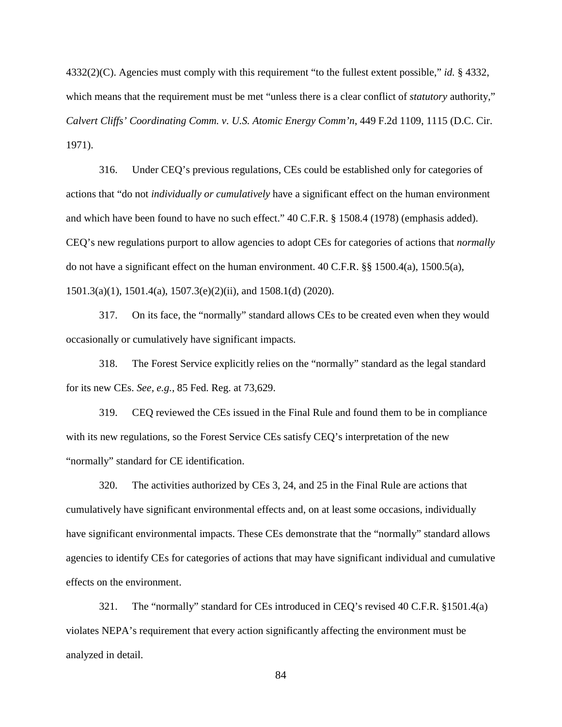4332(2)(C). Agencies must comply with this requirement "to the fullest extent possible," *id.* § 4332, which means that the requirement must be met "unless there is a clear conflict of *statutory* authority," *Calvert Cliffs' Coordinating Comm. v. U.S. Atomic Energy Comm'n*, 449 F.2d 1109, 1115 (D.C. Cir. 1971).

316. Under CEQ's previous regulations, CEs could be established only for categories of actions that "do not *individually or cumulatively* have a significant effect on the human environment and which have been found to have no such effect." 40 C.F.R. § 1508.4 (1978) (emphasis added). CEQ's new regulations purport to allow agencies to adopt CEs for categories of actions that *normally* do not have a significant effect on the human environment. 40 C.F.R. §§ 1500.4(a), 1500.5(a), 1501.3(a)(1), 1501.4(a), 1507.3(e)(2)(ii), and 1508.1(d) (2020).

317. On its face, the "normally" standard allows CEs to be created even when they would occasionally or cumulatively have significant impacts.

318. The Forest Service explicitly relies on the "normally" standard as the legal standard for its new CEs. *See, e.g.*, 85 Fed. Reg. at 73,629.

319. CEQ reviewed the CEs issued in the Final Rule and found them to be in compliance with its new regulations, so the Forest Service CEs satisfy CEQ's interpretation of the new "normally" standard for CE identification.

320. The activities authorized by CEs 3, 24, and 25 in the Final Rule are actions that cumulatively have significant environmental effects and, on at least some occasions, individually have significant environmental impacts. These CEs demonstrate that the "normally" standard allows agencies to identify CEs for categories of actions that may have significant individual and cumulative effects on the environment.

321. The "normally" standard for CEs introduced in CEQ's revised 40 C.F.R. §1501.4(a) violates NEPA's requirement that every action significantly affecting the environment must be analyzed in detail.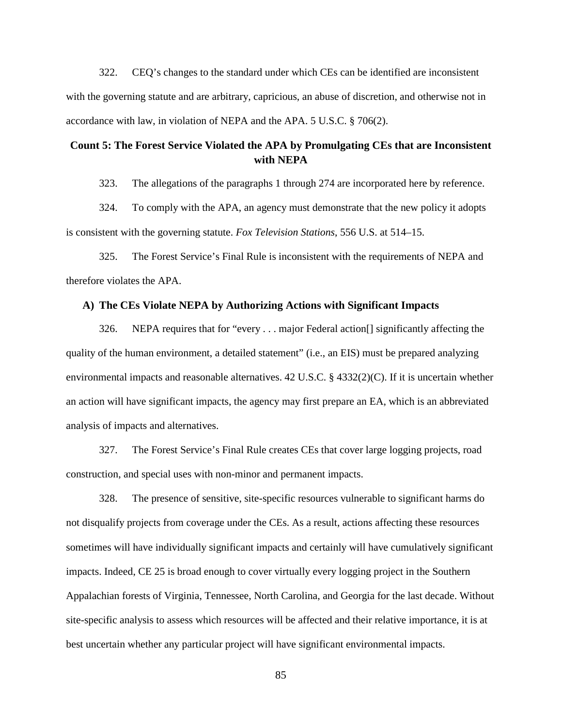322. CEQ's changes to the standard under which CEs can be identified are inconsistent with the governing statute and are arbitrary, capricious, an abuse of discretion, and otherwise not in accordance with law, in violation of NEPA and the APA. 5 U.S.C. § 706(2).

# **Count 5: The Forest Service Violated the APA by Promulgating CEs that are Inconsistent with NEPA**

323. The allegations of the paragraphs 1 through 274 are incorporated here by reference.

324. To comply with the APA, an agency must demonstrate that the new policy it adopts is consistent with the governing statute. *Fox Television Stations*, 556 U.S. at 514–15.

325. The Forest Service's Final Rule is inconsistent with the requirements of NEPA and therefore violates the APA.

## **A) The CEs Violate NEPA by Authorizing Actions with Significant Impacts**

326. NEPA requires that for "every . . . major Federal action[] significantly affecting the quality of the human environment, a detailed statement" (i.e., an EIS) must be prepared analyzing environmental impacts and reasonable alternatives.  $42 \text{ U.S.C.}$  §  $4332(2)(C)$ . If it is uncertain whether an action will have significant impacts, the agency may first prepare an EA, which is an abbreviated analysis of impacts and alternatives.

327. The Forest Service's Final Rule creates CEs that cover large logging projects, road construction, and special uses with non-minor and permanent impacts.

328. The presence of sensitive, site-specific resources vulnerable to significant harms do not disqualify projects from coverage under the CEs. As a result, actions affecting these resources sometimes will have individually significant impacts and certainly will have cumulatively significant impacts. Indeed, CE 25 is broad enough to cover virtually every logging project in the Southern Appalachian forests of Virginia, Tennessee, North Carolina, and Georgia for the last decade. Without site-specific analysis to assess which resources will be affected and their relative importance, it is at best uncertain whether any particular project will have significant environmental impacts.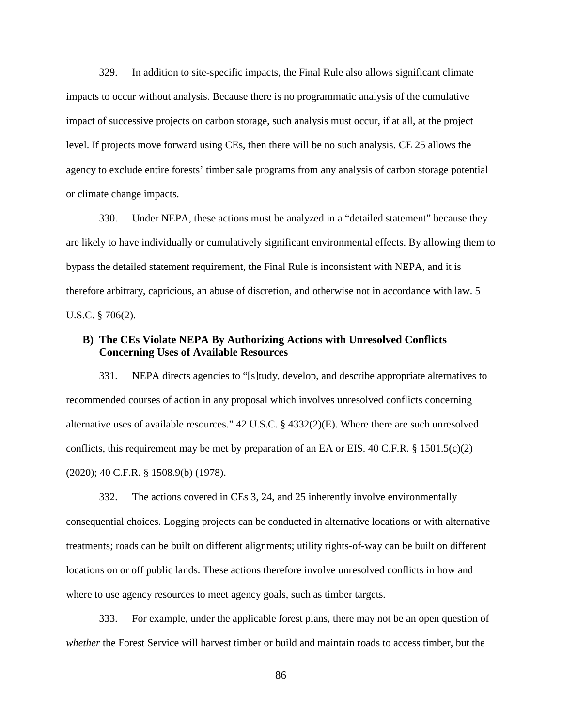329. In addition to site-specific impacts, the Final Rule also allows significant climate impacts to occur without analysis. Because there is no programmatic analysis of the cumulative impact of successive projects on carbon storage, such analysis must occur, if at all, at the project level. If projects move forward using CEs, then there will be no such analysis. CE 25 allows the agency to exclude entire forests' timber sale programs from any analysis of carbon storage potential or climate change impacts.

330. Under NEPA, these actions must be analyzed in a "detailed statement" because they are likely to have individually or cumulatively significant environmental effects. By allowing them to bypass the detailed statement requirement, the Final Rule is inconsistent with NEPA, and it is therefore arbitrary, capricious, an abuse of discretion, and otherwise not in accordance with law. 5 U.S.C. § 706(2).

## **B) The CEs Violate NEPA By Authorizing Actions with Unresolved Conflicts Concerning Uses of Available Resources**

331. NEPA directs agencies to "[s]tudy, develop, and describe appropriate alternatives to recommended courses of action in any proposal which involves unresolved conflicts concerning alternative uses of available resources." 42 U.S.C. § 4332(2)(E). Where there are such unresolved conflicts, this requirement may be met by preparation of an EA or EIS. 40 C.F.R. § 1501.5(c)(2) (2020); 40 C.F.R. § 1508.9(b) (1978).

332. The actions covered in CEs 3, 24, and 25 inherently involve environmentally consequential choices. Logging projects can be conducted in alternative locations or with alternative treatments; roads can be built on different alignments; utility rights-of-way can be built on different locations on or off public lands. These actions therefore involve unresolved conflicts in how and where to use agency resources to meet agency goals, such as timber targets.

333. For example, under the applicable forest plans, there may not be an open question of *whether* the Forest Service will harvest timber or build and maintain roads to access timber, but the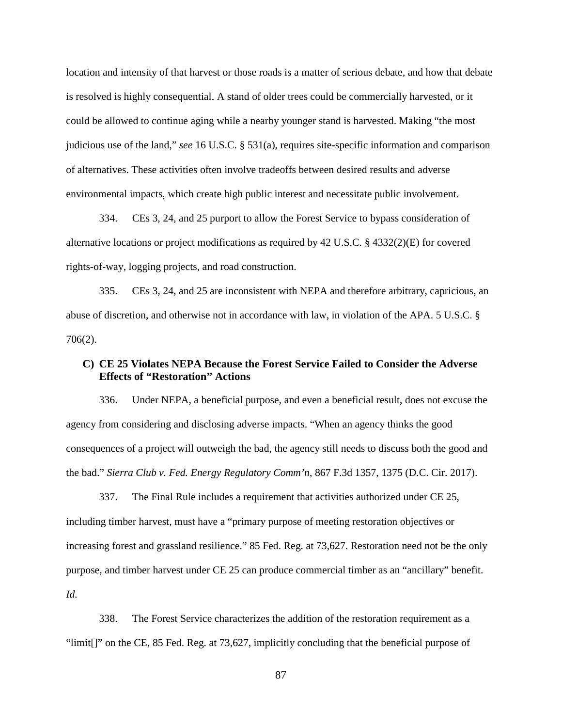location and intensity of that harvest or those roads is a matter of serious debate, and how that debate is resolved is highly consequential. A stand of older trees could be commercially harvested, or it could be allowed to continue aging while a nearby younger stand is harvested. Making "the most judicious use of the land," *see* 16 U.S.C. § 531(a), requires site-specific information and comparison of alternatives. These activities often involve tradeoffs between desired results and adverse environmental impacts, which create high public interest and necessitate public involvement.

334. CEs 3, 24, and 25 purport to allow the Forest Service to bypass consideration of alternative locations or project modifications as required by 42 U.S.C. § 4332(2)(E) for covered rights-of-way, logging projects, and road construction.

335. CEs 3, 24, and 25 are inconsistent with NEPA and therefore arbitrary, capricious, an abuse of discretion, and otherwise not in accordance with law, in violation of the APA. 5 U.S.C. § 706(2).

## **C) CE 25 Violates NEPA Because the Forest Service Failed to Consider the Adverse Effects of "Restoration" Actions**

336. Under NEPA, a beneficial purpose, and even a beneficial result, does not excuse the agency from considering and disclosing adverse impacts. "When an agency thinks the good consequences of a project will outweigh the bad, the agency still needs to discuss both the good and the bad." *Sierra Club v. Fed. Energy Regulatory Comm'n*, 867 F.3d 1357, 1375 (D.C. Cir. 2017).

337. The Final Rule includes a requirement that activities authorized under CE 25, including timber harvest, must have a "primary purpose of meeting restoration objectives or increasing forest and grassland resilience." 85 Fed. Reg. at 73,627. Restoration need not be the only purpose, and timber harvest under CE 25 can produce commercial timber as an "ancillary" benefit. *Id.*

338. The Forest Service characterizes the addition of the restoration requirement as a "limit[]" on the CE, 85 Fed. Reg. at 73,627, implicitly concluding that the beneficial purpose of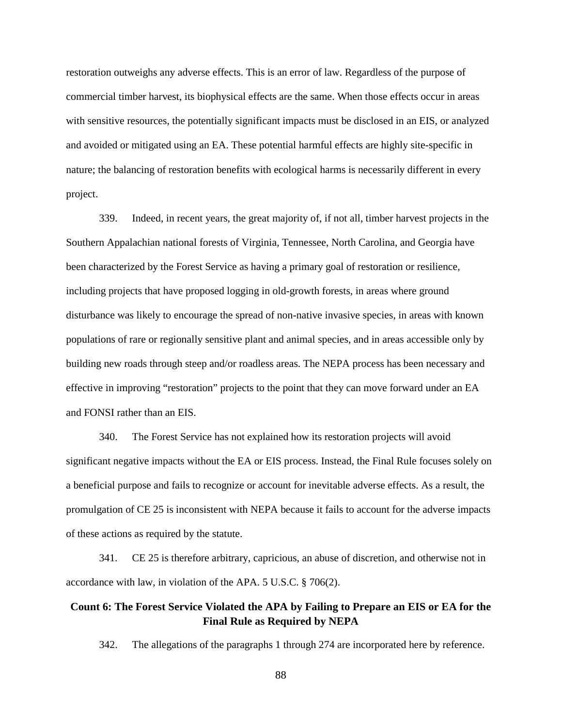restoration outweighs any adverse effects. This is an error of law. Regardless of the purpose of commercial timber harvest, its biophysical effects are the same. When those effects occur in areas with sensitive resources, the potentially significant impacts must be disclosed in an EIS, or analyzed and avoided or mitigated using an EA. These potential harmful effects are highly site-specific in nature; the balancing of restoration benefits with ecological harms is necessarily different in every project.

339. Indeed, in recent years, the great majority of, if not all, timber harvest projects in the Southern Appalachian national forests of Virginia, Tennessee, North Carolina, and Georgia have been characterized by the Forest Service as having a primary goal of restoration or resilience, including projects that have proposed logging in old-growth forests, in areas where ground disturbance was likely to encourage the spread of non-native invasive species, in areas with known populations of rare or regionally sensitive plant and animal species, and in areas accessible only by building new roads through steep and/or roadless areas. The NEPA process has been necessary and effective in improving "restoration" projects to the point that they can move forward under an EA and FONSI rather than an EIS.

340. The Forest Service has not explained how its restoration projects will avoid significant negative impacts without the EA or EIS process. Instead, the Final Rule focuses solely on a beneficial purpose and fails to recognize or account for inevitable adverse effects. As a result, the promulgation of CE 25 is inconsistent with NEPA because it fails to account for the adverse impacts of these actions as required by the statute.

341. CE 25 is therefore arbitrary, capricious, an abuse of discretion, and otherwise not in accordance with law, in violation of the APA. 5 U.S.C. § 706(2).

# **Count 6: The Forest Service Violated the APA by Failing to Prepare an EIS or EA for the Final Rule as Required by NEPA**

342. The allegations of the paragraphs 1 through 274 are incorporated here by reference.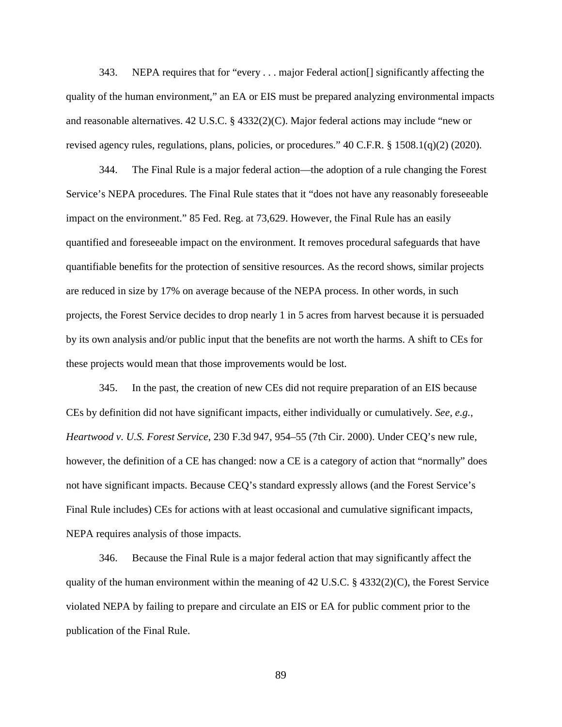343. NEPA requires that for "every . . . major Federal action[] significantly affecting the quality of the human environment," an EA or EIS must be prepared analyzing environmental impacts and reasonable alternatives. 42 U.S.C. § 4332(2)(C). Major federal actions may include "new or revised agency rules, regulations, plans, policies, or procedures." 40 C.F.R. § 1508.1(q)(2) (2020).

344. The Final Rule is a major federal action—the adoption of a rule changing the Forest Service's NEPA procedures. The Final Rule states that it "does not have any reasonably foreseeable impact on the environment." 85 Fed. Reg. at 73,629. However, the Final Rule has an easily quantified and foreseeable impact on the environment. It removes procedural safeguards that have quantifiable benefits for the protection of sensitive resources. As the record shows, similar projects are reduced in size by 17% on average because of the NEPA process. In other words, in such projects, the Forest Service decides to drop nearly 1 in 5 acres from harvest because it is persuaded by its own analysis and/or public input that the benefits are not worth the harms. A shift to CEs for these projects would mean that those improvements would be lost.

345. In the past, the creation of new CEs did not require preparation of an EIS because CEs by definition did not have significant impacts, either individually or cumulatively. *See, e.g.*, *Heartwood v. U.S. Forest Service*, 230 F.3d 947, 954–55 (7th Cir. 2000). Under CEQ's new rule, however, the definition of a CE has changed: now a CE is a category of action that "normally" does not have significant impacts. Because CEQ's standard expressly allows (and the Forest Service's Final Rule includes) CEs for actions with at least occasional and cumulative significant impacts, NEPA requires analysis of those impacts.

346. Because the Final Rule is a major federal action that may significantly affect the quality of the human environment within the meaning of 42 U.S.C. § 4332(2)(C), the Forest Service violated NEPA by failing to prepare and circulate an EIS or EA for public comment prior to the publication of the Final Rule.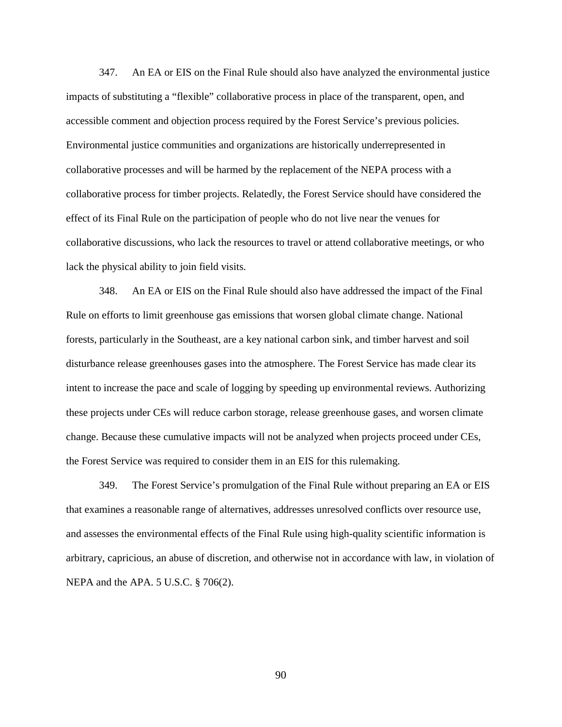347. An EA or EIS on the Final Rule should also have analyzed the environmental justice impacts of substituting a "flexible" collaborative process in place of the transparent, open, and accessible comment and objection process required by the Forest Service's previous policies. Environmental justice communities and organizations are historically underrepresented in collaborative processes and will be harmed by the replacement of the NEPA process with a collaborative process for timber projects. Relatedly, the Forest Service should have considered the effect of its Final Rule on the participation of people who do not live near the venues for collaborative discussions, who lack the resources to travel or attend collaborative meetings, or who lack the physical ability to join field visits.

348. An EA or EIS on the Final Rule should also have addressed the impact of the Final Rule on efforts to limit greenhouse gas emissions that worsen global climate change. National forests, particularly in the Southeast, are a key national carbon sink, and timber harvest and soil disturbance release greenhouses gases into the atmosphere. The Forest Service has made clear its intent to increase the pace and scale of logging by speeding up environmental reviews. Authorizing these projects under CEs will reduce carbon storage, release greenhouse gases, and worsen climate change. Because these cumulative impacts will not be analyzed when projects proceed under CEs, the Forest Service was required to consider them in an EIS for this rulemaking.

349. The Forest Service's promulgation of the Final Rule without preparing an EA or EIS that examines a reasonable range of alternatives, addresses unresolved conflicts over resource use, and assesses the environmental effects of the Final Rule using high-quality scientific information is arbitrary, capricious, an abuse of discretion, and otherwise not in accordance with law, in violation of NEPA and the APA. 5 U.S.C. § 706(2).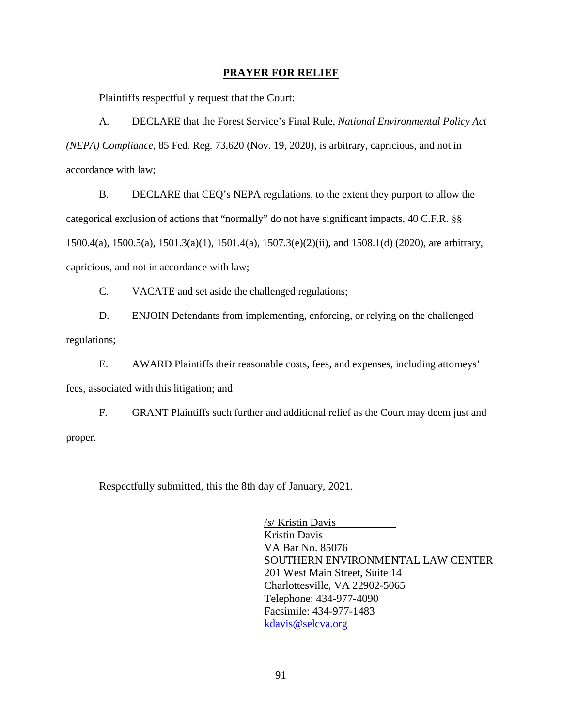### **PRAYER FOR RELIEF**

Plaintiffs respectfully request that the Court:

A. DECLARE that the Forest Service's Final Rule, *National Environmental Policy Act (NEPA) Compliance*, 85 Fed. Reg. 73,620 (Nov. 19, 2020), is arbitrary, capricious, and not in accordance with law;

B. DECLARE that CEQ's NEPA regulations, to the extent they purport to allow the categorical exclusion of actions that "normally" do not have significant impacts, 40 C.F.R. §§ 1500.4(a), 1500.5(a), 1501.3(a)(1), 1501.4(a), 1507.3(e)(2)(ii), and 1508.1(d) (2020), are arbitrary, capricious, and not in accordance with law;

C. VACATE and set aside the challenged regulations;

D. ENJOIN Defendants from implementing, enforcing, or relying on the challenged regulations;

E. AWARD Plaintiffs their reasonable costs, fees, and expenses, including attorneys' fees, associated with this litigation; and

F. GRANT Plaintiffs such further and additional relief as the Court may deem just and proper.

Respectfully submitted, this the 8th day of January, 2021.

/s/ Kristin Davis Kristin Davis VA Bar No. 85076 SOUTHERN ENVIRONMENTAL LAW CENTER 201 West Main Street, Suite 14 Charlottesville, VA 22902-5065 Telephone: 434-977-4090 Facsimile: 434-977-1483 kdavis@selcva.org